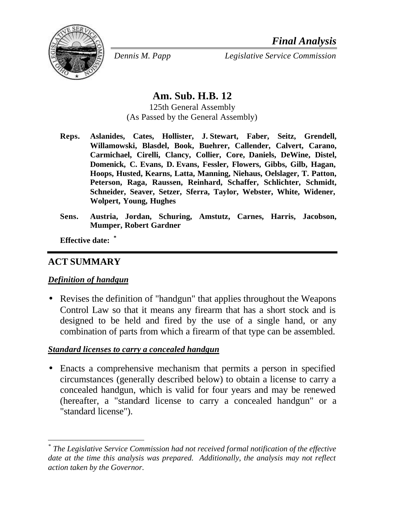

*Dennis M. Papp Legislative Service Commission*

# **Am. Sub. H.B. 12**

125th General Assembly (As Passed by the General Assembly)

- **Reps. Aslanides, Cates, Hollister, J. Stewart, Faber, Seitz, Grendell, Willamowski, Blasdel, Book, Buehrer, Callender, Calvert, Carano, Carmichael, Cirelli, Clancy, Collier, Core, Daniels, DeWine, Distel, Domenick, C. Evans, D. Evans, Fessler, Flowers, Gibbs, Gilb, Hagan, Hoops, Husted, Kearns, Latta, Manning, Niehaus, Oelslager, T. Patton, Peterson, Raga, Raussen, Reinhard, Schaffer, Schlichter, Schmidt, Schneider, Seaver, Setzer, Sferra, Taylor, Webster, White, Widener, Wolpert, Young, Hughes**
- **Sens. Austria, Jordan, Schuring, Amstutz, Carnes, Harris, Jacobson, Mumper, Robert Gardner**

**Effective date: \***

#### **ACT SUMMARY**

l

#### *Definition of handgun*

• Revises the definition of "handgun" that applies throughout the Weapons Control Law so that it means any firearm that has a short stock and is designed to be held and fired by the use of a single hand, or any combination of parts from which a firearm of that type can be assembled.

#### *Standard licenses to carry a concealed handgun*

• Enacts a comprehensive mechanism that permits a person in specified circumstances (generally described below) to obtain a license to carry a concealed handgun, which is valid for four years and may be renewed (hereafter, a "standard license to carry a concealed handgun" or a "standard license").

*<sup>\*</sup> The Legislative Service Commission had not received formal notification of the effective date at the time this analysis was prepared. Additionally, the analysis may not reflect action taken by the Governor.*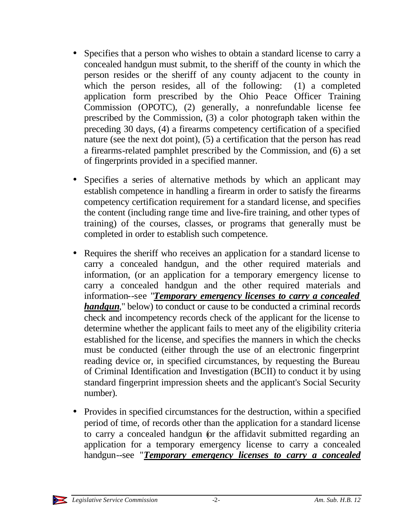- Specifies that a person who wishes to obtain a standard license to carry a concealed handgun must submit, to the sheriff of the county in which the person resides or the sheriff of any county adjacent to the county in which the person resides, all of the following: (1) a completed application form prescribed by the Ohio Peace Officer Training Commission (OPOTC), (2) generally, a nonrefundable license fee prescribed by the Commission, (3) a color photograph taken within the preceding 30 days, (4) a firearms competency certification of a specified nature (see the next dot point), (5) a certification that the person has read a firearms-related pamphlet prescribed by the Commission, and (6) a set of fingerprints provided in a specified manner.
- Specifies a series of alternative methods by which an applicant may establish competence in handling a firearm in order to satisfy the firearms competency certification requirement for a standard license, and specifies the content (including range time and live-fire training, and other types of training) of the courses, classes, or programs that generally must be completed in order to establish such competence.
- Requires the sheriff who receives an application for a standard license to carry a concealed handgun, and the other required materials and information, (or an application for a temporary emergency license to carry a concealed handgun and the other required materials and information--see "*Temporary emergency licenses to carry a concealed handgun*," below) to conduct or cause to be conducted a criminal records check and incompetency records check of the applicant for the license to determine whether the applicant fails to meet any of the eligibility criteria established for the license, and specifies the manners in which the checks must be conducted (either through the use of an electronic fingerprint reading device or, in specified circumstances, by requesting the Bureau of Criminal Identification and Investigation (BCII) to conduct it by using standard fingerprint impression sheets and the applicant's Social Security number).
- Provides in specified circumstances for the destruction, within a specified period of time, of records other than the application for a standard license to carry a concealed handgun (or the affidavit submitted regarding an application for a temporary emergency license to carry a concealed handgun--see "*Temporary emergency licenses to carry a concealed*

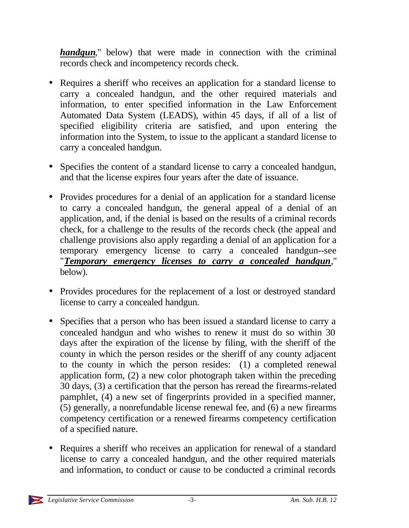*handgun*," below) that were made in connection with the criminal records check and incompetency records check.

- Requires a sheriff who receives an application for a standard license to carry a concealed handgun, and the other required materials and information, to enter specified information in the Law Enforcement Automated Data System (LEADS), within 45 days, if all of a list of specified eligibility criteria are satisfied, and upon entering the information into the System, to issue to the applicant a standard license to carry a concealed handgun.
- Specifies the content of a standard license to carry a concealed handgun, and that the license expires four years after the date of issuance.
- Provides procedures for a denial of an application for a standard license to carry a concealed handgun, the general appeal of a denial of an application, and, if the denial is based on the results of a criminal records check, for a challenge to the results of the records check (the appeal and challenge provisions also apply regarding a denial of an application for a temporary emergency license to carry a concealed handgun--see "*Temporary emergency licenses to carry a concealed handgun*," below).
- Provides procedures for the replacement of a lost or destroyed standard license to carry a concealed handgun.
- Specifies that a person who has been issued a standard license to carry a concealed handgun and who wishes to renew it must do so within 30 days after the expiration of the license by filing, with the sheriff of the county in which the person resides or the sheriff of any county adjacent to the county in which the person resides: (1) a completed renewal application form, (2) a new color photograph taken within the preceding 30 days, (3) a certification that the person has reread the firearms-related pamphlet, (4) a new set of fingerprints provided in a specified manner, (5) generally, a nonrefundable license renewal fee, and (6) a new firearms competency certification or a renewed firearms competency certification of a specified nature.
- Requires a sheriff who receives an application for renewal of a standard license to carry a concealed handgun, and the other required materials and information, to conduct or cause to be conducted a criminal records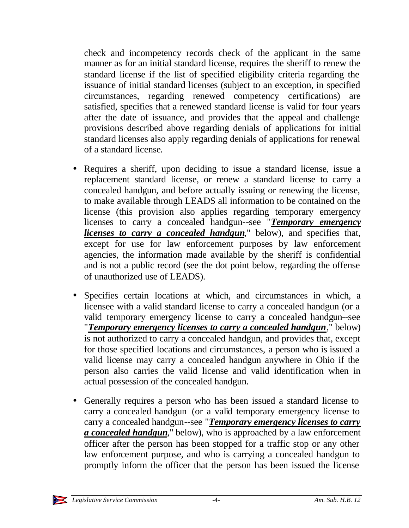check and incompetency records check of the applicant in the same manner as for an initial standard license, requires the sheriff to renew the standard license if the list of specified eligibility criteria regarding the issuance of initial standard licenses (subject to an exception, in specified circumstances, regarding renewed competency certifications) are satisfied, specifies that a renewed standard license is valid for four years after the date of issuance, and provides that the appeal and challenge provisions described above regarding denials of applications for initial standard licenses also apply regarding denials of applications for renewal of a standard license.

- Requires a sheriff, upon deciding to issue a standard license, issue a replacement standard license, or renew a standard license to carry a concealed handgun, and before actually issuing or renewing the license, to make available through LEADS all information to be contained on the license (this provision also applies regarding temporary emergency licenses to carry a concealed handgun--see "*Temporary emergency licenses to carry a concealed handgun*," below), and specifies that, except for use for law enforcement purposes by law enforcement agencies, the information made available by the sheriff is confidential and is not a public record (see the dot point below, regarding the offense of unauthorized use of LEADS).
- Specifies certain locations at which, and circumstances in which, a licensee with a valid standard license to carry a concealed handgun (or a valid temporary emergency license to carry a concealed handgun--see "*Temporary emergency licenses to carry a concealed handgun*," below) is not authorized to carry a concealed handgun, and provides that, except for those specified locations and circumstances, a person who is issued a valid license may carry a concealed handgun anywhere in Ohio if the person also carries the valid license and valid identification when in actual possession of the concealed handgun.
- Generally requires a person who has been issued a standard license to carry a concealed handgun (or a valid temporary emergency license to carry a concealed handgun--see "*Temporary emergency licenses to carry a concealed handgun*," below), who is approached by a law enforcement officer after the person has been stopped for a traffic stop or any other law enforcement purpose, and who is carrying a concealed handgun to promptly inform the officer that the person has been issued the license

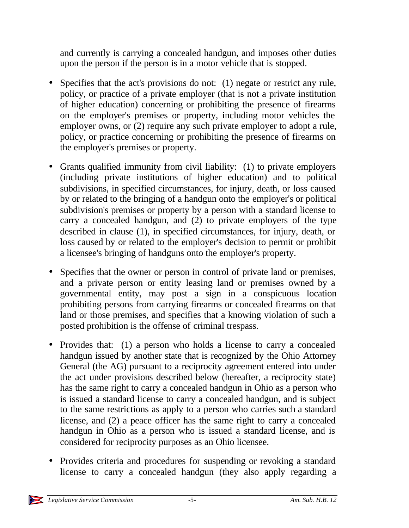and currently is carrying a concealed handgun, and imposes other duties upon the person if the person is in a motor vehicle that is stopped.

- Specifies that the act's provisions do not: (1) negate or restrict any rule, policy, or practice of a private employer (that is not a private institution of higher education) concerning or prohibiting the presence of firearms on the employer's premises or property, including motor vehicles the employer owns, or (2) require any such private employer to adopt a rule, policy, or practice concerning or prohibiting the presence of firearms on the employer's premises or property.
- Grants qualified immunity from civil liability: (1) to private employers (including private institutions of higher education) and to political subdivisions, in specified circumstances, for injury, death, or loss caused by or related to the bringing of a handgun onto the employer's or political subdivision's premises or property by a person with a standard license to carry a concealed handgun, and (2) to private employers of the type described in clause (1), in specified circumstances, for injury, death, or loss caused by or related to the employer's decision to permit or prohibit a licensee's bringing of handguns onto the employer's property.
- Specifies that the owner or person in control of private land or premises, and a private person or entity leasing land or premises owned by a governmental entity, may post a sign in a conspicuous location prohibiting persons from carrying firearms or concealed firearms on that land or those premises, and specifies that a knowing violation of such a posted prohibition is the offense of criminal trespass.
- Provides that: (1) a person who holds a license to carry a concealed handgun issued by another state that is recognized by the Ohio Attorney General (the AG) pursuant to a reciprocity agreement entered into under the act under provisions described below (hereafter, a reciprocity state) has the same right to carry a concealed handgun in Ohio as a person who is issued a standard license to carry a concealed handgun, and is subject to the same restrictions as apply to a person who carries such a standard license, and (2) a peace officer has the same right to carry a concealed handgun in Ohio as a person who is issued a standard license, and is considered for reciprocity purposes as an Ohio licensee.
- Provides criteria and procedures for suspending or revoking a standard license to carry a concealed handgun (they also apply regarding a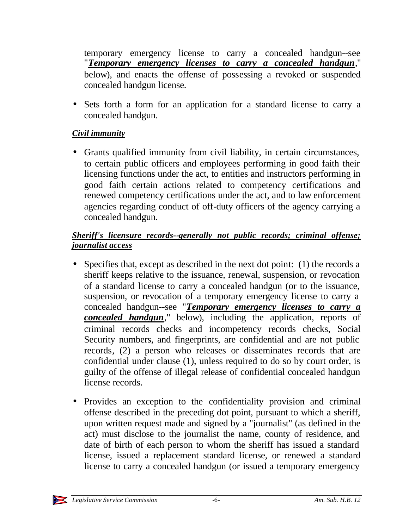temporary emergency license to carry a concealed handgun--see "*Temporary emergency licenses to carry a concealed handgun*," below), and enacts the offense of possessing a revoked or suspended concealed handgun license.

• Sets forth a form for an application for a standard license to carry a concealed handgun.

# *Civil immunity*

• Grants qualified immunity from civil liability, in certain circumstances, to certain public officers and employees performing in good faith their licensing functions under the act, to entities and instructors performing in good faith certain actions related to competency certifications and renewed competency certifications under the act, and to law enforcement agencies regarding conduct of off-duty officers of the agency carrying a concealed handgun.

# *Sheriff's licensure records--generally not public records; criminal offense; journalist access*

- Specifies that, except as described in the next dot point: (1) the records a sheriff keeps relative to the issuance, renewal, suspension, or revocation of a standard license to carry a concealed handgun (or to the issuance, suspension, or revocation of a temporary emergency license to carry a concealed handgun--see "*Temporary emergency licenses to carry a concealed handgun*," below), including the application, reports of criminal records checks and incompetency records checks, Social Security numbers, and fingerprints, are confidential and are not public records, (2) a person who releases or disseminates records that are confidential under clause (1), unless required to do so by court order, is guilty of the offense of illegal release of confidential concealed handgun license records.
- Provides an exception to the confidentiality provision and criminal offense described in the preceding dot point, pursuant to which a sheriff, upon written request made and signed by a "journalist" (as defined in the act) must disclose to the journalist the name, county of residence, and date of birth of each person to whom the sheriff has issued a standard license, issued a replacement standard license, or renewed a standard license to carry a concealed handgun (or issued a temporary emergency

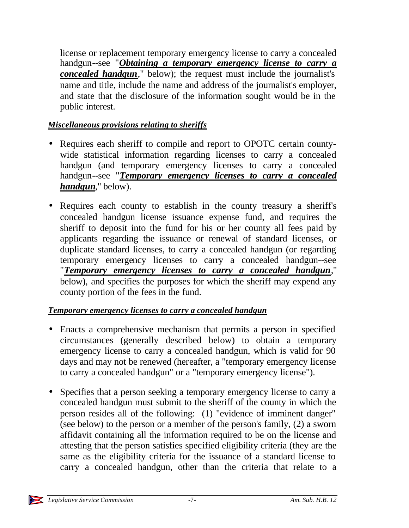license or replacement temporary emergency license to carry a concealed handgun--see "*Obtaining a temporary emergency license to carry a concealed handgun*," below); the request must include the journalist's name and title, include the name and address of the journalist's employer, and state that the disclosure of the information sought would be in the public interest.

# *Miscellaneous provisions relating to sheriffs*

- Requires each sheriff to compile and report to OPOTC certain countywide statistical information regarding licenses to carry a concealed handgun (and temporary emergency licenses to carry a concealed handgun--see "*Temporary emergency licenses to carry a concealed handgun*," below).
- Requires each county to establish in the county treasury a sheriff's concealed handgun license issuance expense fund, and requires the sheriff to deposit into the fund for his or her county all fees paid by applicants regarding the issuance or renewal of standard licenses, or duplicate standard licenses, to carry a concealed handgun (or regarding temporary emergency licenses to carry a concealed handgun--see "*Temporary emergency licenses to carry a concealed handgun*," below), and specifies the purposes for which the sheriff may expend any county portion of the fees in the fund.

# *Temporary emergency licenses to carry a concealed handgun*

- Enacts a comprehensive mechanism that permits a person in specified circumstances (generally described below) to obtain a temporary emergency license to carry a concealed handgun, which is valid for 90 days and may not be renewed (hereafter, a "temporary emergency license to carry a concealed handgun" or a "temporary emergency license").
- Specifies that a person seeking a temporary emergency license to carry a concealed handgun must submit to the sheriff of the county in which the person resides all of the following: (1) "evidence of imminent danger" (see below) to the person or a member of the person's family, (2) a sworn affidavit containing all the information required to be on the license and attesting that the person satisfies specified eligibility criteria (they are the same as the eligibility criteria for the issuance of a standard license to carry a concealed handgun, other than the criteria that relate to a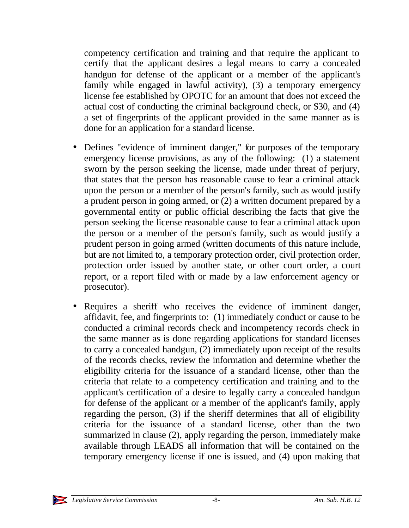competency certification and training and that require the applicant to certify that the applicant desires a legal means to carry a concealed handgun for defense of the applicant or a member of the applicant's family while engaged in lawful activity), (3) a temporary emergency license fee established by OPOTC for an amount that does not exceed the actual cost of conducting the criminal background check, or \$30, and (4) a set of fingerprints of the applicant provided in the same manner as is done for an application for a standard license.

- Defines "evidence of imminent danger," for purposes of the temporary emergency license provisions, as any of the following: (1) a statement sworn by the person seeking the license, made under threat of perjury, that states that the person has reasonable cause to fear a criminal attack upon the person or a member of the person's family, such as would justify a prudent person in going armed, or (2) a written document prepared by a governmental entity or public official describing the facts that give the person seeking the license reasonable cause to fear a criminal attack upon the person or a member of the person's family, such as would justify a prudent person in going armed (written documents of this nature include, but are not limited to, a temporary protection order, civil protection order, protection order issued by another state, or other court order, a court report, or a report filed with or made by a law enforcement agency or prosecutor).
- Requires a sheriff who receives the evidence of imminent danger, affidavit, fee, and fingerprints to: (1) immediately conduct or cause to be conducted a criminal records check and incompetency records check in the same manner as is done regarding applications for standard licenses to carry a concealed handgun, (2) immediately upon receipt of the results of the records checks, review the information and determine whether the eligibility criteria for the issuance of a standard license, other than the criteria that relate to a competency certification and training and to the applicant's certification of a desire to legally carry a concealed handgun for defense of the applicant or a member of the applicant's family, apply regarding the person, (3) if the sheriff determines that all of eligibility criteria for the issuance of a standard license, other than the two summarized in clause (2), apply regarding the person, immediately make available through LEADS all information that will be contained on the temporary emergency license if one is issued, and (4) upon making that

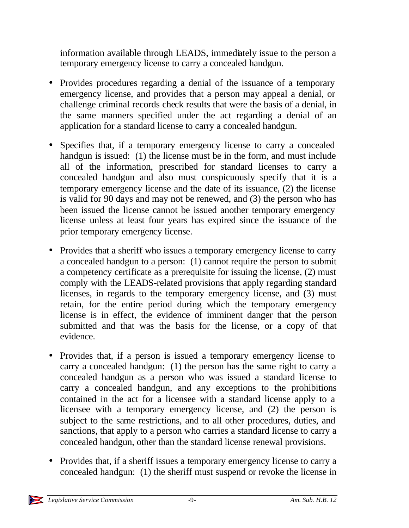information available through LEADS, immediately issue to the person a temporary emergency license to carry a concealed handgun.

- Provides procedures regarding a denial of the issuance of a temporary emergency license, and provides that a person may appeal a denial, or challenge criminal records check results that were the basis of a denial, in the same manners specified under the act regarding a denial of an application for a standard license to carry a concealed handgun.
- Specifies that, if a temporary emergency license to carry a concealed handgun is issued: (1) the license must be in the form, and must include all of the information, prescribed for standard licenses to carry a concealed handgun and also must conspicuously specify that it is a temporary emergency license and the date of its issuance, (2) the license is valid for 90 days and may not be renewed, and (3) the person who has been issued the license cannot be issued another temporary emergency license unless at least four years has expired since the issuance of the prior temporary emergency license.
- Provides that a sheriff who issues a temporary emergency license to carry a concealed handgun to a person: (1) cannot require the person to submit a competency certificate as a prerequisite for issuing the license, (2) must comply with the LEADS-related provisions that apply regarding standard licenses, in regards to the temporary emergency license, and (3) must retain, for the entire period during which the temporary emergency license is in effect, the evidence of imminent danger that the person submitted and that was the basis for the license, or a copy of that evidence.
- Provides that, if a person is issued a temporary emergency license to carry a concealed handgun: (1) the person has the same right to carry a concealed handgun as a person who was issued a standard license to carry a concealed handgun, and any exceptions to the prohibitions contained in the act for a licensee with a standard license apply to a licensee with a temporary emergency license, and (2) the person is subject to the same restrictions, and to all other procedures, duties, and sanctions, that apply to a person who carries a standard license to carry a concealed handgun, other than the standard license renewal provisions.
- Provides that, if a sheriff issues a temporary emergency license to carry a concealed handgun: (1) the sheriff must suspend or revoke the license in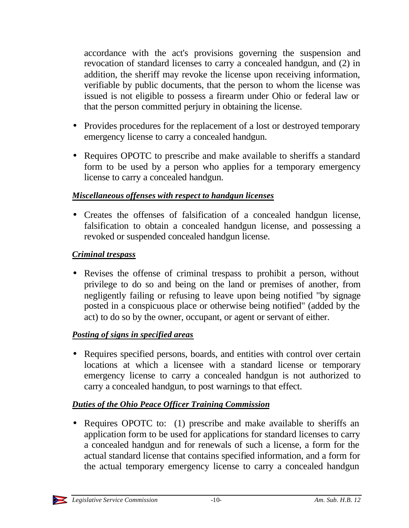accordance with the act's provisions governing the suspension and revocation of standard licenses to carry a concealed handgun, and (2) in addition, the sheriff may revoke the license upon receiving information, verifiable by public documents, that the person to whom the license was issued is not eligible to possess a firearm under Ohio or federal law or that the person committed perjury in obtaining the license.

- Provides procedures for the replacement of a lost or destroyed temporary emergency license to carry a concealed handgun.
- Requires OPOTC to prescribe and make available to sheriffs a standard form to be used by a person who applies for a temporary emergency license to carry a concealed handgun.

### *Miscellaneous offenses with respect to handgun licenses*

• Creates the offenses of falsification of a concealed handgun license, falsification to obtain a concealed handgun license, and possessing a revoked or suspended concealed handgun license.

# *Criminal trespass*

• Revises the offense of criminal trespass to prohibit a person, without privilege to do so and being on the land or premises of another, from negligently failing or refusing to leave upon being notified "by signage posted in a conspicuous place or otherwise being notified" (added by the act) to do so by the owner, occupant, or agent or servant of either.

# *Posting of signs in specified areas*

• Requires specified persons, boards, and entities with control over certain locations at which a licensee with a standard license or temporary emergency license to carry a concealed handgun is not authorized to carry a concealed handgun, to post warnings to that effect.

# *Duties of the Ohio Peace Officer Training Commission*

• Requires OPOTC to: (1) prescribe and make available to sheriffs an application form to be used for applications for standard licenses to carry a concealed handgun and for renewals of such a license, a form for the actual standard license that contains specified information, and a form for the actual temporary emergency license to carry a concealed handgun

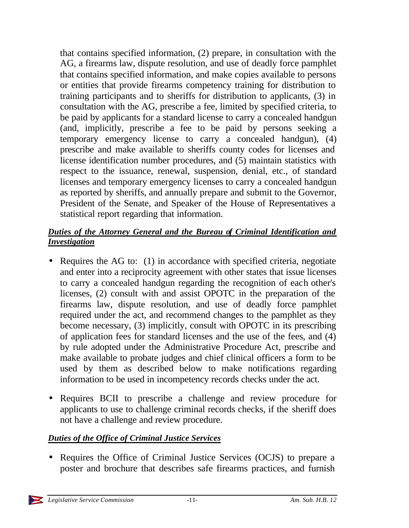that contains specified information, (2) prepare, in consultation with the AG, a firearms law, dispute resolution, and use of deadly force pamphlet that contains specified information, and make copies available to persons or entities that provide firearms competency training for distribution to training participants and to sheriffs for distribution to applicants, (3) in consultation with the AG, prescribe a fee, limited by specified criteria, to be paid by applicants for a standard license to carry a concealed handgun (and, implicitly, prescribe a fee to be paid by persons seeking a temporary emergency license to carry a concealed handgun), (4) prescribe and make available to sheriffs county codes for licenses and license identification number procedures, and (5) maintain statistics with respect to the issuance, renewal, suspension, denial, etc., of standard licenses and temporary emergency licenses to carry a concealed handgun as reported by sheriffs, and annually prepare and submit to the Governor, President of the Senate, and Speaker of the House of Representatives a statistical report regarding that information.

### *Duties of the Attorney General and the Bureau of Criminal Identification and Investigation*

- Requires the AG to: (1) in accordance with specified criteria, negotiate and enter into a reciprocity agreement with other states that issue licenses to carry a concealed handgun regarding the recognition of each other's licenses, (2) consult with and assist OPOTC in the preparation of the firearms law, dispute resolution, and use of deadly force pamphlet required under the act, and recommend changes to the pamphlet as they become necessary, (3) implicitly, consult with OPOTC in its prescribing of application fees for standard licenses and the use of the fees, and (4) by rule adopted under the Administrative Procedure Act, prescribe and make available to probate judges and chief clinical officers a form to be used by them as described below to make notifications regarding information to be used in incompetency records checks under the act.
- Requires BCII to prescribe a challenge and review procedure for applicants to use to challenge criminal records checks, if the sheriff does not have a challenge and review procedure.

### *Duties of the Office of Criminal Justice Services*

• Requires the Office of Criminal Justice Services (OCJS) to prepare a poster and brochure that describes safe firearms practices, and furnish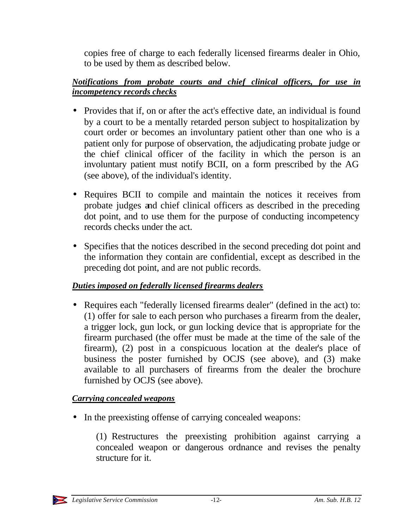copies free of charge to each federally licensed firearms dealer in Ohio, to be used by them as described below.

### *Notifications from probate courts and chief clinical officers, for use in incompetency records checks*

- Provides that if, on or after the act's effective date, an individual is found by a court to be a mentally retarded person subject to hospitalization by court order or becomes an involuntary patient other than one who is a patient only for purpose of observation, the adjudicating probate judge or the chief clinical officer of the facility in which the person is an involuntary patient must notify BCII, on a form prescribed by the AG (see above), of the individual's identity.
- Requires BCII to compile and maintain the notices it receives from probate judges and chief clinical officers as described in the preceding dot point, and to use them for the purpose of conducting incompetency records checks under the act.
- Specifies that the notices described in the second preceding dot point and the information they contain are confidential, except as described in the preceding dot point, and are not public records.

# *Duties imposed on federally licensed firearms dealers*

• Requires each "federally licensed firearms dealer" (defined in the act) to: (1) offer for sale to each person who purchases a firearm from the dealer, a trigger lock, gun lock, or gun locking device that is appropriate for the firearm purchased (the offer must be made at the time of the sale of the firearm), (2) post in a conspicuous location at the dealer's place of business the poster furnished by OCJS (see above), and (3) make available to all purchasers of firearms from the dealer the brochure furnished by OCJS (see above).

# *Carrying concealed weapons*

• In the preexisting offense of carrying concealed weapons:

(1) Restructures the preexisting prohibition against carrying a concealed weapon or dangerous ordnance and revises the penalty structure for it.

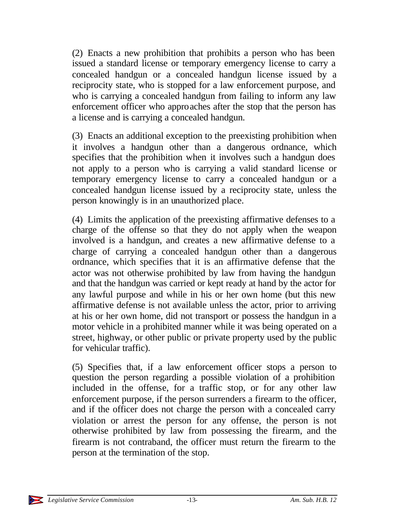(2) Enacts a new prohibition that prohibits a person who has been issued a standard license or temporary emergency license to carry a concealed handgun or a concealed handgun license issued by a reciprocity state, who is stopped for a law enforcement purpose, and who is carrying a concealed handgun from failing to inform any law enforcement officer who approaches after the stop that the person has a license and is carrying a concealed handgun.

(3) Enacts an additional exception to the preexisting prohibition when it involves a handgun other than a dangerous ordnance, which specifies that the prohibition when it involves such a handgun does not apply to a person who is carrying a valid standard license or temporary emergency license to carry a concealed handgun or a concealed handgun license issued by a reciprocity state, unless the person knowingly is in an unauthorized place.

(4) Limits the application of the preexisting affirmative defenses to a charge of the offense so that they do not apply when the weapon involved is a handgun, and creates a new affirmative defense to a charge of carrying a concealed handgun other than a dangerous ordnance, which specifies that it is an affirmative defense that the actor was not otherwise prohibited by law from having the handgun and that the handgun was carried or kept ready at hand by the actor for any lawful purpose and while in his or her own home (but this new affirmative defense is not available unless the actor, prior to arriving at his or her own home, did not transport or possess the handgun in a motor vehicle in a prohibited manner while it was being operated on a street, highway, or other public or private property used by the public for vehicular traffic).

(5) Specifies that, if a law enforcement officer stops a person to question the person regarding a possible violation of a prohibition included in the offense, for a traffic stop, or for any other law enforcement purpose, if the person surrenders a firearm to the officer, and if the officer does not charge the person with a concealed carry violation or arrest the person for any offense, the person is not otherwise prohibited by law from possessing the firearm, and the firearm is not contraband, the officer must return the firearm to the person at the termination of the stop.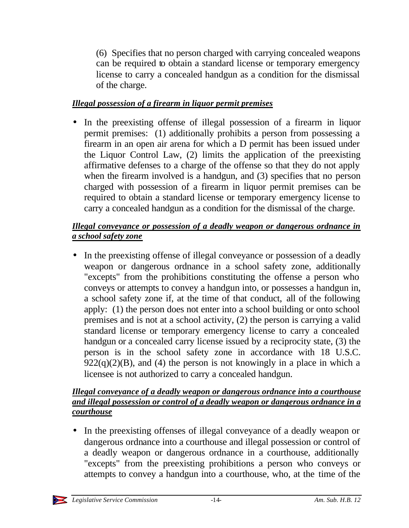(6) Specifies that no person charged with carrying concealed weapons can be required to obtain a standard license or temporary emergency license to carry a concealed handgun as a condition for the dismissal of the charge.

### *Illegal possession of a firearm in liquor permit premises*

• In the preexisting offense of illegal possession of a firearm in liquor permit premises: (1) additionally prohibits a person from possessing a firearm in an open air arena for which a D permit has been issued under the Liquor Control Law, (2) limits the application of the preexisting affirmative defenses to a charge of the offense so that they do not apply when the firearm involved is a handgun, and (3) specifies that no person charged with possession of a firearm in liquor permit premises can be required to obtain a standard license or temporary emergency license to carry a concealed handgun as a condition for the dismissal of the charge.

### *Illegal conveyance or possession of a deadly weapon or dangerous ordnance in a school safety zone*

• In the preexisting offense of illegal conveyance or possession of a deadly weapon or dangerous ordnance in a school safety zone, additionally "excepts" from the prohibitions constituting the offense a person who conveys or attempts to convey a handgun into, or possesses a handgun in, a school safety zone if, at the time of that conduct, all of the following apply: (1) the person does not enter into a school building or onto school premises and is not at a school activity, (2) the person is carrying a valid standard license or temporary emergency license to carry a concealed handgun or a concealed carry license issued by a reciprocity state, (3) the person is in the school safety zone in accordance with 18 U.S.C.  $922(q)(2)(B)$ , and (4) the person is not knowingly in a place in which a licensee is not authorized to carry a concealed handgun.

### *Illegal conveyance of a deadly weapon or dangerous ordnance into a courthouse and illegal possession or control of a deadly weapon or dangerous ordnance in a courthouse*

• In the preexisting offenses of illegal conveyance of a deadly weapon or dangerous ordnance into a courthouse and illegal possession or control of a deadly weapon or dangerous ordnance in a courthouse, additionally "excepts" from the preexisting prohibitions a person who conveys or attempts to convey a handgun into a courthouse, who, at the time of the

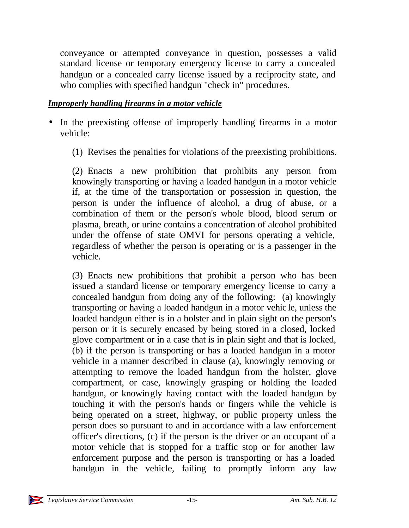conveyance or attempted conveyance in question, possesses a valid standard license or temporary emergency license to carry a concealed handgun or a concealed carry license issued by a reciprocity state, and who complies with specified handgun "check in" procedures.

#### *Improperly handling firearms in a motor vehicle*

- In the preexisting offense of improperly handling firearms in a motor vehicle:
	- (1) Revises the penalties for violations of the preexisting prohibitions.

(2) Enacts a new prohibition that prohibits any person from knowingly transporting or having a loaded handgun in a motor vehicle if, at the time of the transportation or possession in question, the person is under the influence of alcohol, a drug of abuse, or a combination of them or the person's whole blood, blood serum or plasma, breath, or urine contains a concentration of alcohol prohibited under the offense of state OMVI for persons operating a vehicle, regardless of whether the person is operating or is a passenger in the vehicle.

(3) Enacts new prohibitions that prohibit a person who has been issued a standard license or temporary emergency license to carry a concealed handgun from doing any of the following: (a) knowingly transporting or having a loaded handgun in a motor vehic le, unless the loaded handgun either is in a holster and in plain sight on the person's person or it is securely encased by being stored in a closed, locked glove compartment or in a case that is in plain sight and that is locked, (b) if the person is transporting or has a loaded handgun in a motor vehicle in a manner described in clause (a), knowingly removing or attempting to remove the loaded handgun from the holster, glove compartment, or case, knowingly grasping or holding the loaded handgun, or knowingly having contact with the loaded handgun by touching it with the person's hands or fingers while the vehicle is being operated on a street, highway, or public property unless the person does so pursuant to and in accordance with a law enforcement officer's directions, (c) if the person is the driver or an occupant of a motor vehicle that is stopped for a traffic stop or for another law enforcement purpose and the person is transporting or has a loaded handgun in the vehicle, failing to promptly inform any law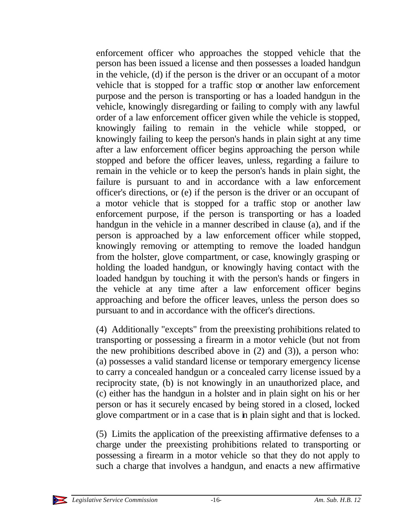enforcement officer who approaches the stopped vehicle that the person has been issued a license and then possesses a loaded handgun in the vehicle, (d) if the person is the driver or an occupant of a motor vehicle that is stopped for a traffic stop or another law enforcement purpose and the person is transporting or has a loaded handgun in the vehicle, knowingly disregarding or failing to comply with any lawful order of a law enforcement officer given while the vehicle is stopped, knowingly failing to remain in the vehicle while stopped, or knowingly failing to keep the person's hands in plain sight at any time after a law enforcement officer begins approaching the person while stopped and before the officer leaves, unless, regarding a failure to remain in the vehicle or to keep the person's hands in plain sight, the failure is pursuant to and in accordance with a law enforcement officer's directions, or (e) if the person is the driver or an occupant of a motor vehicle that is stopped for a traffic stop or another law enforcement purpose, if the person is transporting or has a loaded handgun in the vehicle in a manner described in clause (a), and if the person is approached by a law enforcement officer while stopped, knowingly removing or attempting to remove the loaded handgun from the holster, glove compartment, or case, knowingly grasping or holding the loaded handgun, or knowingly having contact with the loaded handgun by touching it with the person's hands or fingers in the vehicle at any time after a law enforcement officer begins approaching and before the officer leaves, unless the person does so pursuant to and in accordance with the officer's directions.

(4) Additionally "excepts" from the preexisting prohibitions related to transporting or possessing a firearm in a motor vehicle (but not from the new prohibitions described above in (2) and (3)), a person who: (a) possesses a valid standard license or temporary emergency license to carry a concealed handgun or a concealed carry license issued by a reciprocity state, (b) is not knowingly in an unauthorized place, and (c) either has the handgun in a holster and in plain sight on his or her person or has it securely encased by being stored in a closed, locked glove compartment or in a case that is in plain sight and that is locked.

(5) Limits the application of the preexisting affirmative defenses to a charge under the preexisting prohibitions related to transporting or possessing a firearm in a motor vehicle so that they do not apply to such a charge that involves a handgun, and enacts a new affirmative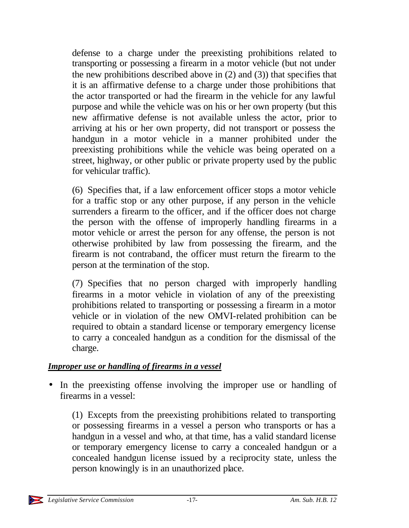defense to a charge under the preexisting prohibitions related to transporting or possessing a firearm in a motor vehicle (but not under the new prohibitions described above in (2) and (3)) that specifies that it is an affirmative defense to a charge under those prohibitions that the actor transported or had the firearm in the vehicle for any lawful purpose and while the vehicle was on his or her own property (but this new affirmative defense is not available unless the actor, prior to arriving at his or her own property, did not transport or possess the handgun in a motor vehicle in a manner prohibited under the preexisting prohibitions while the vehicle was being operated on a street, highway, or other public or private property used by the public for vehicular traffic).

(6) Specifies that, if a law enforcement officer stops a motor vehicle for a traffic stop or any other purpose, if any person in the vehicle surrenders a firearm to the officer, and if the officer does not charge the person with the offense of improperly handling firearms in a motor vehicle or arrest the person for any offense, the person is not otherwise prohibited by law from possessing the firearm, and the firearm is not contraband, the officer must return the firearm to the person at the termination of the stop.

(7) Specifies that no person charged with improperly handling firearms in a motor vehicle in violation of any of the preexisting prohibitions related to transporting or possessing a firearm in a motor vehicle or in violation of the new OMVI-related prohibition can be required to obtain a standard license or temporary emergency license to carry a concealed handgun as a condition for the dismissal of the charge.

### *Improper use or handling of firearms in a vessel*

• In the preexisting offense involving the improper use or handling of firearms in a vessel:

(1) Excepts from the preexisting prohibitions related to transporting or possessing firearms in a vessel a person who transports or has a handgun in a vessel and who, at that time, has a valid standard license or temporary emergency license to carry a concealed handgun or a concealed handgun license issued by a reciprocity state, unless the person knowingly is in an unauthorized place.

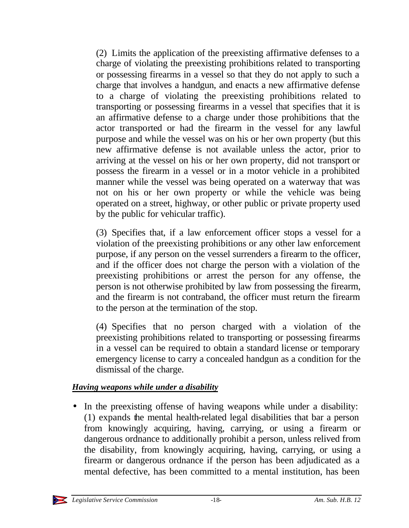(2) Limits the application of the preexisting affirmative defenses to a charge of violating the preexisting prohibitions related to transporting or possessing firearms in a vessel so that they do not apply to such a charge that involves a handgun, and enacts a new affirmative defense to a charge of violating the preexisting prohibitions related to transporting or possessing firearms in a vessel that specifies that it is an affirmative defense to a charge under those prohibitions that the actor transported or had the firearm in the vessel for any lawful purpose and while the vessel was on his or her own property (but this new affirmative defense is not available unless the actor, prior to arriving at the vessel on his or her own property, did not transport or possess the firearm in a vessel or in a motor vehicle in a prohibited manner while the vessel was being operated on a waterway that was not on his or her own property or while the vehicle was being operated on a street, highway, or other public or private property used by the public for vehicular traffic).

(3) Specifies that, if a law enforcement officer stops a vessel for a violation of the preexisting prohibitions or any other law enforcement purpose, if any person on the vessel surrenders a firearm to the officer, and if the officer does not charge the person with a violation of the preexisting prohibitions or arrest the person for any offense, the person is not otherwise prohibited by law from possessing the firearm, and the firearm is not contraband, the officer must return the firearm to the person at the termination of the stop.

(4) Specifies that no person charged with a violation of the preexisting prohibitions related to transporting or possessing firearms in a vessel can be required to obtain a standard license or temporary emergency license to carry a concealed handgun as a condition for the dismissal of the charge.

### *Having weapons while under a disability*

• In the preexisting offense of having weapons while under a disability: (1) expands the mental health-related legal disabilities that bar a person from knowingly acquiring, having, carrying, or using a firearm or dangerous ordnance to additionally prohibit a person, unless relived from the disability, from knowingly acquiring, having, carrying, or using a firearm or dangerous ordnance if the person has been adjudicated as a mental defective, has been committed to a mental institution, has been

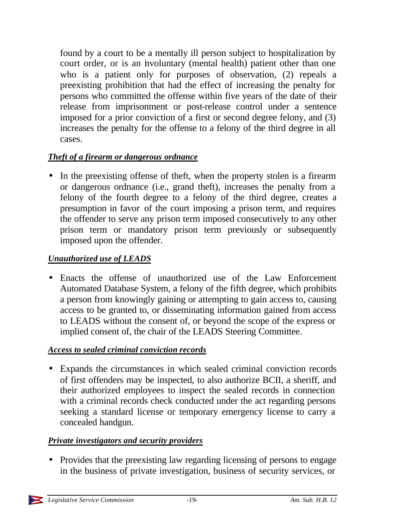found by a court to be a mentally ill person subject to hospitalization by court order, or is an involuntary (mental health) patient other than one who is a patient only for purposes of observation, (2) repeals a preexisting prohibition that had the effect of increasing the penalty for persons who committed the offense within five years of the date of their release from imprisonment or post-release control under a sentence imposed for a prior conviction of a first or second degree felony, and (3) increases the penalty for the offense to a felony of the third degree in all cases.

# *Theft of a firearm or dangerous ordnance*

• In the preexisting offense of theft, when the property stolen is a firearm or dangerous ordnance (i.e., grand theft), increases the penalty from a felony of the fourth degree to a felony of the third degree, creates a presumption in favor of the court imposing a prison term, and requires the offender to serve any prison term imposed consecutively to any other prison term or mandatory prison term previously or subsequently imposed upon the offender.

### *Unauthorized use of LEADS*

• Enacts the offense of unauthorized use of the Law Enforcement Automated Database System, a felony of the fifth degree, which prohibits a person from knowingly gaining or attempting to gain access to, causing access to be granted to, or disseminating information gained from access to LEADS without the consent of, or beyond the scope of the express or implied consent of, the chair of the LEADS Steering Committee.

### *Access to sealed criminal conviction records*

• Expands the circumstances in which sealed criminal conviction records of first offenders may be inspected, to also authorize BCII, a sheriff, and their authorized employees to inspect the sealed records in connection with a criminal records check conducted under the act regarding persons seeking a standard license or temporary emergency license to carry a concealed handgun.

### *Private investigators and security providers*

• Provides that the preexisting law regarding licensing of persons to engage in the business of private investigation, business of security services, or

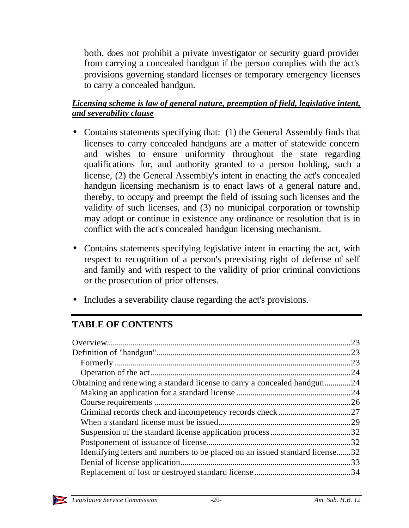both, does not prohibit a private investigator or security guard provider from carrying a concealed handgun if the person complies with the act's provisions governing standard licenses or temporary emergency licenses to carry a concealed handgun.

### *Licensing scheme is law of general nature, preemption of field, legislative intent, and severability clause*

- Contains statements specifying that: (1) the General Assembly finds that licenses to carry concealed handguns are a matter of statewide concern and wishes to ensure uniformity throughout the state regarding qualifications for, and authority granted to a person holding, such a license, (2) the General Assembly's intent in enacting the act's concealed handgun licensing mechanism is to enact laws of a general nature and, thereby, to occupy and preempt the field of issuing such licenses and the validity of such licenses, and (3) no municipal corporation or township may adopt or continue in existence any ordinance or resolution that is in conflict with the act's concealed handgun licensing mechanism.
- Contains statements specifying legislative intent in enacting the act, with respect to recognition of a person's preexisting right of defense of self and family and with respect to the validity of prior criminal convictions or the prosecution of prior offenses.
- Includes a severability clause regarding the act's provisions.

# **TABLE OF CONTENTS**

|                                                                            | .23 |
|----------------------------------------------------------------------------|-----|
|                                                                            |     |
|                                                                            |     |
|                                                                            | .24 |
| Obtaining and renewing a standard license to carry a concealed handgun24   |     |
|                                                                            |     |
|                                                                            |     |
|                                                                            |     |
|                                                                            |     |
|                                                                            |     |
|                                                                            | .32 |
| Identifying letters and numbers to be placed on an issued standard license | .32 |
|                                                                            | .33 |
|                                                                            |     |
|                                                                            |     |

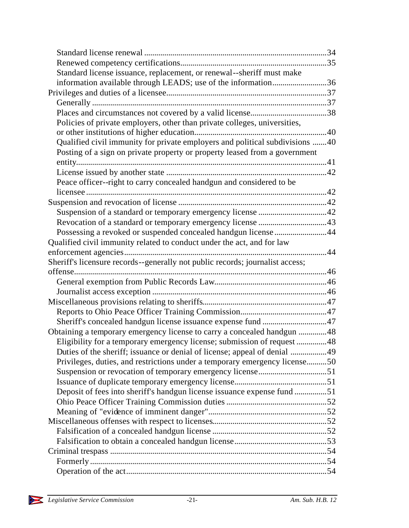| Standard license issuance, replacement, or renewal--sheriff must make         |  |
|-------------------------------------------------------------------------------|--|
| information available through LEADS; use of the information36                 |  |
|                                                                               |  |
|                                                                               |  |
|                                                                               |  |
| Policies of private employers, other than private colleges, universities,     |  |
|                                                                               |  |
| Qualified civil immunity for private employers and political subdivisions 40  |  |
| Posting of a sign on private property or property leased from a government    |  |
|                                                                               |  |
|                                                                               |  |
| Peace officer--right to carry concealed handgun and considered to be          |  |
|                                                                               |  |
|                                                                               |  |
|                                                                               |  |
|                                                                               |  |
| Possessing a revoked or suspended concealed handgun license 44                |  |
| Qualified civil immunity related to conduct under the act, and for law        |  |
|                                                                               |  |
| Sheriff's licensure records--generally not public records; journalist access; |  |
|                                                                               |  |
|                                                                               |  |
|                                                                               |  |
|                                                                               |  |
|                                                                               |  |
|                                                                               |  |
| Obtaining a temporary emergency license to carry a concealed handgun 48       |  |
| Eligibility for a temporary emergency license; submission of request 48       |  |
| Duties of the sheriff; issuance or denial of license; appeal of denial 49     |  |
| Privileges, duties, and restrictions under a temporary emergency license50    |  |
|                                                                               |  |
|                                                                               |  |
| Deposit of fees into sheriff's handgun license issuance expense fund 51       |  |
|                                                                               |  |
|                                                                               |  |
|                                                                               |  |
|                                                                               |  |
|                                                                               |  |
|                                                                               |  |
|                                                                               |  |
|                                                                               |  |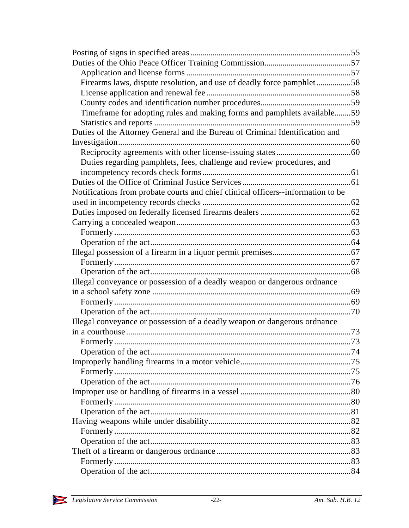| Firearms laws, dispute resolution, and use of deadly force pamphlet58            |  |
|----------------------------------------------------------------------------------|--|
|                                                                                  |  |
|                                                                                  |  |
| Timeframe for adopting rules and making forms and pamphlets available59          |  |
|                                                                                  |  |
| Duties of the Attorney General and the Bureau of Criminal Identification and     |  |
|                                                                                  |  |
|                                                                                  |  |
| Duties regarding pamphlets, fees, challenge and review procedures, and           |  |
|                                                                                  |  |
|                                                                                  |  |
| Notifications from probate courts and chief clinical officers--information to be |  |
|                                                                                  |  |
|                                                                                  |  |
|                                                                                  |  |
|                                                                                  |  |
|                                                                                  |  |
|                                                                                  |  |
|                                                                                  |  |
|                                                                                  |  |
| Illegal conveyance or possession of a deadly weapon or dangerous ordnance        |  |
|                                                                                  |  |
|                                                                                  |  |
|                                                                                  |  |
| Illegal conveyance or possession of a deadly weapon or dangerous ordnance        |  |
|                                                                                  |  |
|                                                                                  |  |
|                                                                                  |  |
|                                                                                  |  |
|                                                                                  |  |
|                                                                                  |  |
|                                                                                  |  |
|                                                                                  |  |
|                                                                                  |  |
|                                                                                  |  |
|                                                                                  |  |
|                                                                                  |  |
|                                                                                  |  |
|                                                                                  |  |
|                                                                                  |  |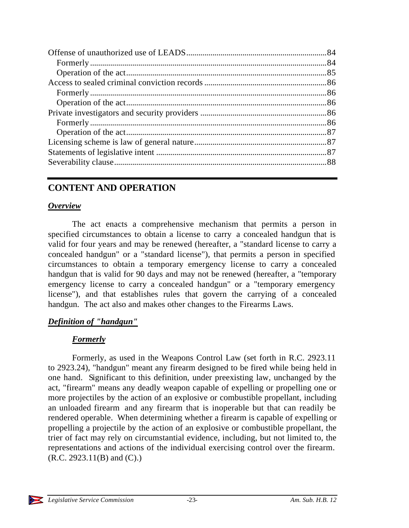# **CONTENT AND OPERATION**

#### *Overview*

The act enacts a comprehensive mechanism that permits a person in specified circumstances to obtain a license to carry a concealed handgun that is valid for four years and may be renewed (hereafter, a "standard license to carry a concealed handgun" or a "standard license"), that permits a person in specified circumstances to obtain a temporary emergency license to carry a concealed handgun that is valid for 90 days and may not be renewed (hereafter, a "temporary emergency license to carry a concealed handgun" or a "temporary emergency license"), and that establishes rules that govern the carrying of a concealed handgun. The act also and makes other changes to the Firearms Laws.

### *Definition of "handgun"*

#### *Formerly*

Formerly, as used in the Weapons Control Law (set forth in R.C. 2923.11 to 2923.24), "handgun" meant any firearm designed to be fired while being held in one hand. Significant to this definition, under preexisting law, unchanged by the act, "firearm" means any deadly weapon capable of expelling or propelling one or more projectiles by the action of an explosive or combustible propellant, including an unloaded firearm and any firearm that is inoperable but that can readily be rendered operable. When determining whether a firearm is capable of expelling or propelling a projectile by the action of an explosive or combustible propellant, the trier of fact may rely on circumstantial evidence, including, but not limited to, the representations and actions of the individual exercising control over the firearm.  $(R.C. 2923.11(B)$  and  $(C).$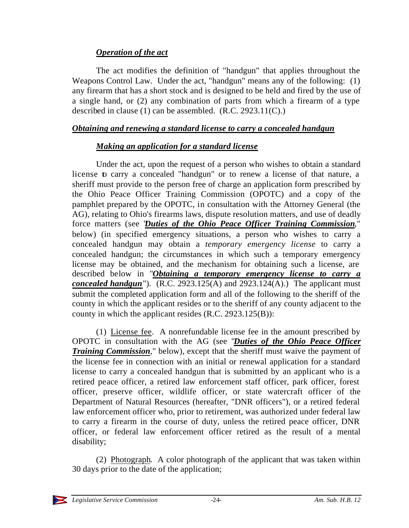### *Operation of the act*

The act modifies the definition of "handgun" that applies throughout the Weapons Control Law. Under the act, "handgun" means any of the following: (1) any firearm that has a short stock and is designed to be held and fired by the use of a single hand, or (2) any combination of parts from which a firearm of a type described in clause (1) can be assembled. (R.C. 2923.11(C).)

#### *Obtaining and renewing a standard license to carry a concealed handgun*

### *Making an application for a standard license*

Under the act, upon the request of a person who wishes to obtain a standard license to carry a concealed "handgun" or to renew a license of that nature, a sheriff must provide to the person free of charge an application form prescribed by the Ohio Peace Officer Training Commission (OPOTC) and a copy of the pamphlet prepared by the OPOTC, in consultation with the Attorney General (the AG), relating to Ohio's firearms laws, dispute resolution matters, and use of deadly force matters (see "*Duties of the Ohio Peace Officer Training Commission*," below) (in specified emergency situations, a person who wishes to carry a concealed handgun may obtain a *temporary emergency license* to carry a concealed handgun; the circumstances in which such a temporary emergency license may be obtained, and the mechanism for obtaining such a license, are described below in "*Obtaining a temporary emergency license to carry a concealed handgun*"). (R.C. 2923.125(A) and 2923.124(A).) The applicant must submit the completed application form and all of the following to the sheriff of the county in which the applicant resides or to the sheriff of any county adjacent to the county in which the applicant resides (R.C. 2923.125(B)):

(1) License fee. A nonrefundable license fee in the amount prescribed by OPOTC in consultation with the AG (see "*Duties of the Ohio Peace Officer Training Commission*," below), except that the sheriff must waive the payment of the license fee in connection with an initial or renewal application for a standard license to carry a concealed handgun that is submitted by an applicant who is a retired peace officer, a retired law enforcement staff officer, park officer, forest officer, preserve officer, wildlife officer, or state watercraft officer of the Department of Natural Resources (hereafter, "DNR officers"), or a retired federal law enforcement officer who, prior to retirement, was authorized under federal law to carry a firearm in the course of duty, unless the retired peace officer, DNR officer, or federal law enforcement officer retired as the result of a mental disability;

(2) Photograph. A color photograph of the applicant that was taken within 30 days prior to the date of the application;

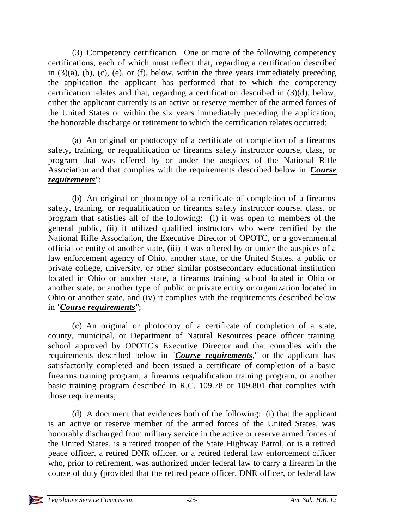(3) Competency certification. One or more of the following competency certifications, each of which must reflect that, regarding a certification described in  $(3)(a)$ ,  $(b)$ ,  $(c)$ ,  $(e)$ ,  $o$ r  $(f)$ , below, within the three years immediately preceding the application the applicant has performed that to which the competency certification relates and that, regarding a certification described in (3)(d), below, either the applicant currently is an active or reserve member of the armed forces of the United States or within the six years immediately preceding the application, the honorable discharge or retirement to which the certification relates occurred:

(a) An original or photocopy of a certificate of completion of a firearms safety, training, or requalification or firearms safety instructor course, class, or program that was offered by or under the auspices of the National Rifle Association and that complies with the requirements described below in "*Course requirements*";

(b) An original or photocopy of a certificate of completion of a firearms safety, training, or requalification or firearms safety instructor course, class, or program that satisfies all of the following: (i) it was open to members of the general public, (ii) it utilized qualified instructors who were certified by the National Rifle Association, the Executive Director of OPOTC, or a governmental official or entity of another state, (iii) it was offered by or under the auspices of a law enforcement agency of Ohio, another state, or the United States, a public or private college, university, or other similar postsecondary educational institution located in Ohio or another state, a firearms training school located in Ohio or another state, or another type of public or private entity or organization located in Ohio or another state, and (iv) it complies with the requirements described below in "*Course requirements*";

(c) An original or photocopy of a certificate of completion of a state, county, municipal, or Department of Natural Resources peace officer training school approved by OPOTC's Executive Director and that complies with the requirements described below in "*Course requirements*," or the applicant has satisfactorily completed and been issued a certificate of completion of a basic firearms training program, a firearms requalification training program, or another basic training program described in R.C. 109.78 or 109.801 that complies with those requirements;

(d) A document that evidences both of the following: (i) that the applicant is an active or reserve member of the armed forces of the United States, was honorably discharged from military service in the active or reserve armed forces of the United States, is a retired trooper of the State Highway Patrol, or is a retired peace officer, a retired DNR officer, or a retired federal law enforcement officer who, prior to retirement, was authorized under federal law to carry a firearm in the course of duty (provided that the retired peace officer, DNR officer, or federal law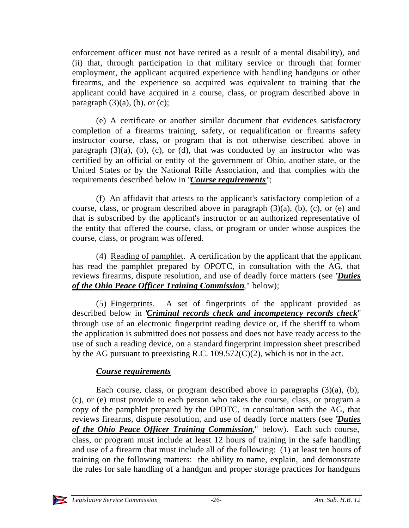enforcement officer must not have retired as a result of a mental disability), and (ii) that, through participation in that military service or through that former employment, the applicant acquired experience with handling handguns or other firearms, and the experience so acquired was equivalent to training that the applicant could have acquired in a course, class, or program described above in paragraph  $(3)(a)$ ,  $(b)$ , or  $(c)$ ;

(e) A certificate or another similar document that evidences satisfactory completion of a firearms training, safety, or requalification or firearms safety instructor course, class, or program that is not otherwise described above in paragraph  $(3)(a)$ ,  $(b)$ ,  $(c)$ , or  $(d)$ , that was conducted by an instructor who was certified by an official or entity of the government of Ohio, another state, or the United States or by the National Rifle Association, and that complies with the requirements described below in "*Course requirements*";

(f) An affidavit that attests to the applicant's satisfactory completion of a course, class, or program described above in paragraph  $(3)(a)$ ,  $(b)$ ,  $(c)$ , or  $(e)$  and that is subscribed by the applicant's instructor or an authorized representative of the entity that offered the course, class, or program or under whose auspices the course, class, or program was offered.

(4) Reading of pamphlet. A certification by the applicant that the applicant has read the pamphlet prepared by OPOTC, in consultation with the AG, that reviews firearms, dispute resolution, and use of deadly force matters (see "*Duties of the Ohio Peace Officer Training Commission*," below);

(5) Fingerprints. A set of fingerprints of the applicant provided as described below in "*Criminal records check and incompetency records check*" through use of an electronic fingerprint reading device or, if the sheriff to whom the application is submitted does not possess and does not have ready access to the use of such a reading device, on a standard fingerprint impression sheet prescribed by the AG pursuant to preexisting R.C. 109.572(C)(2), which is not in the act.

#### *Course requirements*

Each course, class, or program described above in paragraphs  $(3)(a)$ ,  $(b)$ , (c), or (e) must provide to each person who takes the course, class, or program a copy of the pamphlet prepared by the OPOTC, in consultation with the AG, that reviews firearms, dispute resolution, and use of deadly force matters (see "*Duties of the Ohio Peace Officer Training Commission*," below). Each such course, class, or program must include at least 12 hours of training in the safe handling and use of a firearm that must include all of the following: (1) at least ten hours of training on the following matters: the ability to name, explain, and demonstrate the rules for safe handling of a handgun and proper storage practices for handguns

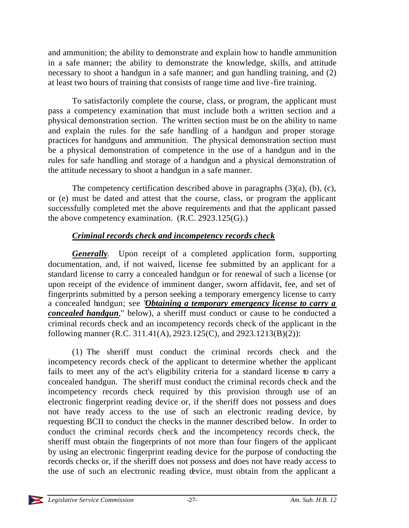and ammunition; the ability to demonstrate and explain how to handle ammunition in a safe manner; the ability to demonstrate the knowledge, skills, and attitude necessary to shoot a handgun in a safe manner; and gun handling training, and (2) at least two hours of training that consists of range time and live -fire training.

To satisfactorily complete the course, class, or program, the applicant must pass a competency examination that must include both a written section and a physical demonstration section. The written section must be on the ability to name and explain the rules for the safe handling of a handgun and proper storage practices for handguns and ammunition. The physical demonstration section must be a physical demonstration of competence in the use of a handgun and in the rules for safe handling and storage of a handgun and a physical demonstration of the attitude necessary to shoot a handgun in a safe manner.

The competency certification described above in paragraphs  $(3)(a)$ ,  $(b)$ ,  $(c)$ , or (e) must be dated and attest that the course, class, or program the applicant successfully completed met the above requirements and that the applicant passed the above competency examination. (R.C. 2923.125(G).)

### *Criminal records check and incompetency records check*

*Generally*. Upon receipt of a completed application form, supporting documentation, and, if not waived, license fee submitted by an applicant for a standard license to carry a concealed handgun or for renewal of such a license (or upon receipt of the evidence of imminent danger, sworn affidavit, fee, and set of fingerprints submitted by a person seeking a temporary emergency license to carry a concealed handgun; see "*Obtaining a temporary emergency license to carry a concealed handgun*," below), a sheriff must conduct or cause to be conducted a criminal records check and an incompetency records check of the applicant in the following manner (R.C. 311.41(A), 2923.125(C), and 2923.1213(B)(2)):

(1) The sheriff must conduct the criminal records check and the incompetency records check of the applicant to determine whether the applicant fails to meet any of the act's eligibility criteria for a standard license to carry a concealed handgun. The sheriff must conduct the criminal records check and the incompetency records check required by this provision through use of an electronic fingerprint reading device or, if the sheriff does not possess and does not have ready access to the use of such an electronic reading device, by requesting BCII to conduct the checks in the manner described below. In order to conduct the criminal records check and the incompetency records check, the sheriff must obtain the fingerprints of not more than four fingers of the applicant by using an electronic fingerprint reading device for the purpose of conducting the records checks or, if the sheriff does not possess and does not have ready access to the use of such an electronic reading device, must obtain from the applicant a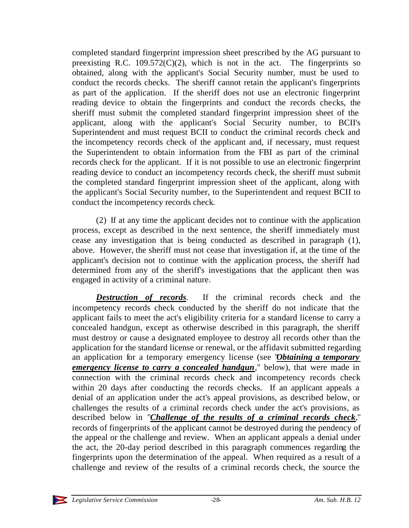completed standard fingerprint impression sheet prescribed by the AG pursuant to preexisting R.C. 109.572 $(C)(2)$ , which is not in the act. The fingerprints so obtained, along with the applicant's Social Security number, must be used to conduct the records checks. The sheriff cannot retain the applicant's fingerprints as part of the application. If the sheriff does not use an electronic fingerprint reading device to obtain the fingerprints and conduct the records checks, the sheriff must submit the completed standard fingerprint impression sheet of the applicant, along with the applicant's Social Security number, to BCII's Superintendent and must request BCII to conduct the criminal records check and the incompetency records check of the applicant and, if necessary, must request the Superintendent to obtain information from the FBI as part of the criminal records check for the applicant. If it is not possible to use an electronic fingerprint reading device to conduct an incompetency records check, the sheriff must submit the completed standard fingerprint impression sheet of the applicant, along with the applicant's Social Security number, to the Superintendent and request BCII to conduct the incompetency records check.

(2) If at any time the applicant decides not to continue with the application process, except as described in the next sentence, the sheriff immediately must cease any investigation that is being conducted as described in paragraph (1), above. However, the sheriff must not cease that investigation if, at the time of the applicant's decision not to continue with the application process, the sheriff had determined from any of the sheriff's investigations that the applicant then was engaged in activity of a criminal nature.

*Destruction of records*. If the criminal records check and the incompetency records check conducted by the sheriff do not indicate that the applicant fails to meet the act's eligibility criteria for a standard license to carry a concealed handgun, except as otherwise described in this paragraph, the sheriff must destroy or cause a designated employee to destroy all records other than the application for the standard license or renewal, or the affidavit submitted regarding an application for a temporary emergency license (see "*Obtaining a temporary emergency license to carry a concealed handgun*," below), that were made in connection with the criminal records check and incompetency records check within 20 days after conducting the records checks. If an applicant appeals a denial of an application under the act's appeal provisions, as described below, or challenges the results of a criminal records check under the act's provisions, as described below in "*Challenge of the results of a criminal records check*," records of fingerprints of the applicant cannot be destroyed during the pendency of the appeal or the challenge and review. When an applicant appeals a denial under the act, the 20-day period described in this paragraph commences regarding the fingerprints upon the determination of the appeal. When required as a result of a challenge and review of the results of a criminal records check, the source the

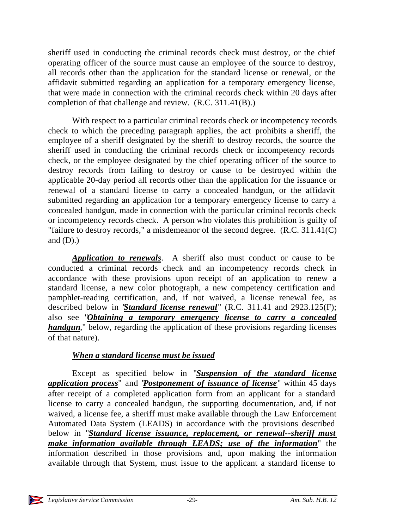sheriff used in conducting the criminal records check must destroy, or the chief operating officer of the source must cause an employee of the source to destroy, all records other than the application for the standard license or renewal, or the affidavit submitted regarding an application for a temporary emergency license, that were made in connection with the criminal records check within 20 days after completion of that challenge and review. (R.C. 311.41(B).)

With respect to a particular criminal records check or incompetency records check to which the preceding paragraph applies, the act prohibits a sheriff, the employee of a sheriff designated by the sheriff to destroy records, the source the sheriff used in conducting the criminal records check or incompetency records check, or the employee designated by the chief operating officer of the source to destroy records from failing to destroy or cause to be destroyed within the applicable 20-day period all records other than the application for the issuance or renewal of a standard license to carry a concealed handgun, or the affidavit submitted regarding an application for a temporary emergency license to carry a concealed handgun, made in connection with the particular criminal records check or incompetency records check. A person who violates this prohibition is guilty of "failure to destroy records," a misdemeanor of the second degree. (R.C. 311.41(C) and  $(D)$ .)

*Application to renewals*. A sheriff also must conduct or cause to be conducted a criminal records check and an incompetency records check in accordance with these provisions upon receipt of an application to renew a standard license, a new color photograph, a new competency certification and pamphlet-reading certification, and, if not waived, a license renewal fee, as described below in "*Standard license renewal*" (R.C. 311.41 and 2923.125(F); also see "*Obtaining a temporary emergency license to carry a concealed handgun*," below, regarding the application of these provisions regarding licenses of that nature).

### *When a standard license must be issued*

Except as specified below in "*Suspension of the standard license application process*" and "*Postponement of issuance of license*" within 45 days after receipt of a completed application form from an applicant for a standard license to carry a concealed handgun, the supporting documentation, and, if not waived, a license fee, a sheriff must make available through the Law Enforcement Automated Data System (LEADS) in accordance with the provisions described below in "*Standard license issuance, replacement, or renewal--sheriff must make information available through LEADS; use of the information*" the information described in those provisions and, upon making the information available through that System, must issue to the applicant a standard license to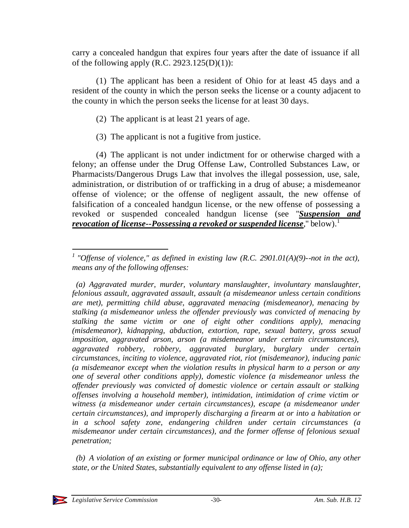carry a concealed handgun that expires four years after the date of issuance if all of the following apply  $(R.C. 2923.125(D)(1))$ :

(1) The applicant has been a resident of Ohio for at least 45 days and a resident of the county in which the person seeks the license or a county adjacent to the county in which the person seeks the license for at least 30 days.

- (2) The applicant is at least 21 years of age.
- (3) The applicant is not a fugitive from justice.

(4) The applicant is not under indictment for or otherwise charged with a felony; an offense under the Drug Offense Law, Controlled Substances Law, or Pharmacists/Dangerous Drugs Law that involves the illegal possession, use, sale, administration, or distribution of or trafficking in a drug of abuse; a misdemeanor offense of violence; or the offense of negligent assault, the new offense of falsification of a concealed handgun license, or the new offense of possessing a revoked or suspended concealed handgun license (see "*Suspension and revocation of license--Possessing a revoked or suspended license*," below).<sup>1</sup>

 *(b) A violation of an existing or former municipal ordinance or law of Ohio, any other state, or the United States, substantially equivalent to any offense listed in (a);*

l <sup>1</sup> "Offense of violence," as defined in existing law (R.C. 2901.01(A)(9)--not in the act), *means any of the following offenses:*

 *<sup>(</sup>a) Aggravated murder, murder, voluntary manslaughter, involuntary manslaughter, felonious assault, aggravated assault, assault (a misdemeanor unless certain conditions are met), permitting child abuse, aggravated menacing (misdemeanor), menacing by stalking (a misdemeanor unless the offender previously was convicted of menacing by stalking the same victim or one of eight other conditions apply), menacing (misdemeanor), kidnapping, abduction, extortion, rape, sexual battery, gross sexual imposition, aggravated arson, arson (a misdemeanor under certain circumstances), aggravated robbery, robbery, aggravated burglary, burglary under certain circumstances, inciting to violence, aggravated riot, riot (misdemeanor), inducing panic (a misdemeanor except when the violation results in physical harm to a person or any one of several other conditions apply), domestic violence (a misdemeanor unless the offender previously was convicted of domestic violence or certain assault or stalking offenses involving a household member), intimidation, intimidation of crime victim or witness (a misdemeanor under certain circumstances), escape (a misdemeanor under certain circumstances), and improperly discharging a firearm at or into a habitation or in a school safety zone, endangering children under certain circumstances (a misdemeanor under certain circumstances), and the former offense of felonious sexual penetration;*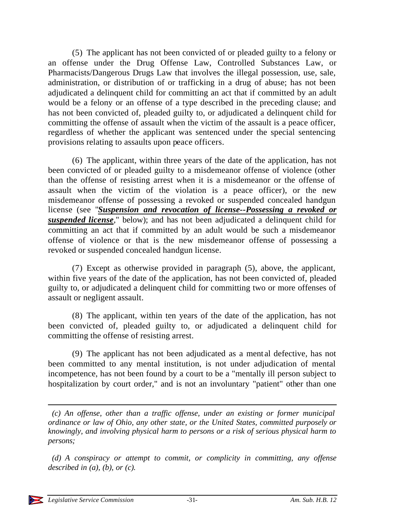(5) The applicant has not been convicted of or pleaded guilty to a felony or an offense under the Drug Offense Law, Controlled Substances Law, or Pharmacists/Dangerous Drugs Law that involves the illegal possession, use, sale, administration, or distribution of or trafficking in a drug of abuse; has not been adjudicated a delinquent child for committing an act that if committed by an adult would be a felony or an offense of a type described in the preceding clause; and has not been convicted of, pleaded guilty to, or adjudicated a delinquent child for committing the offense of assault when the victim of the assault is a peace officer, regardless of whether the applicant was sentenced under the special sentencing provisions relating to assaults upon peace officers.

(6) The applicant, within three years of the date of the application, has not been convicted of or pleaded guilty to a misdemeanor offense of violence (other than the offense of resisting arrest when it is a misdemeanor or the offense of assault when the victim of the violation is a peace officer), or the new misdemeanor offense of possessing a revoked or suspended concealed handgun license (see "*Suspension and revocation of license--Possessing a revoked or suspended license*," below); and has not been adjudicated a delinquent child for committing an act that if committed by an adult would be such a misdemeanor offense of violence or that is the new misdemeanor offense of possessing a revoked or suspended concealed handgun license.

(7) Except as otherwise provided in paragraph (5), above, the applicant, within five years of the date of the application, has not been convicted of, pleaded guilty to, or adjudicated a delinquent child for committing two or more offenses of assault or negligent assault.

(8) The applicant, within ten years of the date of the application, has not been convicted of, pleaded guilty to, or adjudicated a delinquent child for committing the offense of resisting arrest.

(9) The applicant has not been adjudicated as a ment al defective, has not been committed to any mental institution, is not under adjudication of mental incompetence, has not been found by a court to be a "mentally ill person subject to hospitalization by court order," and is not an involuntary "patient" other than one

 *(c) An offense, other than a traffic offense, under an existing or former municipal ordinance or law of Ohio, any other state, or the United States, committed purposely or knowingly, and involving physical harm to persons or a risk of serious physical harm to persons;*

 *(d) A conspiracy or attempt to commit, or complicity in committing, any offense described in (a), (b), or (c).*

l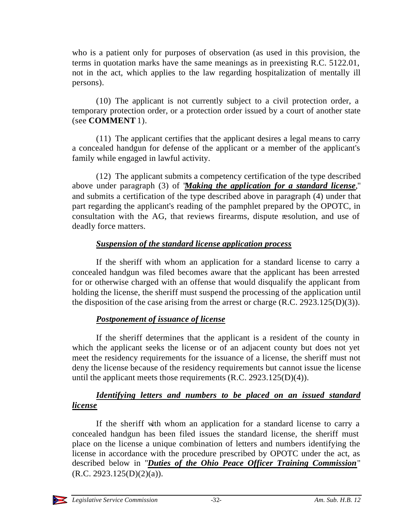who is a patient only for purposes of observation (as used in this provision, the terms in quotation marks have the same meanings as in preexisting R.C. 5122.01, not in the act, which applies to the law regarding hospitalization of mentally ill persons).

(10) The applicant is not currently subject to a civil protection order, a temporary protection order, or a protection order issued by a court of another state (see **COMMENT** 1).

(11) The applicant certifies that the applicant desires a legal means to carry a concealed handgun for defense of the applicant or a member of the applicant's family while engaged in lawful activity.

(12) The applicant submits a competency certification of the type described above under paragraph (3) of "*Making the application for a standard license*," and submits a certification of the type described above in paragraph (4) under that part regarding the applicant's reading of the pamphlet prepared by the OPOTC, in consultation with the AG, that reviews firearms, dispute resolution, and use of deadly force matters.

#### *Suspension of the standard license application process*

If the sheriff with whom an application for a standard license to carry a concealed handgun was filed becomes aware that the applicant has been arrested for or otherwise charged with an offense that would disqualify the applicant from holding the license, the sheriff must suspend the processing of the application until the disposition of the case arising from the arrest or charge (R.C. 2923.125(D)(3)).

#### *Postponement of issuance of license*

If the sheriff determines that the applicant is a resident of the county in which the applicant seeks the license or of an adjacent county but does not yet meet the residency requirements for the issuance of a license, the sheriff must not deny the license because of the residency requirements but cannot issue the license until the applicant meets those requirements (R.C. 2923.125(D)(4)).

#### *Identifying letters and numbers to be placed on an issued standard license*

If the sheriff with whom an application for a standard license to carry a concealed handgun has been filed issues the standard license, the sheriff must place on the license a unique combination of letters and numbers identifying the license in accordance with the procedure prescribed by OPOTC under the act, as described below in "*Duties of the Ohio Peace Officer Training Commission*"  $(R.C. 2923.125(D)(2)(a)).$ 

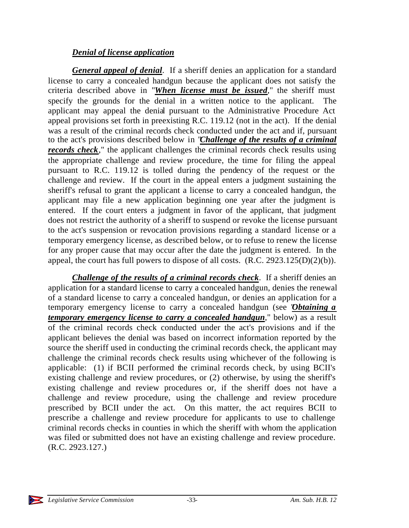#### *Denial of license application*

*General appeal of denial*. If a sheriff denies an application for a standard license to carry a concealed handgun because the applicant does not satisfy the criteria described above in "*When license must be issued*," the sheriff must specify the grounds for the denial in a written notice to the applicant. The applicant may appeal the denial pursuant to the Administrative Procedure Act appeal provisions set forth in preexisting R.C. 119.12 (not in the act). If the denial was a result of the criminal records check conducted under the act and if, pursuant to the act's provisions described below in "*Challenge of the results of a criminal records check*," the applicant challenges the criminal records check results using the appropriate challenge and review procedure, the time for filing the appeal pursuant to R.C. 119.12 is tolled during the pendency of the request or the challenge and review. If the court in the appeal enters a judgment sustaining the sheriff's refusal to grant the applicant a license to carry a concealed handgun, the applicant may file a new application beginning one year after the judgment is entered. If the court enters a judgment in favor of the applicant, that judgment does not restrict the authority of a sheriff to suspend or revoke the license pursuant to the act's suspension or revocation provisions regarding a standard license or a temporary emergency license, as described below, or to refuse to renew the license for any proper cause that may occur after the date the judgment is entered. In the appeal, the court has full powers to dispose of all costs. (R.C. 2923.125(D)(2)(b)).

*Challenge of the results of a criminal records check*. If a sheriff denies an application for a standard license to carry a concealed handgun, denies the renewal of a standard license to carry a concealed handgun, or denies an application for a temporary emergency license to carry a concealed handgun (see "*Obtaining a temporary emergency license to carry a concealed handgun*," below) as a result of the criminal records check conducted under the act's provisions and if the applicant believes the denial was based on incorrect information reported by the source the sheriff used in conducting the criminal records check, the applicant may challenge the criminal records check results using whichever of the following is applicable: (1) if BCII performed the criminal records check, by using BCII's existing challenge and review procedures, or (2) otherwise, by using the sheriff's existing challenge and review procedures or, if the sheriff does not have a challenge and review procedure, using the challenge and review procedure prescribed by BCII under the act. On this matter, the act requires BCII to prescribe a challenge and review procedure for applicants to use to challenge criminal records checks in counties in which the sheriff with whom the application was filed or submitted does not have an existing challenge and review procedure. (R.C. 2923.127.)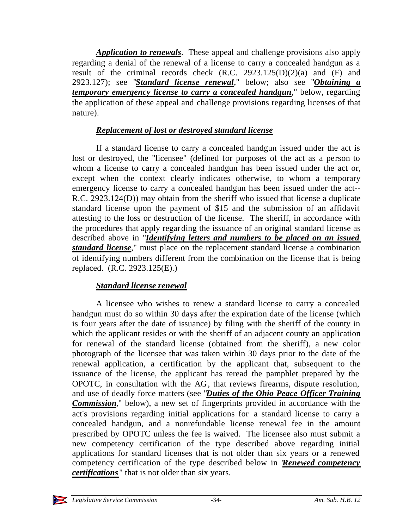*Application to renewals*. These appeal and challenge provisions also apply regarding a denial of the renewal of a license to carry a concealed handgun as a result of the criminal records check  $(R.C. 2923.125(D)(2)(a)$  and  $(F)$  and 2923.127); see "*Standard license renewal*," below; also see "*Obtaining a temporary emergency license to carry a concealed handgun*," below, regarding the application of these appeal and challenge provisions regarding licenses of that nature).

#### *Replacement of lost or destroyed standard license*

If a standard license to carry a concealed handgun issued under the act is lost or destroyed, the "licensee" (defined for purposes of the act as a person to whom a license to carry a concealed handgun has been issued under the act or, except when the context clearly indicates otherwise, to whom a temporary emergency license to carry a concealed handgun has been issued under the act-- R.C. 2923.124(D)) may obtain from the sheriff who issued that license a duplicate standard license upon the payment of \$15 and the submission of an affidavit attesting to the loss or destruction of the license. The sheriff, in accordance with the procedures that apply regarding the issuance of an original standard license as described above in "*Identifying letters and numbers to be placed on an issued standard license*," must place on the replacement standard license a combination of identifying numbers different from the combination on the license that is being replaced. (R.C. 2923.125(E).)

#### *Standard license renewal*

A licensee who wishes to renew a standard license to carry a concealed handgun must do so within 30 days after the expiration date of the license (which is four years after the date of issuance) by filing with the sheriff of the county in which the applicant resides or with the sheriff of an adjacent county an application for renewal of the standard license (obtained from the sheriff), a new color photograph of the licensee that was taken within 30 days prior to the date of the renewal application, a certification by the applicant that, subsequent to the issuance of the license, the applicant has reread the pamphlet prepared by the OPOTC, in consultation with the AG, that reviews firearms, dispute resolution, and use of deadly force matters (see "*Duties of the Ohio Peace Officer Training Commission*," below), a new set of fingerprints provided in accordance with the act's provisions regarding initial applications for a standard license to carry a concealed handgun, and a nonrefundable license renewal fee in the amount prescribed by OPOTC unless the fee is waived. The licensee also must submit a new competency certification of the type described above regarding initial applications for standard licenses that is not older than six years or a renewed competency certification of the type described below in "*Renewed competency certifications* " that is not older than six years.

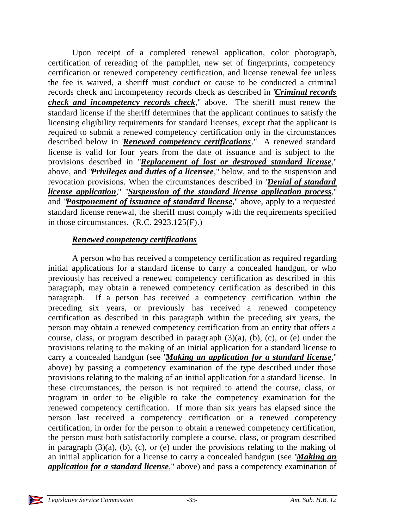Upon receipt of a completed renewal application, color photograph, certification of rereading of the pamphlet, new set of fingerprints, competency certification or renewed competency certification, and license renewal fee unless the fee is waived, a sheriff must conduct or cause to be conducted a criminal records check and incompetency records check as described in "*Criminal records check and incompetency records check*," above. The sheriff must renew the standard license if the sheriff determines that the applicant continues to satisfy the licensing eligibility requirements for standard licenses, except that the applicant is required to submit a renewed competency certification only in the circumstances described below in "*Renewed competency certifications*." A renewed standard license is valid for four years from the date of issuance and is subject to the provisions described in "*Replacement of lost or destroyed standard license*," above, and "*Privileges and duties of a licensee*," below, and to the suspension and revocation provisions. When the circumstances described in "*Denial of standard license application*," "*Suspension of the standard license application process*," and "*Postponement of issuance of standard license*," above, apply to a requested standard license renewal, the sheriff must comply with the requirements specified in those circumstances. (R.C. 2923.125(F).)

#### *Renewed competency certifications*

A person who has received a competency certification as required regarding initial applications for a standard license to carry a concealed handgun, or who previously has received a renewed competency certification as described in this paragraph, may obtain a renewed competency certification as described in this paragraph. If a person has received a competency certification within the preceding six years, or previously has received a renewed competency certification as described in this paragraph within the preceding six years, the person may obtain a renewed competency certification from an entity that offers a course, class, or program described in paragraph  $(3)(a)$ ,  $(b)$ ,  $(c)$ , or  $(e)$  under the provisions relating to the making of an initial application for a standard license to carry a concealed handgun (see "*Making an application for a standard license*," above) by passing a competency examination of the type described under those provisions relating to the making of an initial application for a standard license. In these circumstances, the person is not required to attend the course, class, or program in order to be eligible to take the competency examination for the renewed competency certification. If more than six years has elapsed since the person last received a competency certification or a renewed competency certification, in order for the person to obtain a renewed competency certification, the person must both satisfactorily complete a course, class, or program described in paragraph (3)(a), (b), (c), or (e) under the provisions relating to the making of an initial application for a license to carry a concealed handgun (see "*Making an application for a standard license*," above) and pass a competency examination of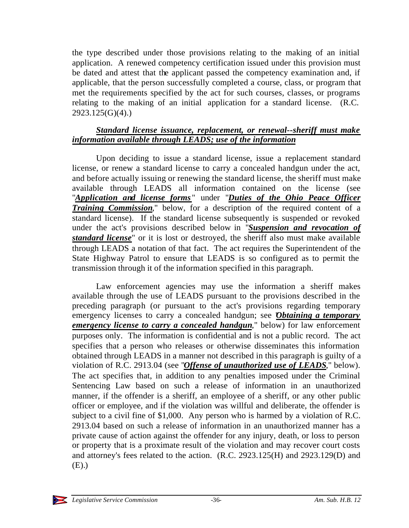the type described under those provisions relating to the making of an initial application. A renewed competency certification issued under this provision must be dated and attest that the applicant passed the competency examination and, if applicable, that the person successfully completed a course, class, or program that met the requirements specified by the act for such courses, classes, or programs relating to the making of an initial application for a standard license. (R.C. 2923.125(G)(4).)

#### *Standard license issuance, replacement, or renewal--sheriff must make information available through LEADS; use of the information*

Upon deciding to issue a standard license, issue a replacement standard license, or renew a standard license to carry a concealed handgun under the act, and before actually issuing or renewing the standard license, the sheriff must make available through LEADS all information contained on the license (see "*Application and license forms* " under "*Duties of the Ohio Peace Officer Training Commission*," below, for a description of the required content of a standard license). If the standard license subsequently is suspended or revoked under the act's provisions described below in "*Suspension and revocation of standard license*" or it is lost or destroyed, the sheriff also must make available through LEADS a notation of that fact. The act requires the Superintendent of the State Highway Patrol to ensure that LEADS is so configured as to permit the transmission through it of the information specified in this paragraph.

Law enforcement agencies may use the information a sheriff makes available through the use of LEADS pursuant to the provisions described in the preceding paragraph (or pursuant to the act's provisions regarding temporary emergency licenses to carry a concealed handgun; see *Obtaining a temporary emergency license to carry a concealed handgun*," below) for law enforcement purposes only. The information is confidential and is not a public record. The act specifies that a person who releases or otherwise disseminates this information obtained through LEADS in a manner not described in this paragraph is guilty of a violation of R.C. 2913.04 (see "*Offense of unauthorized use of LEADS*," below). The act specifies that, in addition to any penalties imposed under the Criminal Sentencing Law based on such a release of information in an unauthorized manner, if the offender is a sheriff, an employee of a sheriff, or any other public officer or employee, and if the violation was willful and deliberate, the offender is subject to a civil fine of \$1,000. Any person who is harmed by a violation of R.C. 2913.04 based on such a release of information in an unauthorized manner has a private cause of action against the offender for any injury, death, or loss to person or property that is a proximate result of the violation and may recover court costs and attorney's fees related to the action. (R.C. 2923.125(H) and 2923.129(D) and (E).)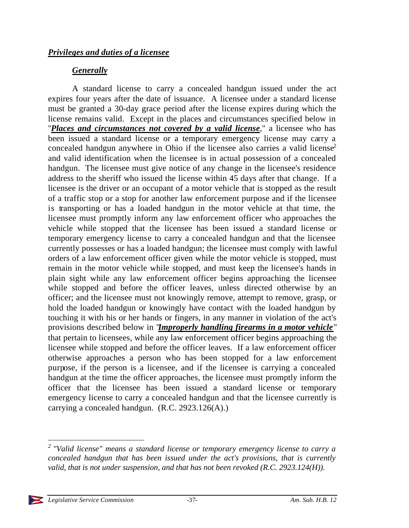# *Generally*

A standard license to carry a concealed handgun issued under the act expires four years after the date of issuance. A licensee under a standard license must be granted a 30-day grace period after the license expires during which the license remains valid. Except in the places and circumstances specified below in "*Places and circumstances not covered by a valid license*," a licensee who has been issued a standard license or a temporary emergency license may carry a concealed handgun anywhere in Ohio if the licensee also carries a valid license<sup>2</sup> and valid identification when the licensee is in actual possession of a concealed handgun. The licensee must give notice of any change in the licensee's residence address to the sheriff who issued the license within 45 days after that change. If a licensee is the driver or an occupant of a motor vehicle that is stopped as the result of a traffic stop or a stop for another law enforcement purpose and if the licensee is transporting or has a loaded handgun in the motor vehicle at that time, the licensee must promptly inform any law enforcement officer who approaches the vehicle while stopped that the licensee has been issued a standard license or temporary emergency license to carry a concealed handgun and that the licensee currently possesses or has a loaded handgun; the licensee must comply with lawful orders of a law enforcement officer given while the motor vehicle is stopped, must remain in the motor vehicle while stopped, and must keep the licensee's hands in plain sight while any law enforcement officer begins approaching the licensee while stopped and before the officer leaves, unless directed otherwise by an officer; and the licensee must not knowingly remove, attempt to remove, grasp, or hold the loaded handgun or knowingly have contact with the loaded handgun by touching it with his or her hands or fingers, in any manner in violation of the act's provisions described below in "*Improperly handling firearms in a motor vehicle*" that pertain to licensees, while any law enforcement officer begins approaching the licensee while stopped and before the officer leaves. If a law enforcement officer otherwise approaches a person who has been stopped for a law enforcement purpose, if the person is a licensee, and if the licensee is carrying a concealed handgun at the time the officer approaches, the licensee must promptly inform the officer that the licensee has been issued a standard license or temporary emergency license to carry a concealed handgun and that the licensee currently is carrying a concealed handgun. (R.C. 2923.126(A).)

l



*<sup>2</sup> "Valid license" means a standard license or temporary emergency license to carry a concealed handgun that has been issued under the act's provisions, that is currently valid, that is not under suspension, and that has not been revoked (R.C. 2923.124(H)).*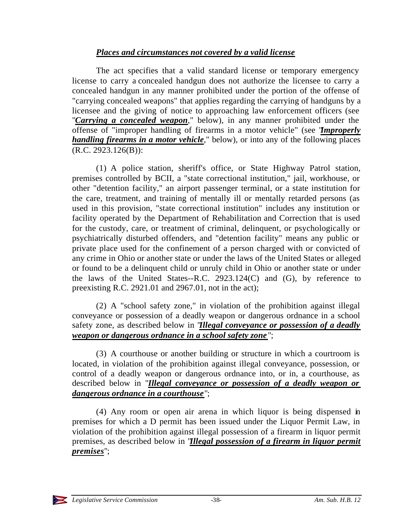# *Places and circumstances not covered by a valid license*

The act specifies that a valid standard license or temporary emergency license to carry a concealed handgun does not authorize the licensee to carry a concealed handgun in any manner prohibited under the portion of the offense of "carrying concealed weapons" that applies regarding the carrying of handguns by a licensee and the giving of notice to approaching law enforcement officers (see "*Carrying a concealed weapon*," below), in any manner prohibited under the offense of "improper handling of firearms in a motor vehicle" (see "*Improperly handling firearms in a motor vehicle*," below), or into any of the following places (R.C. 2923.126(B)):

(1) A police station, sheriff's office, or State Highway Patrol station, premises controlled by BCII, a "state correctional institution," jail, workhouse, or other "detention facility," an airport passenger terminal, or a state institution for the care, treatment, and training of mentally ill or mentally retarded persons (as used in this provision, "state correctional institution" includes any institution or facility operated by the Department of Rehabilitation and Correction that is used for the custody, care, or treatment of criminal, delinquent, or psychologically or psychiatrically disturbed offenders, and "detention facility" means any public or private place used for the confinement of a person charged with or convicted of any crime in Ohio or another state or under the laws of the United States or alleged or found to be a delinquent child or unruly child in Ohio or another state or under the laws of the United States--R.C. 2923.124(C) and (G), by reference to preexisting R.C. 2921.01 and 2967.01, not in the act);

(2) A "school safety zone," in violation of the prohibition against illegal conveyance or possession of a deadly weapon or dangerous ordnance in a school safety zone, as described below in "*Illegal conveyance or possession of a deadly weapon or dangerous ordnance in a school safety zone* ";

(3) A courthouse or another building or structure in which a courtroom is located, in violation of the prohibition against illegal conveyance, possession, or control of a deadly weapon or dangerous ordnance into, or in, a courthouse, as described below in "*Illegal conveyance or possession of a deadly weapon or dangerous ordnance in a courthouse*";

(4) Any room or open air arena in which liquor is being dispensed in premises for which a D permit has been issued under the Liquor Permit Law, in violation of the prohibition against illegal possession of a firearm in liquor permit premises, as described below in "*Illegal possession of a firearm in liquor permit premises*";

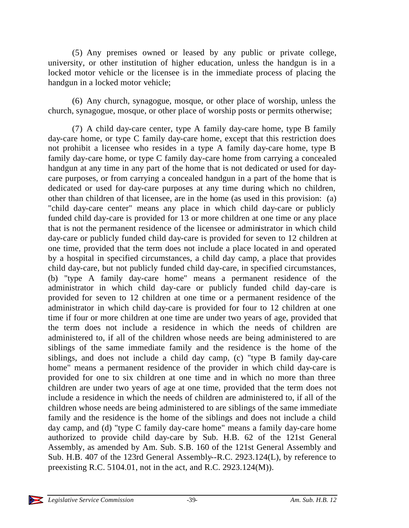(5) Any premises owned or leased by any public or private college, university, or other institution of higher education, unless the handgun is in a locked motor vehicle or the licensee is in the immediate process of placing the handgun in a locked motor vehicle;

(6) Any church, synagogue, mosque, or other place of worship, unless the church, synagogue, mosque, or other place of worship posts or permits otherwise;

(7) A child day-care center, type A family day-care home, type B family day-care home, or type C family day-care home, except that this restriction does not prohibit a licensee who resides in a type A family day-care home, type B family day-care home, or type C family day-care home from carrying a concealed handgun at any time in any part of the home that is not dedicated or used for daycare purposes, or from carrying a concealed handgun in a part of the home that is dedicated or used for day-care purposes at any time during which no children, other than children of that licensee, are in the home (as used in this provision: (a) "child day-care center" means any place in which child day-care or publicly funded child day-care is provided for 13 or more children at one time or any place that is not the permanent residence of the licensee or administrator in which child day-care or publicly funded child day-care is provided for seven to 12 children at one time, provided that the term does not include a place located in and operated by a hospital in specified circumstances, a child day camp, a place that provides child day-care, but not publicly funded child day-care, in specified circumstances, (b) "type A family day-care home" means a permanent residence of the administrator in which child day-care or publicly funded child day-care is provided for seven to 12 children at one time or a permanent residence of the administrator in which child day-care is provided for four to 12 children at one time if four or more children at one time are under two years of age, provided that the term does not include a residence in which the needs of children are administered to, if all of the children whose needs are being administered to are siblings of the same immediate family and the residence is the home of the siblings, and does not include a child day camp, (c) "type B family day-care home" means a permanent residence of the provider in which child day-care is provided for one to six children at one time and in which no more than three children are under two years of age at one time, provided that the term does not include a residence in which the needs of children are administered to, if all of the children whose needs are being administered to are siblings of the same immediate family and the residence is the home of the siblings and does not include a child day camp, and (d) "type C family day-care home" means a family day-care home authorized to provide child day-care by Sub. H.B. 62 of the 121st General Assembly, as amended by Am. Sub. S.B. 160 of the 121st General Assembly and Sub. H.B. 407 of the 123rd General Assembly--R.C. 2923.124(L), by reference to preexisting R.C. 5104.01, not in the act, and R.C. 2923.124(M)).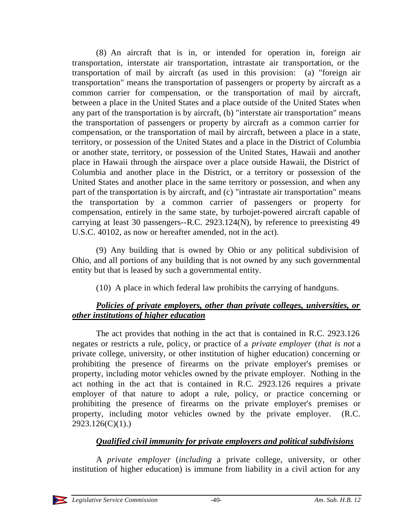(8) An aircraft that is in, or intended for operation in, foreign air transportation, interstate air transportation, intrastate air transportation, or the transportation of mail by aircraft (as used in this provision: (a) "foreign air transportation" means the transportation of passengers or property by aircraft as a common carrier for compensation, or the transportation of mail by aircraft, between a place in the United States and a place outside of the United States when any part of the transportation is by aircraft, (b) "interstate air transportation" means the transportation of passengers or property by aircraft as a common carrier for compensation, or the transportation of mail by aircraft, between a place in a state, territory, or possession of the United States and a place in the District of Columbia or another state, territory, or possession of the United States, Hawaii and another place in Hawaii through the airspace over a place outside Hawaii, the District of Columbia and another place in the District, or a territory or possession of the United States and another place in the same territory or possession, and when any part of the transportation is by aircraft, and (c) "intrastate air transportation" means the transportation by a common carrier of passengers or property for compensation, entirely in the same state, by turbojet-powered aircraft capable of carrying at least 30 passengers--R.C. 2923.124(N), by reference to preexisting 49 U.S.C. 40102, as now or hereafter amended, not in the act).

(9) Any building that is owned by Ohio or any political subdivision of Ohio, and all portions of any building that is not owned by any such governmental entity but that is leased by such a governmental entity.

(10) A place in which federal law prohibits the carrying of handguns.

# *Policies of private employers, other than private colleges, universities, or other institutions of higher education*

The act provides that nothing in the act that is contained in R.C. 2923.126 negates or restricts a rule, policy, or practice of a *private employer* (*that is not* a private college, university, or other institution of higher education) concerning or prohibiting the presence of firearms on the private employer's premises or property, including motor vehicles owned by the private employer. Nothing in the act nothing in the act that is contained in R.C. 2923.126 requires a private employer of that nature to adopt a rule, policy, or practice concerning or prohibiting the presence of firearms on the private employer's premises or property, including motor vehicles owned by the private employer. (R.C. 2923.126(C)(1).)

# *Qualified civil immunity for private employers and political subdivisions*

A *private employer* (*including* a private college, university, or other institution of higher education) is immune from liability in a civil action for any

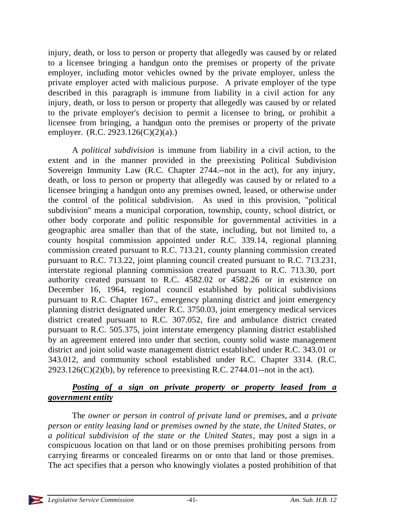injury, death, or loss to person or property that allegedly was caused by or related to a licensee bringing a handgun onto the premises or property of the private employer, including motor vehicles owned by the private employer, unless the private employer acted with malicious purpose. A private employer of the type described in this paragraph is immune from liability in a civil action for any injury, death, or loss to person or property that allegedly was caused by or related to the private employer's decision to permit a licensee to bring, or prohibit a licensee from bringing, a handgun onto the premises or property of the private employer. (R.C. 2923.126(C)(2)(a).)

A *political subdivision* is immune from liability in a civil action, to the extent and in the manner provided in the preexisting Political Subdivision Sovereign Immunity Law (R.C. Chapter 2744.--not in the act), for any injury, death, or loss to person or property that allegedly was caused by or related to a licensee bringing a handgun onto any premises owned, leased, or otherwise under the control of the political subdivision. As used in this provision, "political subdivision" means a municipal corporation, township, county, school district, or other body corporate and politic responsible for governmental activities in a geographic area smaller than that of the state, including, but not limited to, a county hospital commission appointed under R.C. 339.14, regional planning commission created pursuant to R.C. 713.21, county planning commission created pursuant to R.C. 713.22, joint planning council created pursuant to R.C. 713.231, interstate regional planning commission created pursuant to R.C. 713.30, port authority created pursuant to R.C. 4582.02 or 4582.26 or in existence on December 16, 1964, regional council established by political subdivisions pursuant to R.C. Chapter 167., emergency planning district and joint emergency planning district designated under R.C. 3750.03, joint emergency medical services district created pursuant to R.C. 307.052, fire and ambulance district created pursuant to R.C. 505.375, joint interstate emergency planning district established by an agreement entered into under that section, county solid waste management district and joint solid waste management district established under R.C. 343.01 or 343.012, and community school established under R.C. Chapter 3314. (R.C.  $2923.126(C)(2)(b)$ , by reference to preexisting R.C. 2744.01--not in the act).

# *Posting of a sign on private property or property leased from a government entity*

The *owner or person in control of private land or premises*, and *a private person or entity leasing land or premises owned by the state, the United States, or a political subdivision of the state or the United States*, may post a sign in a conspicuous location on that land or on those premises prohibiting persons from carrying firearms or concealed firearms on or onto that land or those premises. The act specifies that a person who knowingly violates a posted prohibition of that

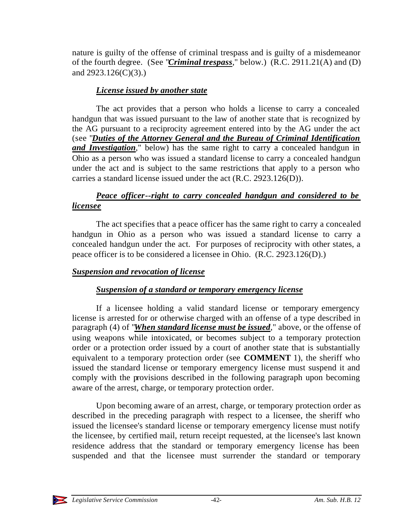nature is guilty of the offense of criminal trespass and is guilty of a misdemeanor of the fourth degree. (See "*Criminal trespass*," below.) (R.C. 2911.21(A) and (D) and 2923.126(C)(3).)

# *License issued by another state*

The act provides that a person who holds a license to carry a concealed handgun that was issued pursuant to the law of another state that is recognized by the AG pursuant to a reciprocity agreement entered into by the AG under the act (see "*Duties of the Attorney General and the Bureau of Criminal Identification and Investigation*," below) has the same right to carry a concealed handgun in Ohio as a person who was issued a standard license to carry a concealed handgun under the act and is subject to the same restrictions that apply to a person who carries a standard license issued under the act (R.C. 2923.126(D)).

# *Peace officer--right to carry concealed handgun and considered to be licensee*

The act specifies that a peace officer has the same right to carry a concealed handgun in Ohio as a person who was issued a standard license to carry a concealed handgun under the act. For purposes of reciprocity with other states, a peace officer is to be considered a licensee in Ohio. (R.C. 2923.126(D).)

# *Suspension and revocation of license*

# *Suspension of a standard or temporary emergency license*

If a licensee holding a valid standard license or temporary emergency license is arrested for or otherwise charged with an offense of a type described in paragraph (4) of "*When standard license must be issued*," above, or the offense of using weapons while intoxicated, or becomes subject to a temporary protection order or a protection order issued by a court of another state that is substantially equivalent to a temporary protection order (see **COMMENT** 1), the sheriff who issued the standard license or temporary emergency license must suspend it and comply with the provisions described in the following paragraph upon becoming aware of the arrest, charge, or temporary protection order.

Upon becoming aware of an arrest, charge, or temporary protection order as described in the preceding paragraph with respect to a licensee, the sheriff who issued the licensee's standard license or temporary emergency license must notify the licensee, by certified mail, return receipt requested, at the licensee's last known residence address that the standard or temporary emergency license has been suspended and that the licensee must surrender the standard or temporary

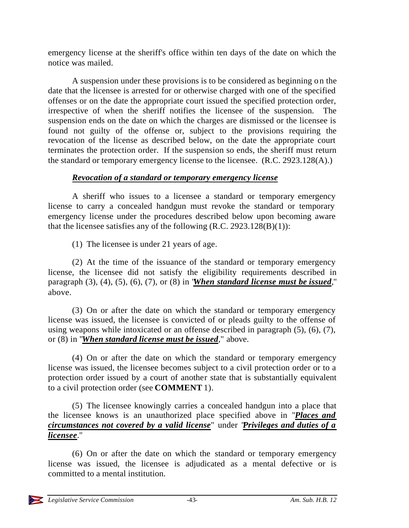emergency license at the sheriff's office within ten days of the date on which the notice was mailed.

A suspension under these provisions is to be considered as beginning o n the date that the licensee is arrested for or otherwise charged with one of the specified offenses or on the date the appropriate court issued the specified protection order, irrespective of when the sheriff notifies the licensee of the suspension. The suspension ends on the date on which the charges are dismissed or the licensee is found not guilty of the offense or, subject to the provisions requiring the revocation of the license as described below, on the date the appropriate court terminates the protection order. If the suspension so ends, the sheriff must return the standard or temporary emergency license to the licensee.  $(R.C. 2923.128(A))$ 

# *Revocation of a standard or temporary emergency license*

A sheriff who issues to a licensee a standard or temporary emergency license to carry a concealed handgun must revoke the standard or temporary emergency license under the procedures described below upon becoming aware that the licensee satisfies any of the following  $(R.C. 2923.128(B)(1))$ :

(1) The licensee is under 21 years of age.

(2) At the time of the issuance of the standard or temporary emergency license, the licensee did not satisfy the eligibility requirements described in paragraph (3), (4), (5), (6), (7), or (8) in "*When standard license must be issued*," above.

(3) On or after the date on which the standard or temporary emergency license was issued, the licensee is convicted of or pleads guilty to the offense of using weapons while intoxicated or an offense described in paragraph (5), (6), (7), or (8) in "*When standard license must be issued*," above.

(4) On or after the date on which the standard or temporary emergency license was issued, the licensee becomes subject to a civil protection order or to a protection order issued by a court of another state that is substantially equivalent to a civil protection order (see **COMMENT** 1).

(5) The licensee knowingly carries a concealed handgun into a place that the licensee knows is an unauthorized place specified above in "*Places and circumstances not covered by a valid license*" under "*Privileges and duties of a licensee*."

(6) On or after the date on which the standard or temporary emergency license was issued, the licensee is adjudicated as a mental defective or is committed to a mental institution.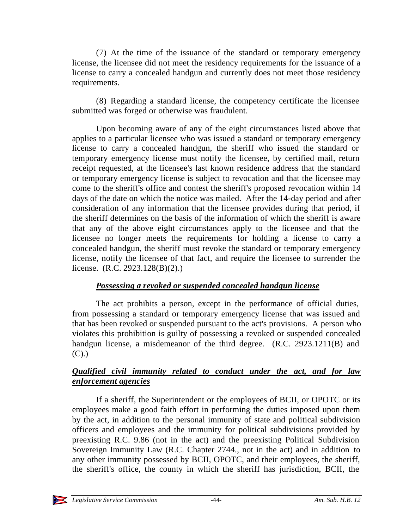(7) At the time of the issuance of the standard or temporary emergency license, the licensee did not meet the residency requirements for the issuance of a license to carry a concealed handgun and currently does not meet those residency requirements.

(8) Regarding a standard license, the competency certificate the licensee submitted was forged or otherwise was fraudulent.

Upon becoming aware of any of the eight circumstances listed above that applies to a particular licensee who was issued a standard or temporary emergency license to carry a concealed handgun, the sheriff who issued the standard or temporary emergency license must notify the licensee, by certified mail, return receipt requested, at the licensee's last known residence address that the standard or temporary emergency license is subject to revocation and that the licensee may come to the sheriff's office and contest the sheriff's proposed revocation within 14 days of the date on which the notice was mailed. After the 14-day period and after consideration of any information that the licensee provides during that period, if the sheriff determines on the basis of the information of which the sheriff is aware that any of the above eight circumstances apply to the licensee and that the licensee no longer meets the requirements for holding a license to carry a concealed handgun, the sheriff must revoke the standard or temporary emergency license, notify the licensee of that fact, and require the licensee to surrender the license. (R.C. 2923.128(B)(2).)

# *Possessing a revoked or suspended concealed handgun license*

The act prohibits a person, except in the performance of official duties, from possessing a standard or temporary emergency license that was issued and that has been revoked or suspended pursuant to the act's provisions. A person who violates this prohibition is guilty of possessing a revoked or suspended concealed handgun license, a misdemeanor of the third degree. (R.C. 2923.1211(B) and  $(C).$ 

# *Qualified civil immunity related to conduct under the act, and for law enforcement agencies*

If a sheriff, the Superintendent or the employees of BCII, or OPOTC or its employees make a good faith effort in performing the duties imposed upon them by the act, in addition to the personal immunity of state and political subdivision officers and employees and the immunity for political subdivisions provided by preexisting R.C. 9.86 (not in the act) and the preexisting Political Subdivision Sovereign Immunity Law (R.C. Chapter 2744., not in the act) and in addition to any other immunity possessed by BCII, OPOTC, and their employees, the sheriff, the sheriff's office, the county in which the sheriff has jurisdiction, BCII, the

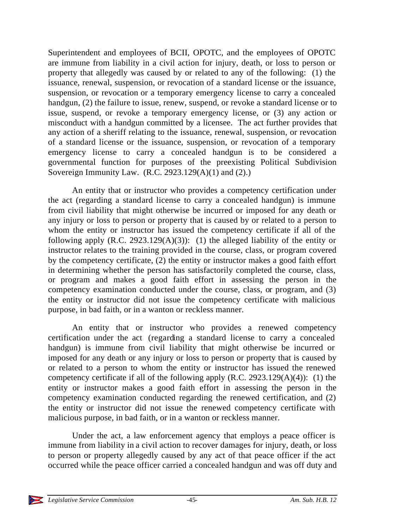Superintendent and employees of BCII, OPOTC, and the employees of OPOTC are immune from liability in a civil action for injury, death, or loss to person or property that allegedly was caused by or related to any of the following: (1) the issuance, renewal, suspension, or revocation of a standard license or the issuance, suspension, or revocation or a temporary emergency license to carry a concealed handgun, (2) the failure to issue, renew, suspend, or revoke a standard license or to issue, suspend, or revoke a temporary emergency license, or (3) any action or misconduct with a handgun committed by a licensee. The act further provides that any action of a sheriff relating to the issuance, renewal, suspension, or revocation of a standard license or the issuance, suspension, or revocation of a temporary emergency license to carry a concealed handgun is to be considered a governmental function for purposes of the preexisting Political Subdivision Sovereign Immunity Law.  $(R.C. 2923.129(A)(1)$  and  $(2)$ .)

An entity that or instructor who provides a competency certification under the act (regarding a standard license to carry a concealed handgun) is immune from civil liability that might otherwise be incurred or imposed for any death or any injury or loss to person or property that is caused by or related to a person to whom the entity or instructor has issued the competency certificate if all of the following apply  $(R.C. 2923.129(A)(3))$ : (1) the alleged liability of the entity or instructor relates to the training provided in the course, class, or program covered by the competency certificate, (2) the entity or instructor makes a good faith effort in determining whether the person has satisfactorily completed the course, class, or program and makes a good faith effort in assessing the person in the competency examination conducted under the course, class, or program, and (3) the entity or instructor did not issue the competency certificate with malicious purpose, in bad faith, or in a wanton or reckless manner.

An entity that or instructor who provides a renewed competency certification under the act (regarding a standard license to carry a concealed handgun) is immune from civil liability that might otherwise be incurred or imposed for any death or any injury or loss to person or property that is caused by or related to a person to whom the entity or instructor has issued the renewed competency certificate if all of the following apply  $(R.C. 2923.129(A)(4))$ : (1) the entity or instructor makes a good faith effort in assessing the person in the competency examination conducted regarding the renewed certification, and (2) the entity or instructor did not issue the renewed competency certificate with malicious purpose, in bad faith, or in a wanton or reckless manner.

Under the act, a law enforcement agency that employs a peace officer is immune from liability in a civil action to recover damages for injury, death, or loss to person or property allegedly caused by any act of that peace officer if the act occurred while the peace officer carried a concealed handgun and was off duty and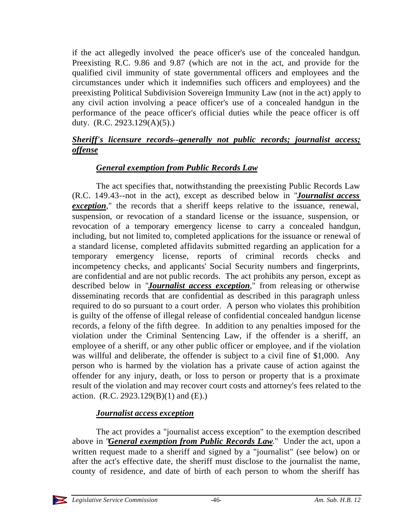if the act allegedly involved the peace officer's use of the concealed handgun. Preexisting R.C. 9.86 and 9.87 (which are not in the act, and provide for the qualified civil immunity of state governmental officers and employees and the circumstances under which it indemnifies such officers and employees) and the preexisting Political Subdivision Sovereign Immunity Law (not in the act) apply to any civil action involving a peace officer's use of a concealed handgun in the performance of the peace officer's official duties while the peace officer is off duty. (R.C. 2923.129(A)(5).)

# *Sheriff's licensure records--generally not public records; journalist access; offense*

# *General exemption from Public Records Law*

The act specifies that, notwithstanding the preexisting Public Records Law (R.C. 149.43--not in the act), except as described below in "*Journalist access exception*," the records that a sheriff keeps relative to the issuance, renewal, suspension, or revocation of a standard license or the issuance, suspension, or revocation of a temporary emergency license to carry a concealed handgun, including, but not limited to, completed applications for the issuance or renewal of a standard license, completed affidavits submitted regarding an application for a temporary emergency license, reports of criminal records checks and incompetency checks, and applicants' Social Security numbers and fingerprints, are confidential and are not public records. The act prohibits any person, except as described below in "*Journalist access exception*," from releasing or otherwise disseminating records that are confidential as described in this paragraph unless required to do so pursuant to a court order. A person who violates this prohibition is guilty of the offense of illegal release of confidential concealed handgun license records, a felony of the fifth degree. In addition to any penalties imposed for the violation under the Criminal Sentencing Law, if the offender is a sheriff, an employee of a sheriff, or any other public officer or employee, and if the violation was willful and deliberate, the offender is subject to a civil fine of \$1,000. Any person who is harmed by the violation has a private cause of action against the offender for any injury, death, or loss to person or property that is a proximate result of the violation and may recover court costs and attorney's fees related to the action.  $(R.C. 2923.129(B)(1)$  and  $(E).$ 

# *Journalist access exception*

The act provides a "journalist access exception" to the exemption described above in "*General exemption from Public Records Law*." Under the act, upon a written request made to a sheriff and signed by a "journalist" (see below) on or after the act's effective date, the sheriff must disclose to the journalist the name, county of residence, and date of birth of each person to whom the sheriff has

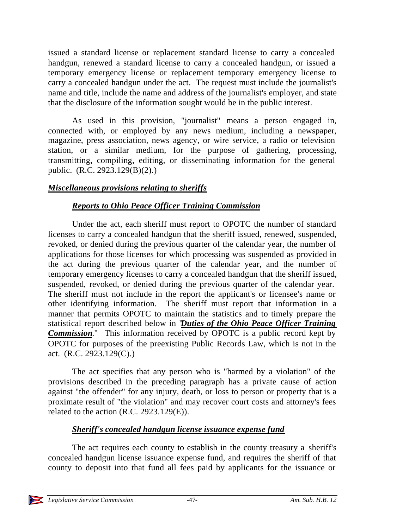issued a standard license or replacement standard license to carry a concealed handgun, renewed a standard license to carry a concealed handgun, or issued a temporary emergency license or replacement temporary emergency license to carry a concealed handgun under the act. The request must include the journalist's name and title, include the name and address of the journalist's employer, and state that the disclosure of the information sought would be in the public interest.

As used in this provision, "journalist" means a person engaged in, connected with, or employed by any news medium, including a newspaper, magazine, press association, news agency, or wire service, a radio or television station, or a similar medium, for the purpose of gathering, processing, transmitting, compiling, editing, or disseminating information for the general public. (R.C. 2923.129(B)(2).)

### *Miscellaneous provisions relating to sheriffs*

### *Reports to Ohio Peace Officer Training Commission*

Under the act, each sheriff must report to OPOTC the number of standard licenses to carry a concealed handgun that the sheriff issued, renewed, suspended, revoked, or denied during the previous quarter of the calendar year, the number of applications for those licenses for which processing was suspended as provided in the act during the previous quarter of the calendar year, and the number of temporary emergency licenses to carry a concealed handgun that the sheriff issued, suspended, revoked, or denied during the previous quarter of the calendar year. The sheriff must not include in the report the applicant's or licensee's name or other identifying information. The sheriff must report that information in a manner that permits OPOTC to maintain the statistics and to timely prepare the statistical report described below in "*Duties of the Ohio Peace Officer Training Commission*." This information received by OPOTC is a public record kept by OPOTC for purposes of the preexisting Public Records Law, which is not in the act. (R.C. 2923.129(C).)

The act specifies that any person who is "harmed by a violation" of the provisions described in the preceding paragraph has a private cause of action against "the offender" for any injury, death, or loss to person or property that is a proximate result of "the violation" and may recover court costs and attorney's fees related to the action (R.C. 2923.129(E)).

# *Sheriff's concealed handgun license issuance expense fund*

The act requires each county to establish in the county treasury a sheriff's concealed handgun license issuance expense fund, and requires the sheriff of that county to deposit into that fund all fees paid by applicants for the issuance or

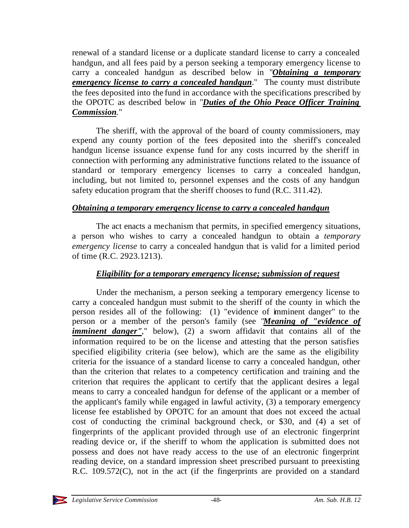renewal of a standard license or a duplicate standard license to carry a concealed handgun, and all fees paid by a person seeking a temporary emergency license to carry a concealed handgun as described below in "*Obtaining a temporary emergency license to carry a concealed handgun*." The county must distribute the fees deposited into the fund in accordance with the specifications prescribed by the OPOTC as described below in "*Duties of the Ohio Peace Officer Training Commission*."

The sheriff, with the approval of the board of county commissioners, may expend any county portion of the fees deposited into the sheriff's concealed handgun license issuance expense fund for any costs incurred by the sheriff in connection with performing any administrative functions related to the issuance of standard or temporary emergency licenses to carry a concealed handgun, including, but not limited to, personnel expenses and the costs of any handgun safety education program that the sheriff chooses to fund (R.C. 311.42).

### *Obtaining a temporary emergency license to carry a concealed handgun*

The act enacts a mechanism that permits, in specified emergency situations, a person who wishes to carry a concealed handgun to obtain a *temporary emergency license* to carry a concealed handgun that is valid for a limited period of time (R.C. 2923.1213).

# *Eligibility for a temporary emergency license; submission of request*

Under the mechanism, a person seeking a temporary emergency license to carry a concealed handgun must submit to the sheriff of the county in which the person resides all of the following: (1) "evidence of imminent danger" to the person or a member of the person's family (see "*Meaning of "evidence of imminent danger"*," below), (2) a sworn affidavit that contains all of the information required to be on the license and attesting that the person satisfies specified eligibility criteria (see below), which are the same as the eligibility criteria for the issuance of a standard license to carry a concealed handgun, other than the criterion that relates to a competency certification and training and the criterion that requires the applicant to certify that the applicant desires a legal means to carry a concealed handgun for defense of the applicant or a member of the applicant's family while engaged in lawful activity, (3) a temporary emergency license fee established by OPOTC for an amount that does not exceed the actual cost of conducting the criminal background check, or \$30, and (4) a set of fingerprints of the applicant provided through use of an electronic fingerprint reading device or, if the sheriff to whom the application is submitted does not possess and does not have ready access to the use of an electronic fingerprint reading device, on a standard impression sheet prescribed pursuant to preexisting R.C. 109.572(C), not in the act (if the fingerprints are provided on a standard

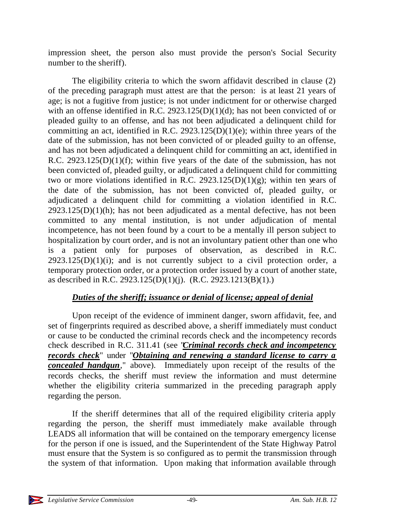impression sheet, the person also must provide the person's Social Security number to the sheriff).

The eligibility criteria to which the sworn affidavit described in clause (2) of the preceding paragraph must attest are that the person: is at least 21 years of age; is not a fugitive from justice; is not under indictment for or otherwise charged with an offense identified in R.C. 2923.125(D)(1)(d); has not been convicted of or pleaded guilty to an offense, and has not been adjudicated a delinquent child for committing an act, identified in R.C. 2923.125(D)(1)(e); within three years of the date of the submission, has not been convicted of or pleaded guilty to an offense, and has not been adjudicated a delinquent child for committing an act, identified in R.C.  $2923.125(D)(1)(f)$ ; within five years of the date of the submission, has not been convicted of, pleaded guilty, or adjudicated a delinquent child for committing two or more violations identified in R.C. 2923.125(D)(1)(g); within ten years of the date of the submission, has not been convicted of, pleaded guilty, or adjudicated a delinquent child for committing a violation identified in R.C.  $2923.125(D)(1)(h)$ ; has not been adjudicated as a mental defective, has not been committed to any mental institution, is not under adjudication of mental incompetence, has not been found by a court to be a mentally ill person subject to hospitalization by court order, and is not an involuntary patient other than one who is a patient only for purposes of observation, as described in R.C.  $2923.125(D)(1)(i)$ ; and is not currently subject to a civil protection order, a temporary protection order, or a protection order issued by a court of another state, as described in R.C. 2923.125(D)(1)(j). (R.C. 2923.1213(B)(1).)

# *Duties of the sheriff; issuance or denial of license; appeal of denial*

Upon receipt of the evidence of imminent danger, sworn affidavit, fee, and set of fingerprints required as described above, a sheriff immediately must conduct or cause to be conducted the criminal records check and the incompetency records check described in R.C. 311.41 (see "*Criminal records check and incompetency records check*" under "*Obtaining and renewing a standard license to carry a concealed handgun*," above). Immediately upon receipt of the results of the records checks, the sheriff must review the information and must determine whether the eligibility criteria summarized in the preceding paragraph apply regarding the person.

If the sheriff determines that all of the required eligibility criteria apply regarding the person, the sheriff must immediately make available through LEADS all information that will be contained on the temporary emergency license for the person if one is issued, and the Superintendent of the State Highway Patrol must ensure that the System is so configured as to permit the transmission through the system of that information. Upon making that information available through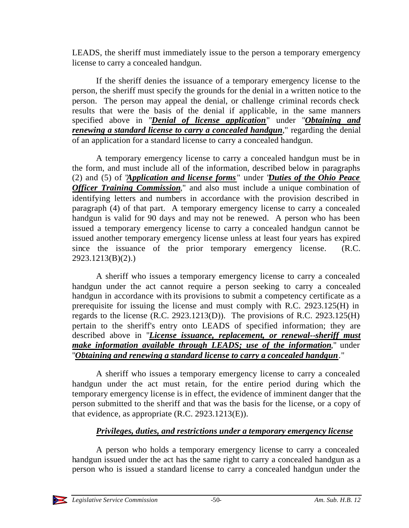LEADS, the sheriff must immediately issue to the person a temporary emergency license to carry a concealed handgun.

If the sheriff denies the issuance of a temporary emergency license to the person, the sheriff must specify the grounds for the denial in a written notice to the person. The person may appeal the denial, or challenge criminal records check results that were the basis of the denial if applicable, in the same manners specified above in "*Denial of license application*" under "*Obtaining and renewing a standard license to carry a concealed handgun*," regarding the denial of an application for a standard license to carry a concealed handgun.

A temporary emergency license to carry a concealed handgun must be in the form, and must include all of the information, described below in paragraphs (2) and (5) of "*Application and license forms* " under "*Duties of the Ohio Peace Officer Training Commission*," and also must include a unique combination of identifying letters and numbers in accordance with the provision described in paragraph (4) of that part. A temporary emergency license to carry a concealed handgun is valid for 90 days and may not be renewed. A person who has been issued a temporary emergency license to carry a concealed handgun cannot be issued another temporary emergency license unless at least four years has expired since the issuance of the prior temporary emergency license. (R.C. 2923.1213(B)(2).)

A sheriff who issues a temporary emergency license to carry a concealed handgun under the act cannot require a person seeking to carry a concealed handgun in accordance with its provisions to submit a competency certificate as a prerequisite for issuing the license and must comply with R.C. 2923.125(H) in regards to the license  $(R.C. 2923.1213(D))$ . The provisions of R.C. 2923.125(H) pertain to the sheriff's entry onto LEADS of specified information; they are described above in "*License issuance, replacement, or renewal--sheriff must make information available through LEADS; use of the information*," under "*Obtaining and renewing a standard license to carry a concealed handgun*."

A sheriff who issues a temporary emergency license to carry a concealed handgun under the act must retain, for the entire period during which the temporary emergency license is in effect, the evidence of imminent danger that the person submitted to the sheriff and that was the basis for the license, or a copy of that evidence, as appropriate (R.C. 2923.1213(E)).

# *Privileges, duties, and restrictions under a temporary emergency license*

A person who holds a temporary emergency license to carry a concealed handgun issued under the act has the same right to carry a concealed handgun as a person who is issued a standard license to carry a concealed handgun under the

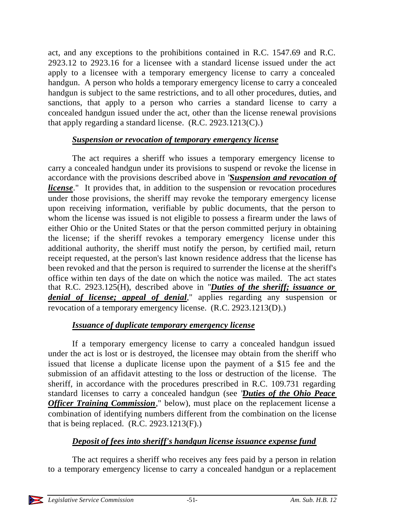act, and any exceptions to the prohibitions contained in R.C. 1547.69 and R.C. 2923.12 to 2923.16 for a licensee with a standard license issued under the act apply to a licensee with a temporary emergency license to carry a concealed handgun. A person who holds a temporary emergency license to carry a concealed handgun is subject to the same restrictions, and to all other procedures, duties, and sanctions, that apply to a person who carries a standard license to carry a concealed handgun issued under the act, other than the license renewal provisions that apply regarding a standard license. (R.C. 2923.1213(C).)

### *Suspension or revocation of temporary emergency license*

The act requires a sheriff who issues a temporary emergency license to carry a concealed handgun under its provisions to suspend or revoke the license in accordance with the provisions described above in "*Suspension and revocation of license*." It provides that, in addition to the suspension or revocation procedures under those provisions, the sheriff may revoke the temporary emergency license upon receiving information, verifiable by public documents, that the person to whom the license was issued is not eligible to possess a firearm under the laws of either Ohio or the United States or that the person committed perjury in obtaining the license; if the sheriff revokes a temporary emergency license under this additional authority, the sheriff must notify the person, by certified mail, return receipt requested, at the person's last known residence address that the license has been revoked and that the person is required to surrender the license at the sheriff's office within ten days of the date on which the notice was mailed. The act states that R.C. 2923.125(H), described above in "*Duties of the sheriff; issuance or denial of license; appeal of denial*," applies regarding any suspension or revocation of a temporary emergency license. (R.C. 2923.1213(D).)

# *Issuance of duplicate temporary emergency license*

If a temporary emergency license to carry a concealed handgun issued under the act is lost or is destroyed, the licensee may obtain from the sheriff who issued that license a duplicate license upon the payment of a \$15 fee and the submission of an affidavit attesting to the loss or destruction of the license. The sheriff, in accordance with the procedures prescribed in R.C. 109.731 regarding standard licenses to carry a concealed handgun (see "*Duties of the Ohio Peace Officer Training Commission*," below), must place on the replacement license a combination of identifying numbers different from the combination on the license that is being replaced.  $(R.C. 2923.1213(F))$ .

#### *Deposit of fees into sheriff's handgun license issuance expense fund*

The act requires a sheriff who receives any fees paid by a person in relation to a temporary emergency license to carry a concealed handgun or a replacement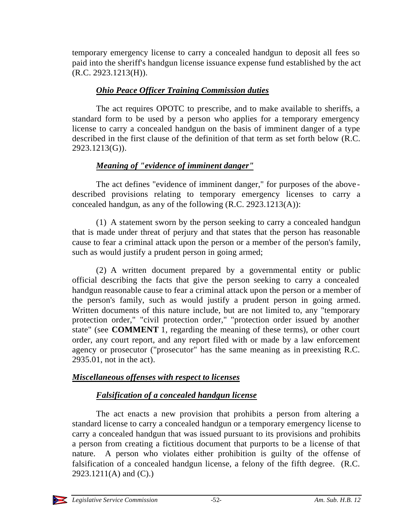temporary emergency license to carry a concealed handgun to deposit all fees so paid into the sheriff's handgun license issuance expense fund established by the act (R.C. 2923.1213(H)).

# *Ohio Peace Officer Training Commission duties*

The act requires OPOTC to prescribe, and to make available to sheriffs, a standard form to be used by a person who applies for a temporary emergency license to carry a concealed handgun on the basis of imminent danger of a type described in the first clause of the definition of that term as set forth below (R.C. 2923.1213(G)).

# *Meaning of "evidence of imminent danger"*

The act defines "evidence of imminent danger," for purposes of the above described provisions relating to temporary emergency licenses to carry a concealed handgun, as any of the following (R.C. 2923.1213(A)):

(1) A statement sworn by the person seeking to carry a concealed handgun that is made under threat of perjury and that states that the person has reasonable cause to fear a criminal attack upon the person or a member of the person's family, such as would justify a prudent person in going armed;

(2) A written document prepared by a governmental entity or public official describing the facts that give the person seeking to carry a concealed handgun reasonable cause to fear a criminal attack upon the person or a member of the person's family, such as would justify a prudent person in going armed. Written documents of this nature include, but are not limited to, any "temporary protection order," "civil protection order," "protection order issued by another state" (see **COMMENT** 1, regarding the meaning of these terms), or other court order, any court report, and any report filed with or made by a law enforcement agency or prosecutor ("prosecutor" has the same meaning as in preexisting R.C. 2935.01, not in the act).

# *Miscellaneous offenses with respect to licenses*

# *Falsification of a concealed handgun license*

The act enacts a new provision that prohibits a person from altering a standard license to carry a concealed handgun or a temporary emergency license to carry a concealed handgun that was issued pursuant to its provisions and prohibits a person from creating a fictitious document that purports to be a license of that nature. A person who violates either prohibition is guilty of the offense of falsification of a concealed handgun license, a felony of the fifth degree. (R.C. 2923.1211(A) and (C).)

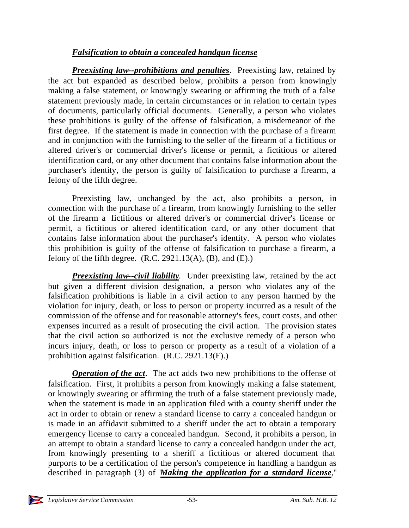# *Falsification to obtain a concealed handgun license*

*Preexisting law--prohibitions and penalties*. Preexisting law, retained by the act but expanded as described below, prohibits a person from knowingly making a false statement, or knowingly swearing or affirming the truth of a false statement previously made, in certain circumstances or in relation to certain types of documents, particularly official documents. Generally, a person who violates these prohibitions is guilty of the offense of falsification, a misdemeanor of the first degree. If the statement is made in connection with the purchase of a firearm and in conjunction with the furnishing to the seller of the firearm of a fictitious or altered driver's or commercial driver's license or permit, a fictitious or altered identification card, or any other document that contains false information about the purchaser's identity, the person is guilty of falsification to purchase a firearm, a felony of the fifth degree.

Preexisting law, unchanged by the act, also prohibits a person, in connection with the purchase of a firearm, from knowingly furnishing to the seller of the firearm a fictitious or altered driver's or commercial driver's license or permit, a fictitious or altered identification card, or any other document that contains false information about the purchaser's identity. A person who violates this prohibition is guilty of the offense of falsification to purchase a firearm, a felony of the fifth degree.  $(R.C. 2921.13(A), (B), and (E).)$ 

*Preexisting law--civil liability*. Under preexisting law, retained by the act but given a different division designation, a person who violates any of the falsification prohibitions is liable in a civil action to any person harmed by the violation for injury, death, or loss to person or property incurred as a result of the commission of the offense and for reasonable attorney's fees, court costs, and other expenses incurred as a result of prosecuting the civil action. The provision states that the civil action so authorized is not the exclusive remedy of a person who incurs injury, death, or loss to person or property as a result of a violation of a prohibition against falsification. (R.C. 2921.13(F).)

*Operation of the act*. The act adds two new prohibitions to the offense of falsification. First, it prohibits a person from knowingly making a false statement, or knowingly swearing or affirming the truth of a false statement previously made, when the statement is made in an application filed with a county sheriff under the act in order to obtain or renew a standard license to carry a concealed handgun or is made in an affidavit submitted to a sheriff under the act to obtain a temporary emergency license to carry a concealed handgun. Second, it prohibits a person, in an attempt to obtain a standard license to carry a concealed handgun under the act, from knowingly presenting to a sheriff a fictitious or altered document that purports to be a certification of the person's competence in handling a handgun as described in paragraph (3) of "*Making the application for a standard license*,"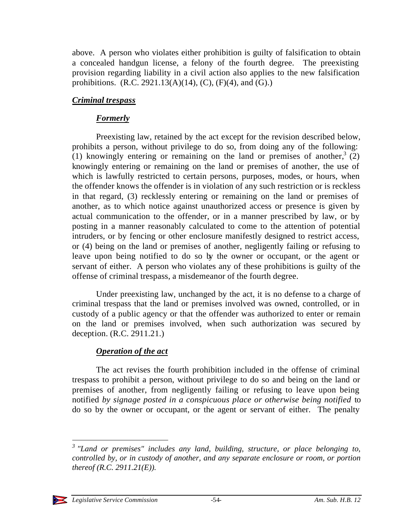above. A person who violates either prohibition is guilty of falsification to obtain a concealed handgun license, a felony of the fourth degree. The preexisting provision regarding liability in a civil action also applies to the new falsification prohibitions.  $(R.C. 2921.13(A)(14), (C), (F)(4), and (G).)$ 

# *Criminal trespass*

# *Formerly*

Preexisting law, retained by the act except for the revision described below, prohibits a person, without privilege to do so, from doing any of the following: (1) knowingly entering or remaining on the land or premises of another,  $3(2)$ knowingly entering or remaining on the land or premises of another, the use of which is lawfully restricted to certain persons, purposes, modes, or hours, when the offender knows the offender is in violation of any such restriction or is reckless in that regard, (3) recklessly entering or remaining on the land or premises of another, as to which notice against unauthorized access or presence is given by actual communication to the offender, or in a manner prescribed by law, or by posting in a manner reasonably calculated to come to the attention of potential intruders, or by fencing or other enclosure manifestly designed to restrict access, or (4) being on the land or premises of another, negligently failing or refusing to leave upon being notified to do so by the owner or occupant, or the agent or servant of either. A person who violates any of these prohibitions is guilty of the offense of criminal trespass, a misdemeanor of the fourth degree.

Under preexisting law, unchanged by the act, it is no defense to a charge of criminal trespass that the land or premises involved was owned, controlled, or in custody of a public agency or that the offender was authorized to enter or remain on the land or premises involved, when such authorization was secured by deception. (R.C. 2911.21.)

# *Operation of the act*

The act revises the fourth prohibition included in the offense of criminal trespass to prohibit a person, without privilege to do so and being on the land or premises of another, from negligently failing or refusing to leave upon being notified *by signage posted in a conspicuous place or otherwise being notified* to do so by the owner or occupant, or the agent or servant of either. The penalty

*<sup>3</sup> "Land or premises" includes any land, building, structure, or place belonging to, controlled by, or in custody of another, and any separate enclosure or room, or portion thereof (R.C. 2911.21(E)).*



l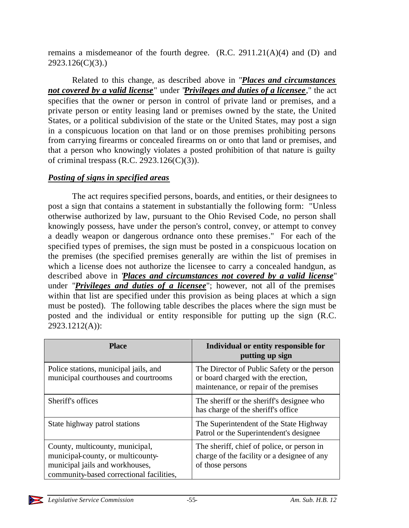remains a misdemeanor of the fourth degree. (R.C. 2911.21(A)(4) and (D) and 2923.126(C)(3).)

Related to this change, as described above in "*Places and circumstances not covered by a valid license*" under "*Privileges and duties of a licensee*," the act specifies that the owner or person in control of private land or premises, and a private person or entity leasing land or premises owned by the state, the United States, or a political subdivision of the state or the United States, may post a sign in a conspicuous location on that land or on those premises prohibiting persons from carrying firearms or concealed firearms on or onto that land or premises, and that a person who knowingly violates a posted prohibition of that nature is guilty of criminal trespass (R.C. 2923.126(C)(3)).

### *Posting of signs in specified areas*

The act requires specified persons, boards, and entities, or their designees to post a sign that contains a statement in substantially the following form: "Unless otherwise authorized by law, pursuant to the Ohio Revised Code, no person shall knowingly possess, have under the person's control, convey, or attempt to convey a deadly weapon or dangerous ordnance onto these premises." For each of the specified types of premises, the sign must be posted in a conspicuous location on the premises (the specified premises generally are within the list of premises in which a license does not authorize the licensee to carry a concealed handgun, as described above in "*Places and circumstances not covered by a valid license*" under "*Privileges and duties of a licensee*"; however, not all of the premises within that list are specified under this provision as being places at which a sign must be posted). The following table describes the places where the sign must be posted and the individual or entity responsible for putting up the sign (R.C. 2923.1212(A)):

| <b>Place</b>                                                                                                                                        | Individual or entity responsible for<br>putting up sign                                                                      |
|-----------------------------------------------------------------------------------------------------------------------------------------------------|------------------------------------------------------------------------------------------------------------------------------|
| Police stations, municipal jails, and<br>municipal courthouses and courtrooms                                                                       | The Director of Public Safety or the person<br>or board charged with the erection,<br>maintenance, or repair of the premises |
| Sheriff's offices                                                                                                                                   | The sheriff or the sheriff's designee who<br>has charge of the sheriff's office.                                             |
| State highway patrol stations                                                                                                                       | The Superintendent of the State Highway<br>Patrol or the Superintendent's designee                                           |
| County, multicounty, municipal,<br>municipal-county, or multicounty-<br>municipal jails and workhouses,<br>community-based correctional facilities, | The sheriff, chief of police, or person in<br>charge of the facility or a designee of any<br>of those persons                |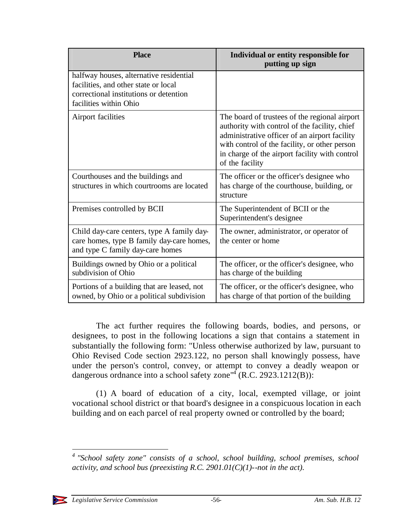| <b>Place</b>                                                                                                                                        | Individual or entity responsible for<br>putting up sign                                                                                                                                                                                                               |
|-----------------------------------------------------------------------------------------------------------------------------------------------------|-----------------------------------------------------------------------------------------------------------------------------------------------------------------------------------------------------------------------------------------------------------------------|
| halfway houses, alternative residential<br>facilities, and other state or local<br>correctional institutions or detention<br>facilities within Ohio |                                                                                                                                                                                                                                                                       |
| Airport facilities                                                                                                                                  | The board of trustees of the regional airport<br>authority with control of the facility, chief<br>administrative officer of an airport facility<br>with control of the facility, or other person<br>in charge of the airport facility with control<br>of the facility |
| Courthouses and the buildings and<br>structures in which courtrooms are located                                                                     | The officer or the officer's designee who<br>has charge of the courthouse, building, or<br>structure                                                                                                                                                                  |
| Premises controlled by BCII                                                                                                                         | The Superintendent of BCII or the<br>Superintendent's designee                                                                                                                                                                                                        |
| Child day-care centers, type A family day-<br>care homes, type B family day-care homes,<br>and type C family day-care homes                         | The owner, administrator, or operator of<br>the center or home                                                                                                                                                                                                        |
| Buildings owned by Ohio or a political<br>subdivision of Ohio                                                                                       | The officer, or the officer's designee, who<br>has charge of the building                                                                                                                                                                                             |
| Portions of a building that are leased, not<br>owned, by Ohio or a political subdivision                                                            | The officer, or the officer's designee, who<br>has charge of that portion of the building                                                                                                                                                                             |

The act further requires the following boards, bodies, and persons, or designees, to post in the following locations a sign that contains a statement in substantially the following form: "Unless otherwise authorized by law, pursuant to Ohio Revised Code section 2923.122, no person shall knowingly possess, have under the person's control, convey, or attempt to convey a deadly weapon or dangerous ordnance into a school safety zone<sup>"4</sup> (R.C. 2923.1212(B)):

(1) A board of education of a city, local, exempted village, or joint vocational school district or that board's designee in a conspicuous location in each building and on each parcel of real property owned or controlled by the board;

<sup>&</sup>lt;sup>4</sup> "School safety zone" consists of a school, school building, school premises, school *activity, and school bus (preexisting R.C. 2901.01(C)(1)--not in the act).*



l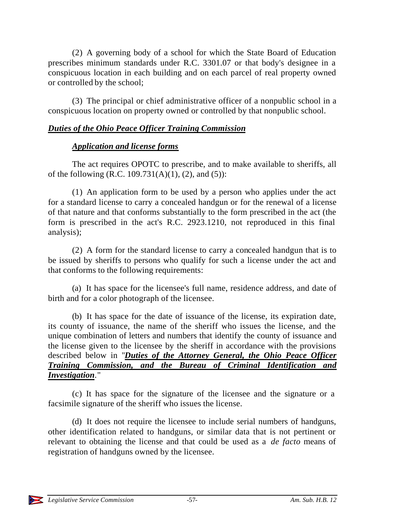(2) A governing body of a school for which the State Board of Education prescribes minimum standards under R.C. 3301.07 or that body's designee in a conspicuous location in each building and on each parcel of real property owned or controlled by the school;

(3) The principal or chief administrative officer of a nonpublic school in a conspicuous location on property owned or controlled by that nonpublic school.

# *Duties of the Ohio Peace Officer Training Commission*

### *Application and license forms*

The act requires OPOTC to prescribe, and to make available to sheriffs, all of the following (R.C. 109.731(A)(1), (2), and (5)):

(1) An application form to be used by a person who applies under the act for a standard license to carry a concealed handgun or for the renewal of a license of that nature and that conforms substantially to the form prescribed in the act (the form is prescribed in the act's R.C. 2923.1210, not reproduced in this final analysis);

(2) A form for the standard license to carry a concealed handgun that is to be issued by sheriffs to persons who qualify for such a license under the act and that conforms to the following requirements:

(a) It has space for the licensee's full name, residence address, and date of birth and for a color photograph of the licensee.

(b) It has space for the date of issuance of the license, its expiration date, its county of issuance, the name of the sheriff who issues the license, and the unique combination of letters and numbers that identify the county of issuance and the license given to the licensee by the sheriff in accordance with the provisions described below in "*Duties of the Attorney General, the Ohio Peace Officer Training Commission, and the Bureau of Criminal Identification and Investigation*."

(c) It has space for the signature of the licensee and the signature or a facsimile signature of the sheriff who issues the license.

(d) It does not require the licensee to include serial numbers of handguns, other identification related to handguns, or similar data that is not pertinent or relevant to obtaining the license and that could be used as a *de facto* means of registration of handguns owned by the licensee.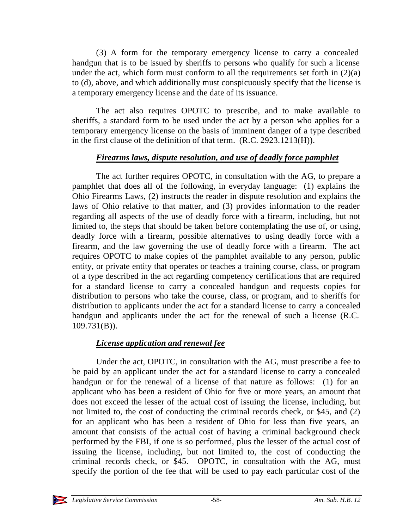(3) A form for the temporary emergency license to carry a concealed handgun that is to be issued by sheriffs to persons who qualify for such a license under the act, which form must conform to all the requirements set forth in  $(2)(a)$ to (d), above, and which additionally must conspicuously specify that the license is a temporary emergency license and the date of its issuance.

The act also requires OPOTC to prescribe, and to make available to sheriffs, a standard form to be used under the act by a person who applies for a temporary emergency license on the basis of imminent danger of a type described in the first clause of the definition of that term. (R.C. 2923.1213(H)).

### *Firearms laws, dispute resolution, and use of deadly force pamphlet*

The act further requires OPOTC, in consultation with the AG, to prepare a pamphlet that does all of the following, in everyday language: (1) explains the Ohio Firearms Laws, (2) instructs the reader in dispute resolution and explains the laws of Ohio relative to that matter, and (3) provides information to the reader regarding all aspects of the use of deadly force with a firearm, including, but not limited to, the steps that should be taken before contemplating the use of, or using, deadly force with a firearm, possible alternatives to using deadly force with a firearm, and the law governing the use of deadly force with a firearm. The act requires OPOTC to make copies of the pamphlet available to any person, public entity, or private entity that operates or teaches a training course, class, or program of a type described in the act regarding competency certifications that are required for a standard license to carry a concealed handgun and requests copies for distribution to persons who take the course, class, or program, and to sheriffs for distribution to applicants under the act for a standard license to carry a concealed handgun and applicants under the act for the renewal of such a license (R.C. 109.731(B)).

# *License application and renewal fee*

Under the act, OPOTC, in consultation with the AG, must prescribe a fee to be paid by an applicant under the act for a standard license to carry a concealed handgun or for the renewal of a license of that nature as follows: (1) for an applicant who has been a resident of Ohio for five or more years, an amount that does not exceed the lesser of the actual cost of issuing the license, including, but not limited to, the cost of conducting the criminal records check, or \$45, and (2) for an applicant who has been a resident of Ohio for less than five years, an amount that consists of the actual cost of having a criminal background check performed by the FBI, if one is so performed, plus the lesser of the actual cost of issuing the license, including, but not limited to, the cost of conducting the criminal records check, or \$45. OPOTC, in consultation with the AG, must specify the portion of the fee that will be used to pay each particular cost of the

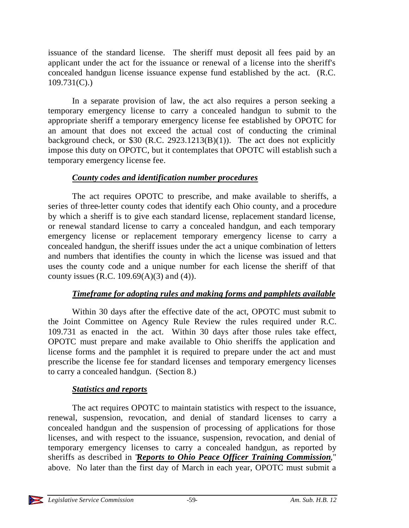issuance of the standard license. The sheriff must deposit all fees paid by an applicant under the act for the issuance or renewal of a license into the sheriff's concealed handgun license issuance expense fund established by the act. (R.C. 109.731(C).)

In a separate provision of law, the act also requires a person seeking a temporary emergency license to carry a concealed handgun to submit to the appropriate sheriff a temporary emergency license fee established by OPOTC for an amount that does not exceed the actual cost of conducting the criminal background check, or  $$30$  (R.C. 2923.1213(B)(1)). The act does not explicitly impose this duty on OPOTC, but it contemplates that OPOTC will establish such a temporary emergency license fee.

### *County codes and identification number procedures*

The act requires OPOTC to prescribe, and make available to sheriffs, a series of three-letter county codes that identify each Ohio county, and a procedure by which a sheriff is to give each standard license, replacement standard license, or renewal standard license to carry a concealed handgun, and each temporary emergency license or replacement temporary emergency license to carry a concealed handgun, the sheriff issues under the act a unique combination of letters and numbers that identifies the county in which the license was issued and that uses the county code and a unique number for each license the sheriff of that county issues (R.C. 109.69 $(A)(3)$  and  $(4)$ ).

# *Timeframe for adopting rules and making forms and pamphlets available*

Within 30 days after the effective date of the act, OPOTC must submit to the Joint Committee on Agency Rule Review the rules required under R.C. 109.731 as enacted in the act. Within 30 days after those rules take effect, OPOTC must prepare and make available to Ohio sheriffs the application and license forms and the pamphlet it is required to prepare under the act and must prescribe the license fee for standard licenses and temporary emergency licenses to carry a concealed handgun. (Section 8.)

#### *Statistics and reports*

The act requires OPOTC to maintain statistics with respect to the issuance, renewal, suspension, revocation, and denial of standard licenses to carry a concealed handgun and the suspension of processing of applications for those licenses, and with respect to the issuance, suspension, revocation, and denial of temporary emergency licenses to carry a concealed handgun, as reported by sheriffs as described in "*Reports to Ohio Peace Officer Training Commission*," above. No later than the first day of March in each year, OPOTC must submit a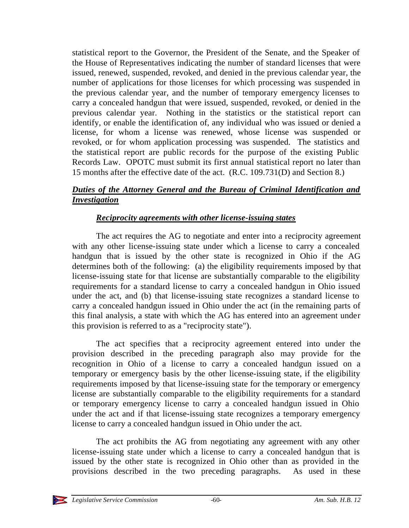statistical report to the Governor, the President of the Senate, and the Speaker of the House of Representatives indicating the number of standard licenses that were issued, renewed, suspended, revoked, and denied in the previous calendar year, the number of applications for those licenses for which processing was suspended in the previous calendar year, and the number of temporary emergency licenses to carry a concealed handgun that were issued, suspended, revoked, or denied in the previous calendar year. Nothing in the statistics or the statistical report can identify, or enable the identification of, any individual who was issued or denied a license, for whom a license was renewed, whose license was suspended or revoked, or for whom application processing was suspended. The statistics and the statistical report are public records for the purpose of the existing Public Records Law. OPOTC must submit its first annual statistical report no later than 15 months after the effective date of the act. (R.C. 109.731(D) and Section 8.)

# *Duties of the Attorney General and the Bureau of Criminal Identification and Investigation*

# *Reciprocity agreements with other license-issuing states*

The act requires the AG to negotiate and enter into a reciprocity agreement with any other license-issuing state under which a license to carry a concealed handgun that is issued by the other state is recognized in Ohio if the AG determines both of the following: (a) the eligibility requirements imposed by that license-issuing state for that license are substantially comparable to the eligibility requirements for a standard license to carry a concealed handgun in Ohio issued under the act, and (b) that license-issuing state recognizes a standard license to carry a concealed handgun issued in Ohio under the act (in the remaining parts of this final analysis, a state with which the AG has entered into an agreement under this provision is referred to as a "reciprocity state").

The act specifies that a reciprocity agreement entered into under the provision described in the preceding paragraph also may provide for the recognition in Ohio of a license to carry a concealed handgun issued on a temporary or emergency basis by the other license-issuing state, if the eligibility requirements imposed by that license-issuing state for the temporary or emergency license are substantially comparable to the eligibility requirements for a standard or temporary emergency license to carry a concealed handgun issued in Ohio under the act and if that license-issuing state recognizes a temporary emergency license to carry a concealed handgun issued in Ohio under the act.

The act prohibits the AG from negotiating any agreement with any other license-issuing state under which a license to carry a concealed handgun that is issued by the other state is recognized in Ohio other than as provided in the provisions described in the two preceding paragraphs. As used in these

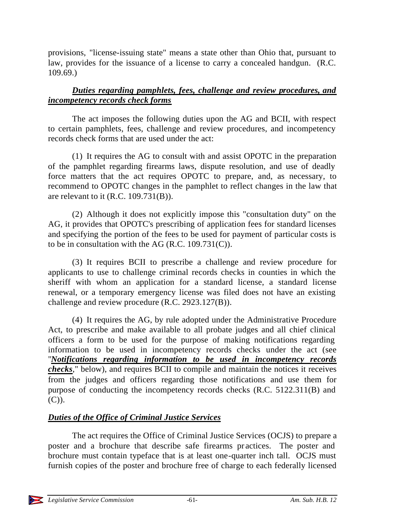provisions, "license-issuing state" means a state other than Ohio that, pursuant to law, provides for the issuance of a license to carry a concealed handgun. (R.C. 109.69.)

# *Duties regarding pamphlets, fees, challenge and review procedures, and incompetency records check forms*

The act imposes the following duties upon the AG and BCII, with respect to certain pamphlets, fees, challenge and review procedures, and incompetency records check forms that are used under the act:

(1) It requires the AG to consult with and assist OPOTC in the preparation of the pamphlet regarding firearms laws, dispute resolution, and use of deadly force matters that the act requires OPOTC to prepare, and, as necessary, to recommend to OPOTC changes in the pamphlet to reflect changes in the law that are relevant to it (R.C. 109.731(B)).

(2) Although it does not explicitly impose this "consultation duty" on the AG, it provides that OPOTC's prescribing of application fees for standard licenses and specifying the portion of the fees to be used for payment of particular costs is to be in consultation with the AG (R.C. 109.731(C)).

(3) It requires BCII to prescribe a challenge and review procedure for applicants to use to challenge criminal records checks in counties in which the sheriff with whom an application for a standard license, a standard license renewal, or a temporary emergency license was filed does not have an existing challenge and review procedure (R.C. 2923.127(B)).

(4) It requires the AG, by rule adopted under the Administrative Procedure Act, to prescribe and make available to all probate judges and all chief clinical officers a form to be used for the purpose of making notifications regarding information to be used in incompetency records checks under the act (see "*Notifications regarding information to be used in incompetency records checks*," below), and requires BCII to compile and maintain the notices it receives from the judges and officers regarding those notifications and use them for purpose of conducting the incompetency records checks (R.C. 5122.311(B) and (C)).

# *Duties of the Office of Criminal Justice Services*

The act requires the Office of Criminal Justice Services (OCJS) to prepare a poster and a brochure that describe safe firearms pr actices. The poster and brochure must contain typeface that is at least one-quarter inch tall. OCJS must furnish copies of the poster and brochure free of charge to each federally licensed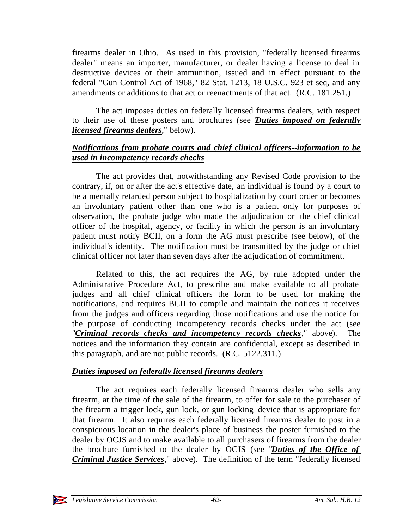firearms dealer in Ohio. As used in this provision, "federally licensed firearms dealer" means an importer, manufacturer, or dealer having a license to deal in destructive devices or their ammunition, issued and in effect pursuant to the federal "Gun Control Act of 1968," 82 Stat. 1213, 18 U.S.C. 923 et seq, and any amendments or additions to that act or reenactments of that act. (R.C. 181.251.)

The act imposes duties on federally licensed firearms dealers, with respect to their use of these posters and brochures (see "*Duties imposed on federally licensed firearms dealers*," below).

### *Notifications from probate courts and chief clinical officers--information to be used in incompetency records checks*

The act provides that, notwithstanding any Revised Code provision to the contrary, if, on or after the act's effective date, an individual is found by a court to be a mentally retarded person subject to hospitalization by court order or becomes an involuntary patient other than one who is a patient only for purposes of observation, the probate judge who made the adjudication or the chief clinical officer of the hospital, agency, or facility in which the person is an involuntary patient must notify BCII, on a form the AG must prescribe (see below), of the individual's identity. The notification must be transmitted by the judge or chief clinical officer not later than seven days after the adjudication of commitment.

Related to this, the act requires the AG, by rule adopted under the Administrative Procedure Act, to prescribe and make available to all probate judges and all chief clinical officers the form to be used for making the notifications, and requires BCII to compile and maintain the notices it receives from the judges and officers regarding those notifications and use the notice for the purpose of conducting incompetency records checks under the act (see "*Criminal records checks and incompetency records checks*," above). The notices and the information they contain are confidential, except as described in this paragraph, and are not public records. (R.C. 5122.311.)

# *Duties imposed on federally licensed firearms dealers*

The act requires each federally licensed firearms dealer who sells any firearm, at the time of the sale of the firearm, to offer for sale to the purchaser of the firearm a trigger lock, gun lock, or gun locking device that is appropriate for that firearm. It also requires each federally licensed firearms dealer to post in a conspicuous location in the dealer's place of business the poster furnished to the dealer by OCJS and to make available to all purchasers of firearms from the dealer the brochure furnished to the dealer by OCJS (see "*Duties of the Office of Criminal Justice Services*," above). The definition of the term "federally licensed

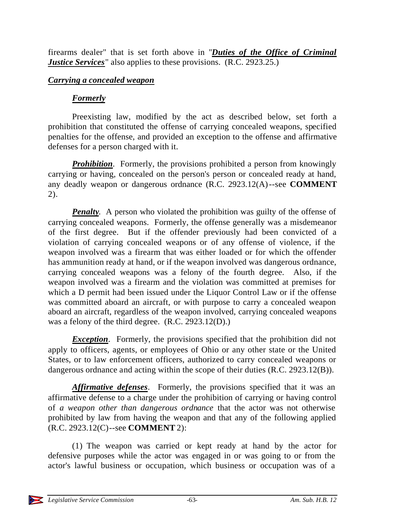firearms dealer" that is set forth above in "*Duties of the Office of Criminal Justice Services* also applies to these provisions. (R.C. 2923.25.)

#### *Carrying a concealed weapon*

# *Formerly*

Preexisting law, modified by the act as described below, set forth a prohibition that constituted the offense of carrying concealed weapons, specified penalties for the offense, and provided an exception to the offense and affirmative defenses for a person charged with it.

**Prohibition**. Formerly, the provisions prohibited a person from knowingly carrying or having, concealed on the person's person or concealed ready at hand, any deadly weapon or dangerous ordnance (R.C. 2923.12(A)--see **COMMENT** 2).

*Penalty*. A person who violated the prohibition was guilty of the offense of carrying concealed weapons. Formerly, the offense generally was a misdemeanor of the first degree. But if the offender previously had been convicted of a violation of carrying concealed weapons or of any offense of violence, if the weapon involved was a firearm that was either loaded or for which the offender has ammunition ready at hand, or if the weapon involved was dangerous ordnance, carrying concealed weapons was a felony of the fourth degree. Also, if the weapon involved was a firearm and the violation was committed at premises for which a D permit had been issued under the Liquor Control Law or if the offense was committed aboard an aircraft, or with purpose to carry a concealed weapon aboard an aircraft, regardless of the weapon involved, carrying concealed weapons was a felony of the third degree. (R.C. 2923.12(D).)

*Exception*. Formerly, the provisions specified that the prohibition did not apply to officers, agents, or employees of Ohio or any other state or the United States, or to law enforcement officers, authorized to carry concealed weapons or dangerous ordnance and acting within the scope of their duties (R.C. 2923.12(B)).

*Affirmative defenses*. Formerly, the provisions specified that it was an affirmative defense to a charge under the prohibition of carrying or having control of *a weapon other than dangerous ordnance* that the actor was not otherwise prohibited by law from having the weapon and that any of the following applied (R.C. 2923.12(C)--see **COMMENT** 2):

(1) The weapon was carried or kept ready at hand by the actor for defensive purposes while the actor was engaged in or was going to or from the actor's lawful business or occupation, which business or occupation was of a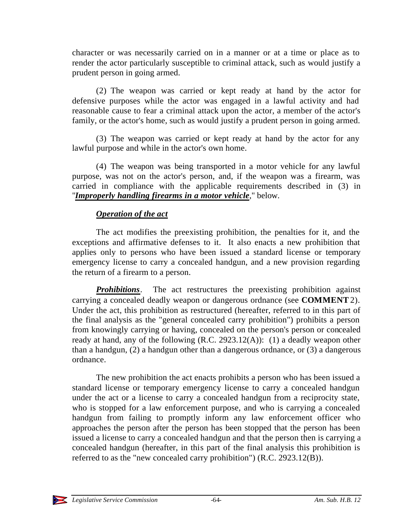character or was necessarily carried on in a manner or at a time or place as to render the actor particularly susceptible to criminal attack, such as would justify a prudent person in going armed.

(2) The weapon was carried or kept ready at hand by the actor for defensive purposes while the actor was engaged in a lawful activity and had reasonable cause to fear a criminal attack upon the actor, a member of the actor's family, or the actor's home, such as would justify a prudent person in going armed.

(3) The weapon was carried or kept ready at hand by the actor for any lawful purpose and while in the actor's own home.

(4) The weapon was being transported in a motor vehicle for any lawful purpose, was not on the actor's person, and, if the weapon was a firearm, was carried in compliance with the applicable requirements described in (3) in "*Improperly handling firearms in a motor vehicle*," below.

# *Operation of the act*

The act modifies the preexisting prohibition, the penalties for it, and the exceptions and affirmative defenses to it. It also enacts a new prohibition that applies only to persons who have been issued a standard license or temporary emergency license to carry a concealed handgun, and a new provision regarding the return of a firearm to a person.

*Prohibitions*. The act restructures the preexisting prohibition against carrying a concealed deadly weapon or dangerous ordnance (see **COMMENT** 2). Under the act, this prohibition as restructured (hereafter, referred to in this part of the final analysis as the "general concealed carry prohibition") prohibits a person from knowingly carrying or having, concealed on the person's person or concealed ready at hand, any of the following  $(R.C. 2923.12(A))$ : (1) a deadly weapon other than a handgun, (2) a handgun other than a dangerous ordnance, or (3) a dangerous ordnance.

The new prohibition the act enacts prohibits a person who has been issued a standard license or temporary emergency license to carry a concealed handgun under the act or a license to carry a concealed handgun from a reciprocity state, who is stopped for a law enforcement purpose, and who is carrying a concealed handgun from failing to promptly inform any law enforcement officer who approaches the person after the person has been stopped that the person has been issued a license to carry a concealed handgun and that the person then is carrying a concealed handgun (hereafter, in this part of the final analysis this prohibition is referred to as the "new concealed carry prohibition") (R.C. 2923.12(B)).

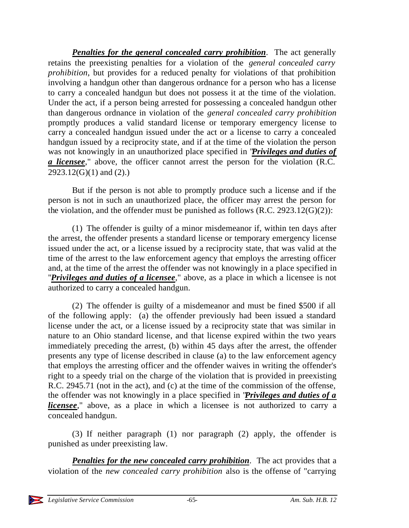*Penalties for the general concealed carry prohibition*. The act generally retains the preexisting penalties for a violation of the *general concealed carry prohibition*, but provides for a reduced penalty for violations of that prohibition involving a handgun other than dangerous ordnance for a person who has a license to carry a concealed handgun but does not possess it at the time of the violation. Under the act, if a person being arrested for possessing a concealed handgun other than dangerous ordnance in violation of the *general concealed carry prohibition* promptly produces a valid standard license or temporary emergency license to carry a concealed handgun issued under the act or a license to carry a concealed handgun issued by a reciprocity state, and if at the time of the violation the person was not knowingly in an unauthorized place specified in "*Privileges and duties of a licensee*," above, the officer cannot arrest the person for the violation (R.C.  $2923.12(G)(1)$  and  $(2)$ .)

But if the person is not able to promptly produce such a license and if the person is not in such an unauthorized place, the officer may arrest the person for the violation, and the offender must be punished as follows  $(R.C. 2923.12(G)(2))$ :

(1) The offender is guilty of a minor misdemeanor if, within ten days after the arrest, the offender presents a standard license or temporary emergency license issued under the act, or a license issued by a reciprocity state, that was valid at the time of the arrest to the law enforcement agency that employs the arresting officer and, at the time of the arrest the offender was not knowingly in a place specified in "*Privileges and duties of a licensee*," above, as a place in which a licensee is not authorized to carry a concealed handgun.

(2) The offender is guilty of a misdemeanor and must be fined \$500 if all of the following apply: (a) the offender previously had been issued a standard license under the act, or a license issued by a reciprocity state that was similar in nature to an Ohio standard license, and that license expired within the two years immediately preceding the arrest, (b) within 45 days after the arrest, the offender presents any type of license described in clause (a) to the law enforcement agency that employs the arresting officer and the offender waives in writing the offender's right to a speedy trial on the charge of the violation that is provided in preexisting R.C. 2945.71 (not in the act), and (c) at the time of the commission of the offense, the offender was not knowingly in a place specified in "*Privileges and duties of a licensee*," above, as a place in which a licensee is not authorized to carry a concealed handgun.

(3) If neither paragraph (1) nor paragraph (2) apply, the offender is punished as under preexisting law.

*Penalties for the new concealed carry prohibition*. The act provides that a violation of the *new concealed carry prohibition* also is the offense of "carrying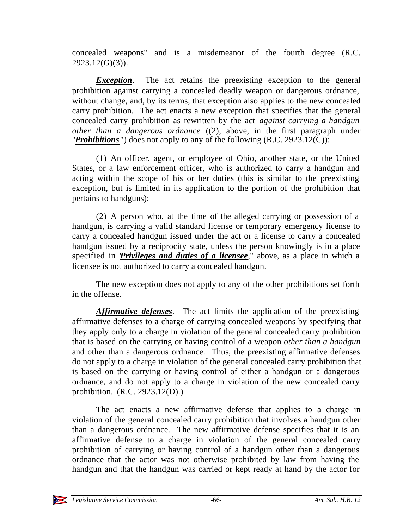concealed weapons" and is a misdemeanor of the fourth degree (R.C. 2923.12(G)(3)).

**Exception.** The act retains the preexisting exception to the general prohibition against carrying a concealed deadly weapon or dangerous ordnance, without change, and, by its terms, that exception also applies to the new concealed carry prohibition. The act enacts a new exception that specifies that the general concealed carry prohibition as rewritten by the act *against carrying a handgun other than a dangerous ordnance* ((2), above, in the first paragraph under "*Prohibitions* ") does not apply to any of the following (R.C. 2923.12(C)):

(1) An officer, agent, or employee of Ohio, another state, or the United States, or a law enforcement officer, who is authorized to carry a handgun and acting within the scope of his or her duties (this is similar to the preexisting exception, but is limited in its application to the portion of the prohibition that pertains to handguns);

(2) A person who, at the time of the alleged carrying or possession of a handgun, is carrying a valid standard license or temporary emergency license to carry a concealed handgun issued under the act or a license to carry a concealed handgun issued by a reciprocity state, unless the person knowingly is in a place specified in *Privileges and duties of a licensee*," above, as a place in which a licensee is not authorized to carry a concealed handgun.

The new exception does not apply to any of the other prohibitions set forth in the offense.

*Affirmative defenses*. The act limits the application of the preexisting affirmative defenses to a charge of carrying concealed weapons by specifying that they apply only to a charge in violation of the general concealed carry prohibition that is based on the carrying or having control of a weapon *other than a handgun* and other than a dangerous ordnance. Thus, the preexisting affirmative defenses do not apply to a charge in violation of the general concealed carry prohibition that is based on the carrying or having control of either a handgun or a dangerous ordnance, and do not apply to a charge in violation of the new concealed carry prohibition. (R.C. 2923.12(D).)

The act enacts a new affirmative defense that applies to a charge in violation of the general concealed carry prohibition that involves a handgun other than a dangerous ordnance. The new affirmative defense specifies that it is an affirmative defense to a charge in violation of the general concealed carry prohibition of carrying or having control of a handgun other than a dangerous ordnance that the actor was not otherwise prohibited by law from having the handgun and that the handgun was carried or kept ready at hand by the actor for

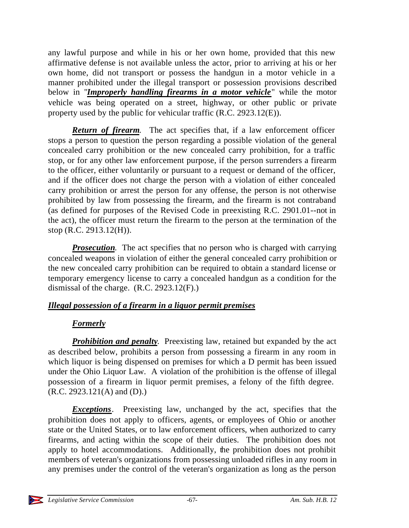any lawful purpose and while in his or her own home, provided that this new affirmative defense is not available unless the actor, prior to arriving at his or her own home, did not transport or possess the handgun in a motor vehicle in a manner prohibited under the illegal transport or possession provisions described below in "*Improperly handling firearms in a motor vehicle*" while the motor vehicle was being operated on a street, highway, or other public or private property used by the public for vehicular traffic (R.C. 2923.12(E)).

*Return of firearm*. The act specifies that, if a law enforcement officer stops a person to question the person regarding a possible violation of the general concealed carry prohibition or the new concealed carry prohibition, for a traffic stop, or for any other law enforcement purpose, if the person surrenders a firearm to the officer, either voluntarily or pursuant to a request or demand of the officer, and if the officer does not charge the person with a violation of either concealed carry prohibition or arrest the person for any offense, the person is not otherwise prohibited by law from possessing the firearm, and the firearm is not contraband (as defined for purposes of the Revised Code in preexisting R.C. 2901.01--not in the act), the officer must return the firearm to the person at the termination of the stop (R.C. 2913.12(H)).

*Prosecution*. The act specifies that no person who is charged with carrying concealed weapons in violation of either the general concealed carry prohibition or the new concealed carry prohibition can be required to obtain a standard license or temporary emergency license to carry a concealed handgun as a condition for the dismissal of the charge. (R.C. 2923.12(F).)

# *Illegal possession of a firearm in a liquor permit premises*

# *Formerly*

*Prohibition and penalty*. Preexisting law, retained but expanded by the act as described below, prohibits a person from possessing a firearm in any room in which liquor is being dispensed on premises for which a D permit has been issued under the Ohio Liquor Law. A violation of the prohibition is the offense of illegal possession of a firearm in liquor permit premises, a felony of the fifth degree. (R.C. 2923.121(A) and (D).)

*Exceptions*. Preexisting law, unchanged by the act, specifies that the prohibition does not apply to officers, agents, or employees of Ohio or another state or the United States, or to law enforcement officers, when authorized to carry firearms, and acting within the scope of their duties. The prohibition does not apply to hotel accommodations. Additionally, the prohibition does not prohibit members of veteran's organizations from possessing unloaded rifles in any room in any premises under the control of the veteran's organization as long as the person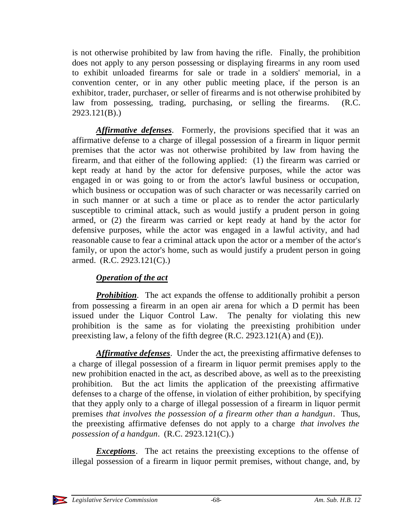is not otherwise prohibited by law from having the rifle. Finally, the prohibition does not apply to any person possessing or displaying firearms in any room used to exhibit unloaded firearms for sale or trade in a soldiers' memorial, in a convention center, or in any other public meeting place, if the person is an exhibitor, trader, purchaser, or seller of firearms and is not otherwise prohibited by law from possessing, trading, purchasing, or selling the firearms. (R.C. 2923.121(B).)

*Affirmative defenses*. Formerly, the provisions specified that it was an affirmative defense to a charge of illegal possession of a firearm in liquor permit premises that the actor was not otherwise prohibited by law from having the firearm, and that either of the following applied: (1) the firearm was carried or kept ready at hand by the actor for defensive purposes, while the actor was engaged in or was going to or from the actor's lawful business or occupation, which business or occupation was of such character or was necessarily carried on in such manner or at such a time or pl ace as to render the actor particularly susceptible to criminal attack, such as would justify a prudent person in going armed, or (2) the firearm was carried or kept ready at hand by the actor for defensive purposes, while the actor was engaged in a lawful activity, and had reasonable cause to fear a criminal attack upon the actor or a member of the actor's family, or upon the actor's home, such as would justify a prudent person in going armed. (R.C. 2923.121(C).)

# *Operation of the act*

*Prohibition*. The act expands the offense to additionally prohibit a person from possessing a firearm in an open air arena for which a D permit has been issued under the Liquor Control Law. The penalty for violating this new prohibition is the same as for violating the preexisting prohibition under preexisting law, a felony of the fifth degree (R.C. 2923.121(A) and (E)).

*Affirmative defenses*. Under the act, the preexisting affirmative defenses to a charge of illegal possession of a firearm in liquor permit premises apply to the new prohibition enacted in the act, as described above, as well as to the preexisting prohibition. But the act limits the application of the preexisting affirmative defenses to a charge of the offense, in violation of either prohibition, by specifying that they apply only to a charge of illegal possession of a firearm in liquor permit premises *that involves the possession of a firearm other than a handgun*. Thus, the preexisting affirmative defenses do not apply to a charge *that involves the possession of a handgun*. (R.C. 2923.121(C).)

*Exceptions*. The act retains the preexisting exceptions to the offense of illegal possession of a firearm in liquor permit premises, without change, and, by

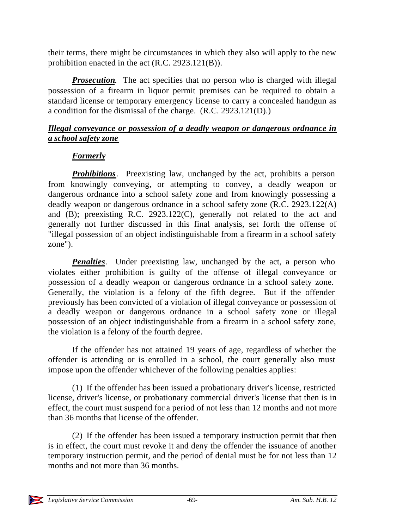their terms, there might be circumstances in which they also will apply to the new prohibition enacted in the act (R.C. 2923.121(B)).

**Prosecution**. The act specifies that no person who is charged with illegal possession of a firearm in liquor permit premises can be required to obtain a standard license or temporary emergency license to carry a concealed handgun as a condition for the dismissal of the charge. (R.C. 2923.121(D).)

# *Illegal conveyance or possession of a deadly weapon or dangerous ordnance in a school safety zone*

# *Formerly*

*Prohibitions*. Preexisting law, unchanged by the act, prohibits a person from knowingly conveying, or attempting to convey, a deadly weapon or dangerous ordnance into a school safety zone and from knowingly possessing a deadly weapon or dangerous ordnance in a school safety zone (R.C. 2923.122(A) and (B); preexisting R.C. 2923.122(C), generally not related to the act and generally not further discussed in this final analysis, set forth the offense of "illegal possession of an object indistinguishable from a firearm in a school safety zone").

*Penalties*. Under preexisting law, unchanged by the act, a person who violates either prohibition is guilty of the offense of illegal conveyance or possession of a deadly weapon or dangerous ordnance in a school safety zone. Generally, the violation is a felony of the fifth degree. But if the offender previously has been convicted of a violation of illegal conveyance or possession of a deadly weapon or dangerous ordnance in a school safety zone or illegal possession of an object indistinguishable from a firearm in a school safety zone, the violation is a felony of the fourth degree.

If the offender has not attained 19 years of age, regardless of whether the offender is attending or is enrolled in a school, the court generally also must impose upon the offender whichever of the following penalties applies:

(1) If the offender has been issued a probationary driver's license, restricted license, driver's license, or probationary commercial driver's license that then is in effect, the court must suspend for a period of not less than 12 months and not more than 36 months that license of the offender.

(2) If the offender has been issued a temporary instruction permit that then is in effect, the court must revoke it and deny the offender the issuance of another temporary instruction permit, and the period of denial must be for not less than 12 months and not more than 36 months.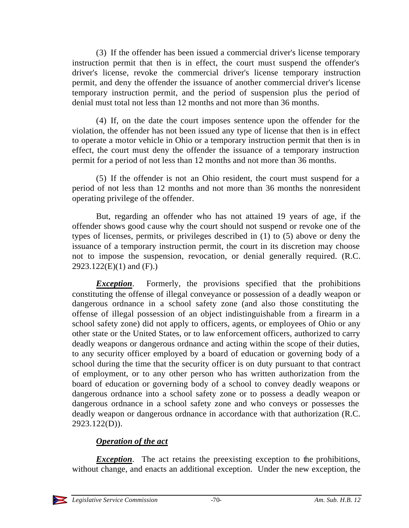(3) If the offender has been issued a commercial driver's license temporary instruction permit that then is in effect, the court must suspend the offender's driver's license, revoke the commercial driver's license temporary instruction permit, and deny the offender the issuance of another commercial driver's license temporary instruction permit, and the period of suspension plus the period of denial must total not less than 12 months and not more than 36 months.

(4) If, on the date the court imposes sentence upon the offender for the violation, the offender has not been issued any type of license that then is in effect to operate a motor vehicle in Ohio or a temporary instruction permit that then is in effect, the court must deny the offender the issuance of a temporary instruction permit for a period of not less than 12 months and not more than 36 months.

(5) If the offender is not an Ohio resident, the court must suspend for a period of not less than 12 months and not more than 36 months the nonresident operating privilege of the offender.

But, regarding an offender who has not attained 19 years of age, if the offender shows good cause why the court should not suspend or revoke one of the types of licenses, permits, or privileges described in (1) to (5) above or deny the issuance of a temporary instruction permit, the court in its discretion may choose not to impose the suspension, revocation, or denial generally required. (R.C. 2923.122(E)(1) and (F).)

*Exception*. Formerly, the provisions specified that the prohibitions constituting the offense of illegal conveyance or possession of a deadly weapon or dangerous ordnance in a school safety zone (and also those constituting the offense of illegal possession of an object indistinguishable from a firearm in a school safety zone) did not apply to officers, agents, or employees of Ohio or any other state or the United States, or to law enforcement officers, authorized to carry deadly weapons or dangerous ordnance and acting within the scope of their duties, to any security officer employed by a board of education or governing body of a school during the time that the security officer is on duty pursuant to that contract of employment, or to any other person who has written authorization from the board of education or governing body of a school to convey deadly weapons or dangerous ordnance into a school safety zone or to possess a deadly weapon or dangerous ordnance in a school safety zone and who conveys or possesses the deadly weapon or dangerous ordnance in accordance with that authorization (R.C. 2923.122(D)).

# *Operation of the act*

*Exception*. The act retains the preexisting exception to the prohibitions, without change, and enacts an additional exception. Under the new exception, the

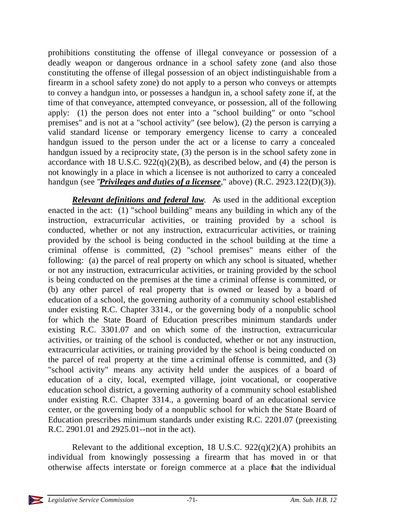prohibitions constituting the offense of illegal conveyance or possession of a deadly weapon or dangerous ordnance in a school safety zone (and also those constituting the offense of illegal possession of an object indistinguishable from a firearm in a school safety zone) do not apply to a person who conveys or attempts to convey a handgun into, or possesses a handgun in, a school safety zone if, at the time of that conveyance, attempted conveyance, or possession, all of the following apply: (1) the person does not enter into a "school building" or onto "school premises" and is not at a "school activity" (see below), (2) the person is carrying a valid standard license or temporary emergency license to carry a concealed handgun issued to the person under the act or a license to carry a concealed handgun issued by a reciprocity state, (3) the person is in the school safety zone in accordance with 18 U.S.C.  $922(q)(2)(B)$ , as described below, and (4) the person is not knowingly in a place in which a licensee is not authorized to carry a concealed handgun (see "*Privileges and duties of a licensee*," above) (R.C. 2923.122(D)(3)).

*Relevant definitions and federal law*. As used in the additional exception enacted in the act: (1) "school building" means any building in which any of the instruction, extracurricular activities, or training provided by a school is conducted, whether or not any instruction, extracurricular activities, or training provided by the school is being conducted in the school building at the time a criminal offense is committed, (2) "school premises" means either of the following: (a) the parcel of real property on which any school is situated, whether or not any instruction, extracurricular activities, or training provided by the school is being conducted on the premises at the time a criminal offense is committed, or (b) any other parcel of real property that is owned or leased by a board of education of a school, the governing authority of a community school established under existing R.C. Chapter 3314., or the governing body of a nonpublic school for which the State Board of Education prescribes minimum standards under existing R.C. 3301.07 and on which some of the instruction, extracurricular activities, or training of the school is conducted, whether or not any instruction, extracurricular activities, or training provided by the school is being conducted on the parcel of real property at the time a criminal offense is committed, and (3) "school activity" means any activity held under the auspices of a board of education of a city, local, exempted village, joint vocational, or cooperative education school district, a governing authority of a community school established under existing R.C. Chapter 3314., a governing board of an educational service center, or the governing body of a nonpublic school for which the State Board of Education prescribes minimum standards under existing R.C. 2201.07 (preexisting R.C. 2901.01 and 2925.01--not in the act).

Relevant to the additional exception, 18 U.S.C.  $922(q)(2)(A)$  prohibits an individual from knowingly possessing a firearm that has moved in or that otherwise affects interstate or foreign commerce at a place that the individual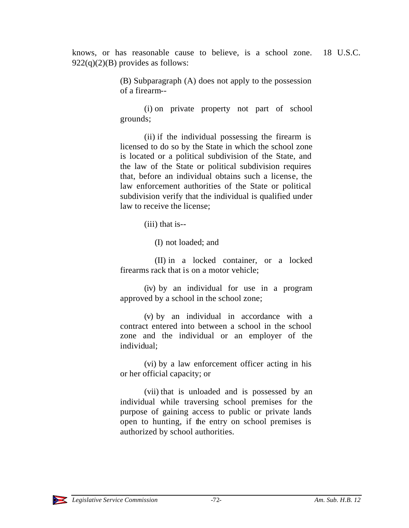knows, or has reasonable cause to believe, is a school zone. 18 U.S.C.  $922(q)(2)(B)$  provides as follows:

> (B) Subparagraph (A) does not apply to the possession of a firearm--

> (i) on private property not part of school grounds;

> (ii) if the individual possessing the firearm is licensed to do so by the State in which the school zone is located or a political subdivision of the State, and the law of the State or political subdivision requires that, before an individual obtains such a license, the law enforcement authorities of the State or political subdivision verify that the individual is qualified under law to receive the license;

> > (iii) that is--

(I) not loaded; and

 (II) in a locked container, or a locked firearms rack that is on a motor vehicle;

(iv) by an individual for use in a program approved by a school in the school zone;

(v) by an individual in accordance with a contract entered into between a school in the school zone and the individual or an employer of the individual;

(vi) by a law enforcement officer acting in his or her official capacity; or

(vii) that is unloaded and is possessed by an individual while traversing school premises for the purpose of gaining access to public or private lands open to hunting, if the entry on school premises is authorized by school authorities.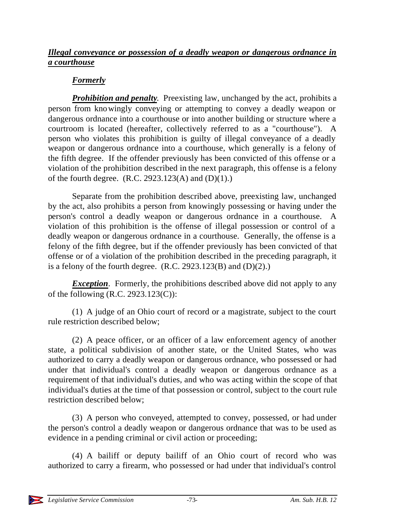### *Illegal conveyance or possession of a deadly weapon or dangerous ordnance in a courthouse*

# *Formerly*

*Prohibition and penalty*. Preexisting law, unchanged by the act, prohibits a person from knowingly conveying or attempting to convey a deadly weapon or dangerous ordnance into a courthouse or into another building or structure where a courtroom is located (hereafter, collectively referred to as a "courthouse"). A person who violates this prohibition is guilty of illegal conveyance of a deadly weapon or dangerous ordnance into a courthouse, which generally is a felony of the fifth degree. If the offender previously has been convicted of this offense or a violation of the prohibition described in the next paragraph, this offense is a felony of the fourth degree.  $(R.C. 2923.123(A)$  and  $(D)(1)$ .)

Separate from the prohibition described above, preexisting law, unchanged by the act, also prohibits a person from knowingly possessing or having under the person's control a deadly weapon or dangerous ordnance in a courthouse. A violation of this prohibition is the offense of illegal possession or control of a deadly weapon or dangerous ordnance in a courthouse. Generally, the offense is a felony of the fifth degree, but if the offender previously has been convicted of that offense or of a violation of the prohibition described in the preceding paragraph, it is a felony of the fourth degree.  $(R.C. 2923.123(B)$  and  $(D)(2)$ .)

*Exception*. Formerly, the prohibitions described above did not apply to any of the following (R.C. 2923.123(C)):

(1) A judge of an Ohio court of record or a magistrate, subject to the court rule restriction described below;

(2) A peace officer, or an officer of a law enforcement agency of another state, a political subdivision of another state, or the United States, who was authorized to carry a deadly weapon or dangerous ordnance, who possessed or had under that individual's control a deadly weapon or dangerous ordnance as a requirement of that individual's duties, and who was acting within the scope of that individual's duties at the time of that possession or control, subject to the court rule restriction described below;

(3) A person who conveyed, attempted to convey, possessed, or had under the person's control a deadly weapon or dangerous ordnance that was to be used as evidence in a pending criminal or civil action or proceeding;

(4) A bailiff or deputy bailiff of an Ohio court of record who was authorized to carry a firearm, who possessed or had under that individual's control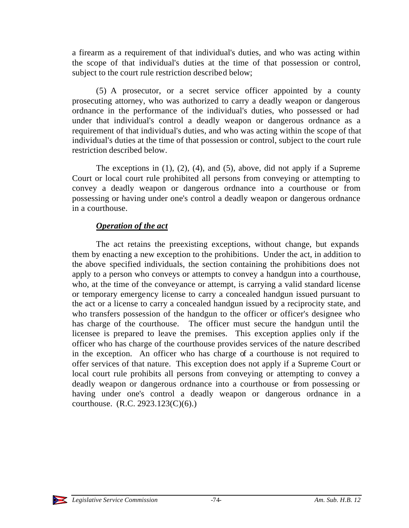a firearm as a requirement of that individual's duties, and who was acting within the scope of that individual's duties at the time of that possession or control, subject to the court rule restriction described below;

(5) A prosecutor, or a secret service officer appointed by a county prosecuting attorney, who was authorized to carry a deadly weapon or dangerous ordnance in the performance of the individual's duties, who possessed or had under that individual's control a deadly weapon or dangerous ordnance as a requirement of that individual's duties, and who was acting within the scope of that individual's duties at the time of that possession or control, subject to the court rule restriction described below.

The exceptions in (1), (2), (4), and (5), above, did not apply if a Supreme Court or local court rule prohibited all persons from conveying or attempting to convey a deadly weapon or dangerous ordnance into a courthouse or from possessing or having under one's control a deadly weapon or dangerous ordnance in a courthouse.

### *Operation of the act*

The act retains the preexisting exceptions, without change, but expands them by enacting a new exception to the prohibitions. Under the act, in addition to the above specified individuals, the section containing the prohibitions does not apply to a person who conveys or attempts to convey a handgun into a courthouse, who, at the time of the conveyance or attempt, is carrying a valid standard license or temporary emergency license to carry a concealed handgun issued pursuant to the act or a license to carry a concealed handgun issued by a reciprocity state, and who transfers possession of the handgun to the officer or officer's designee who has charge of the courthouse. The officer must secure the handgun until the licensee is prepared to leave the premises. This exception applies only if the officer who has charge of the courthouse provides services of the nature described in the exception. An officer who has charge of a courthouse is not required to offer services of that nature. This exception does not apply if a Supreme Court or local court rule prohibits all persons from conveying or attempting to convey a deadly weapon or dangerous ordnance into a courthouse or from possessing or having under one's control a deadly weapon or dangerous ordnance in a courthouse. (R.C. 2923.123(C)(6).)

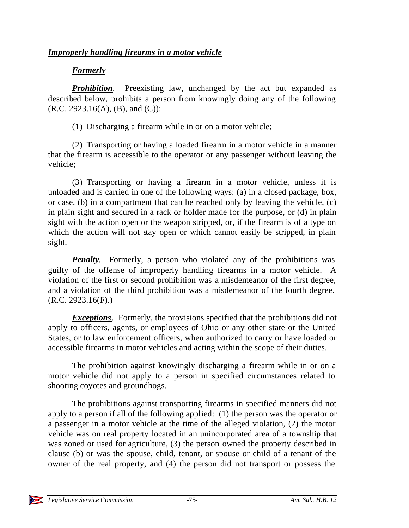### *Improperly handling firearms in a motor vehicle*

#### *Formerly*

**Prohibition.** Preexisting law, unchanged by the act but expanded as described below, prohibits a person from knowingly doing any of the following  $(R.C. 2923.16(A), (B), and (C))$ :

(1) Discharging a firearm while in or on a motor vehicle;

(2) Transporting or having a loaded firearm in a motor vehicle in a manner that the firearm is accessible to the operator or any passenger without leaving the vehicle;

(3) Transporting or having a firearm in a motor vehicle, unless it is unloaded and is carried in one of the following ways: (a) in a closed package, box, or case, (b) in a compartment that can be reached only by leaving the vehicle, (c) in plain sight and secured in a rack or holder made for the purpose, or (d) in plain sight with the action open or the weapon stripped, or, if the firearm is of a type on which the action will not stay open or which cannot easily be stripped, in plain sight.

*Penalty*. Formerly, a person who violated any of the prohibitions was guilty of the offense of improperly handling firearms in a motor vehicle. A violation of the first or second prohibition was a misdemeanor of the first degree, and a violation of the third prohibition was a misdemeanor of the fourth degree.  $(R.C. 2923.16(F))$ 

*Exceptions*. Formerly, the provisions specified that the prohibitions did not apply to officers, agents, or employees of Ohio or any other state or the United States, or to law enforcement officers, when authorized to carry or have loaded or accessible firearms in motor vehicles and acting within the scope of their duties.

The prohibition against knowingly discharging a firearm while in or on a motor vehicle did not apply to a person in specified circumstances related to shooting coyotes and groundhogs.

The prohibitions against transporting firearms in specified manners did not apply to a person if all of the following applied: (1) the person was the operator or a passenger in a motor vehicle at the time of the alleged violation, (2) the motor vehicle was on real property located in an unincorporated area of a township that was zoned or used for agriculture, (3) the person owned the property described in clause (b) or was the spouse, child, tenant, or spouse or child of a tenant of the owner of the real property, and (4) the person did not transport or possess the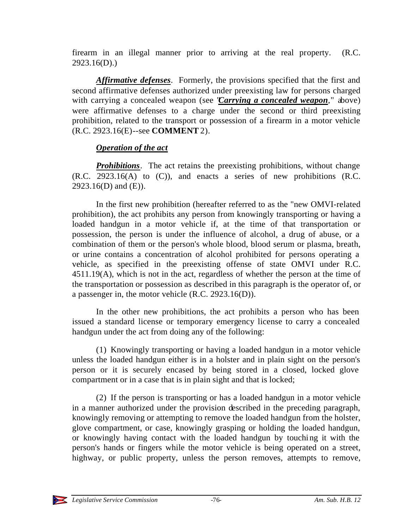firearm in an illegal manner prior to arriving at the real property. (R.C. 2923.16(D).)

*Affirmative defenses*. Formerly, the provisions specified that the first and second affirmative defenses authorized under preexisting law for persons charged with carrying a concealed weapon (see "*Carrying a concealed weapon*," above) were affirmative defenses to a charge under the second or third preexisting prohibition, related to the transport or possession of a firearm in a motor vehicle (R.C. 2923.16(E)--see **COMMENT** 2).

### *Operation of the act*

*Prohibitions*. The act retains the preexisting prohibitions, without change (R.C. 2923.16(A) to (C)), and enacts a series of new prohibitions (R.C. 2923.16(D) and (E)).

In the first new prohibition (hereafter referred to as the "new OMVI-related prohibition), the act prohibits any person from knowingly transporting or having a loaded handgun in a motor vehicle if, at the time of that transportation or possession, the person is under the influence of alcohol, a drug of abuse, or a combination of them or the person's whole blood, blood serum or plasma, breath, or urine contains a concentration of alcohol prohibited for persons operating a vehicle, as specified in the preexisting offense of state OMVI under R.C. 4511.19(A), which is not in the act, regardless of whether the person at the time of the transportation or possession as described in this paragraph is the operator of, or a passenger in, the motor vehicle (R.C. 2923.16(D)).

In the other new prohibitions, the act prohibits a person who has been issued a standard license or temporary emergency license to carry a concealed handgun under the act from doing any of the following:

(1) Knowingly transporting or having a loaded handgun in a motor vehicle unless the loaded handgun either is in a holster and in plain sight on the person's person or it is securely encased by being stored in a closed, locked glove compartment or in a case that is in plain sight and that is locked;

(2) If the person is transporting or has a loaded handgun in a motor vehicle in a manner authorized under the provision described in the preceding paragraph, knowingly removing or attempting to remove the loaded handgun from the holster, glove compartment, or case, knowingly grasping or holding the loaded handgun, or knowingly having contact with the loaded handgun by touching it with the person's hands or fingers while the motor vehicle is being operated on a street, highway, or public property, unless the person removes, attempts to remove,

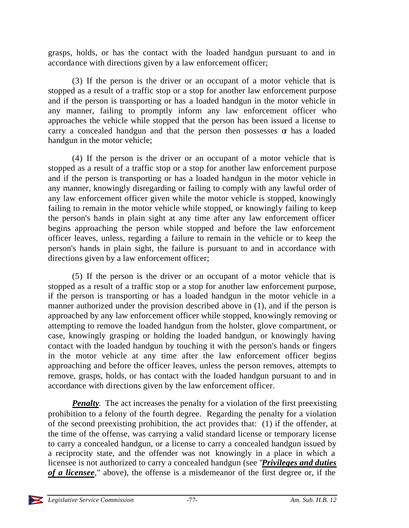grasps, holds, or has the contact with the loaded handgun pursuant to and in accordance with directions given by a law enforcement officer;

(3) If the person is the driver or an occupant of a motor vehicle that is stopped as a result of a traffic stop or a stop for another law enforcement purpose and if the person is transporting or has a loaded handgun in the motor vehicle in any manner, failing to promptly inform any law enforcement officer who approaches the vehicle while stopped that the person has been issued a license to carry a concealed handgun and that the person then possesses  $\alpha$  has a loaded handgun in the motor vehicle;

(4) If the person is the driver or an occupant of a motor vehicle that is stopped as a result of a traffic stop or a stop for another law enforcement purpose and if the person is transporting or has a loaded handgun in the motor vehicle in any manner, knowingly disregarding or failing to comply with any lawful order of any law enforcement officer given while the motor vehicle is stopped, knowingly failing to remain in the motor vehicle while stopped, or knowingly failing to keep the person's hands in plain sight at any time after any law enforcement officer begins approaching the person while stopped and before the law enforcement officer leaves, unless, regarding a failure to remain in the vehicle or to keep the person's hands in plain sight, the failure is pursuant to and in accordance with directions given by a law enforcement officer;

(5) If the person is the driver or an occupant of a motor vehicle that is stopped as a result of a traffic stop or a stop for another law enforcement purpose, if the person is transporting or has a loaded handgun in the motor vehicle in a manner authorized under the provision described above in (1), and if the person is approached by any law enforcement officer while stopped, knowingly removing or attempting to remove the loaded handgun from the holster, glove compartment, or case, knowingly grasping or holding the loaded handgun, or knowingly having contact with the loaded handgun by touching it with the person's hands or fingers in the motor vehicle at any time after the law enforcement officer begins approaching and before the officer leaves, unless the person removes, attempts to remove, grasps, holds, or has contact with the loaded handgun pursuant to and in accordance with directions given by the law enforcement officer.

*Penalty*. The act increases the penalty for a violation of the first preexisting prohibition to a felony of the fourth degree. Regarding the penalty for a violation of the second preexisting prohibition, the act provides that: (1) if the offender, at the time of the offense, was carrying a valid standard license or temporary license to carry a concealed handgun, or a license to carry a concealed handgun issued by a reciprocity state, and the offender was not knowingly in a place in which a licensee is not authorized to carry a concealed handgun (see "*Privileges and duties of a licensee*," above), the offense is a misdemeanor of the first degree or, if the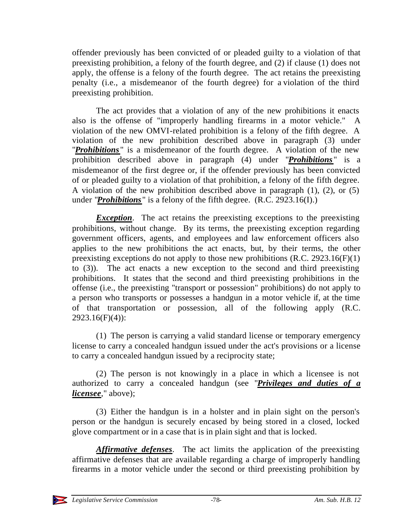offender previously has been convicted of or pleaded guilty to a violation of that preexisting prohibition, a felony of the fourth degree, and (2) if clause (1) does not apply, the offense is a felony of the fourth degree. The act retains the preexisting penalty (i.e., a misdemeanor of the fourth degree) for a violation of the third preexisting prohibition.

The act provides that a violation of any of the new prohibitions it enacts also is the offense of "improperly handling firearms in a motor vehicle." A violation of the new OMVI-related prohibition is a felony of the fifth degree. A violation of the new prohibition described above in paragraph (3) under "*Prohibitions* " is a misdemeanor of the fourth degree. A violation of the new prohibition described above in paragraph (4) under "*Prohibitions* " is a misdemeanor of the first degree or, if the offender previously has been convicted of or pleaded guilty to a violation of that prohibition, a felony of the fifth degree. A violation of the new prohibition described above in paragraph (1), (2), or (5) under "*Prohibitions* " is a felony of the fifth degree. (R.C. 2923.16(I).)

*Exception*. The act retains the preexisting exceptions to the preexisting prohibitions, without change. By its terms, the preexisting exception regarding government officers, agents, and employees and law enforcement officers also applies to the new prohibitions the act enacts, but, by their terms, the other preexisting exceptions do not apply to those new prohibitions (R.C. 2923.16(F)(1) to (3)). The act enacts a new exception to the second and third preexisting prohibitions. It states that the second and third preexisting prohibitions in the offense (i.e., the preexisting "transport or possession" prohibitions) do not apply to a person who transports or possesses a handgun in a motor vehicle if, at the time of that transportation or possession, all of the following apply (R.C.  $2923.16(F)(4)$ :

(1) The person is carrying a valid standard license or temporary emergency license to carry a concealed handgun issued under the act's provisions or a license to carry a concealed handgun issued by a reciprocity state;

(2) The person is not knowingly in a place in which a licensee is not authorized to carry a concealed handgun (see "*Privileges and duties of a licensee*," above);

(3) Either the handgun is in a holster and in plain sight on the person's person or the handgun is securely encased by being stored in a closed, locked glove compartment or in a case that is in plain sight and that is locked.

*Affirmative defenses*. The act limits the application of the preexisting affirmative defenses that are available regarding a charge of improperly handling firearms in a motor vehicle under the second or third preexisting prohibition by

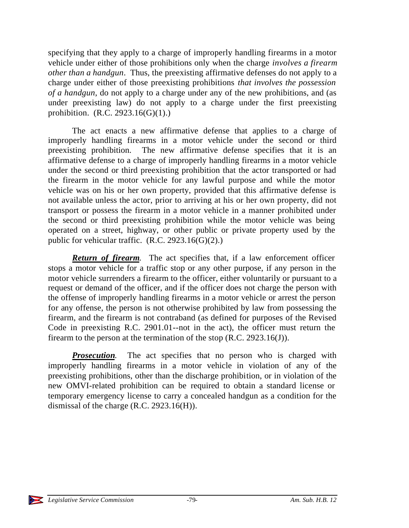specifying that they apply to a charge of improperly handling firearms in a motor vehicle under either of those prohibitions only when the charge *involves a firearm other than a handgun*. Thus, the preexisting affirmative defenses do not apply to a charge under either of those preexisting prohibitions *that involves the possession of a handgun*, do not apply to a charge under any of the new prohibitions, and (as under preexisting law) do not apply to a charge under the first preexisting prohibition. (R.C. 2923.16(G)(1).)

The act enacts a new affirmative defense that applies to a charge of improperly handling firearms in a motor vehicle under the second or third preexisting prohibition. The new affirmative defense specifies that it is an affirmative defense to a charge of improperly handling firearms in a motor vehicle under the second or third preexisting prohibition that the actor transported or had the firearm in the motor vehicle for any lawful purpose and while the motor vehicle was on his or her own property, provided that this affirmative defense is not available unless the actor, prior to arriving at his or her own property, did not transport or possess the firearm in a motor vehicle in a manner prohibited under the second or third preexisting prohibition while the motor vehicle was being operated on a street, highway, or other public or private property used by the public for vehicular traffic.  $(R.C. 2923.16(G)(2))$ .

*Return of firearm*. The act specifies that, if a law enforcement officer stops a motor vehicle for a traffic stop or any other purpose, if any person in the motor vehicle surrenders a firearm to the officer, either voluntarily or pursuant to a request or demand of the officer, and if the officer does not charge the person with the offense of improperly handling firearms in a motor vehicle or arrest the person for any offense, the person is not otherwise prohibited by law from possessing the firearm, and the firearm is not contraband (as defined for purposes of the Revised Code in preexisting R.C. 2901.01--not in the act), the officer must return the firearm to the person at the termination of the stop  $(R.C. 2923.16(J))$ .

**Prosecution**. The act specifies that no person who is charged with improperly handling firearms in a motor vehicle in violation of any of the preexisting prohibitions, other than the discharge prohibition, or in violation of the new OMVI-related prohibition can be required to obtain a standard license or temporary emergency license to carry a concealed handgun as a condition for the dismissal of the charge (R.C. 2923.16(H)).

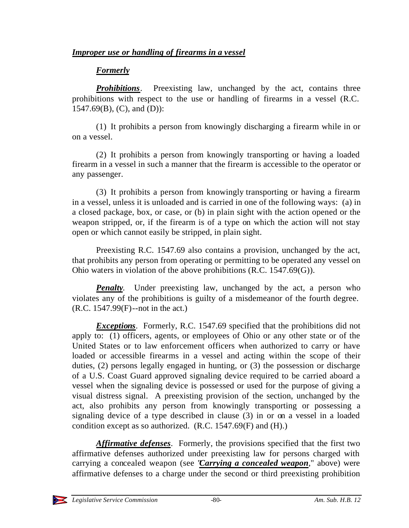### *Formerly*

**Prohibitions**. Preexisting law, unchanged by the act, contains three prohibitions with respect to the use or handling of firearms in a vessel (R.C.  $1547.69(B)$ , (C), and (D)):

(1) It prohibits a person from knowingly discharging a firearm while in or on a vessel.

(2) It prohibits a person from knowingly transporting or having a loaded firearm in a vessel in such a manner that the firearm is accessible to the operator or any passenger.

(3) It prohibits a person from knowingly transporting or having a firearm in a vessel, unless it is unloaded and is carried in one of the following ways: (a) in a closed package, box, or case, or (b) in plain sight with the action opened or the weapon stripped, or, if the firearm is of a type on which the action will not stay open or which cannot easily be stripped, in plain sight.

Preexisting R.C. 1547.69 also contains a provision, unchanged by the act, that prohibits any person from operating or permitting to be operated any vessel on Ohio waters in violation of the above prohibitions (R.C. 1547.69(G)).

*Penalty*. Under preexisting law, unchanged by the act, a person who violates any of the prohibitions is guilty of a misdemeanor of the fourth degree. (R.C. 1547.99(F)--not in the act.)

*Exceptions*. Formerly, R.C. 1547.69 specified that the prohibitions did not apply to: (1) officers, agents, or employees of Ohio or any other state or of the United States or to law enforcement officers when authorized to carry or have loaded or accessible firearms in a vessel and acting within the scope of their duties, (2) persons legally engaged in hunting, or (3) the possession or discharge of a U.S. Coast Guard approved signaling device required to be carried aboard a vessel when the signaling device is possessed or used for the purpose of giving a visual distress signal. A preexisting provision of the section, unchanged by the act, also prohibits any person from knowingly transporting or possessing a signaling device of a type described in clause (3) in or on a vessel in a loaded condition except as so authorized. (R.C. 1547.69(F) and (H).)

*Affirmative defenses*. Formerly, the provisions specified that the first two affirmative defenses authorized under preexisting law for persons charged with carrying a concealed weapon (see "*Carrying a concealed weapon*," above) were affirmative defenses to a charge under the second or third preexisting prohibition

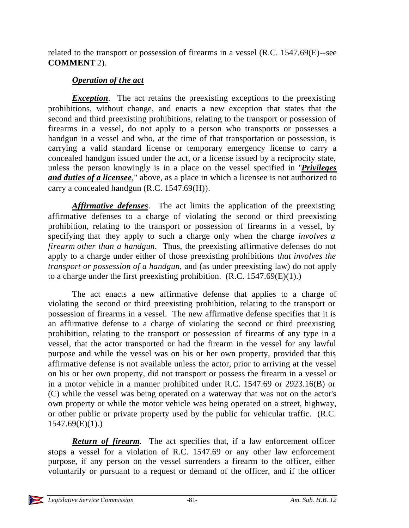related to the transport or possession of firearms in a vessel (R.C. 1547.69(E)--see **COMMENT** 2).

## *Operation of the act*

*Exception*. The act retains the preexisting exceptions to the preexisting prohibitions, without change, and enacts a new exception that states that the second and third preexisting prohibitions, relating to the transport or possession of firearms in a vessel, do not apply to a person who transports or possesses a handgun in a vessel and who, at the time of that transportation or possession, is carrying a valid standard license or temporary emergency license to carry a concealed handgun issued under the act, or a license issued by a reciprocity state, unless the person knowingly is in a place on the vessel specified in "*Privileges and duties of a licensee*," above, as a place in which a licensee is not authorized to carry a concealed handgun (R.C. 1547.69(H)).

*Affirmative defenses*. The act limits the application of the preexisting affirmative defenses to a charge of violating the second or third preexisting prohibition, relating to the transport or possession of firearms in a vessel, by specifying that they apply to such a charge only when the charge *involves a firearm other than a handgun*. Thus, the preexisting affirmative defenses do not apply to a charge under either of those preexisting prohibitions *that involves the transport or possession of a handgun*, and (as under preexisting law) do not apply to a charge under the first preexisting prohibition.  $(R.C. 1547.69(E)(1))$ .

The act enacts a new affirmative defense that applies to a charge of violating the second or third preexisting prohibition, relating to the transport or possession of firearms in a vessel. The new affirmative defense specifies that it is an affirmative defense to a charge of violating the second or third preexisting prohibition, relating to the transport or possession of firearms of any type in a vessel, that the actor transported or had the firearm in the vessel for any lawful purpose and while the vessel was on his or her own property, provided that this affirmative defense is not available unless the actor, prior to arriving at the vessel on his or her own property, did not transport or possess the firearm in a vessel or in a motor vehicle in a manner prohibited under R.C. 1547.69 or 2923.16(B) or (C) while the vessel was being operated on a waterway that was not on the actor's own property or while the motor vehicle was being operated on a street, highway, or other public or private property used by the public for vehicular traffic. (R.C.  $1547.69(E)(1)$ .

*Return of firearm*. The act specifies that, if a law enforcement officer stops a vessel for a violation of R.C. 1547.69 or any other law enforcement purpose, if any person on the vessel surrenders a firearm to the officer, either voluntarily or pursuant to a request or demand of the officer, and if the officer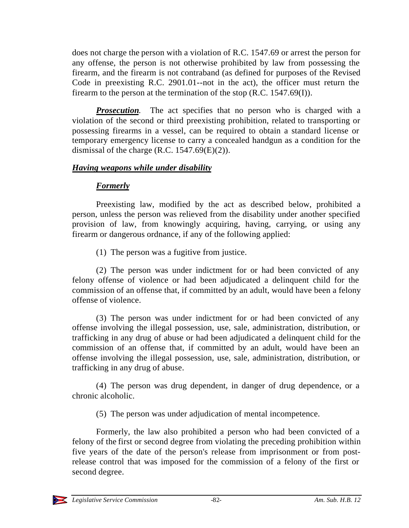does not charge the person with a violation of R.C. 1547.69 or arrest the person for any offense, the person is not otherwise prohibited by law from possessing the firearm, and the firearm is not contraband (as defined for purposes of the Revised Code in preexisting R.C. 2901.01--not in the act), the officer must return the firearm to the person at the termination of the stop  $(R.C. 1547.69(I))$ .

*Prosecution*. The act specifies that no person who is charged with a violation of the second or third preexisting prohibition, related to transporting or possessing firearms in a vessel, can be required to obtain a standard license or temporary emergency license to carry a concealed handgun as a condition for the dismissal of the charge (R.C.  $1547.69(E)(2)$ ).

### *Having weapons while under disability*

# *Formerly*

Preexisting law, modified by the act as described below, prohibited a person, unless the person was relieved from the disability under another specified provision of law, from knowingly acquiring, having, carrying, or using any firearm or dangerous ordnance, if any of the following applied:

(1) The person was a fugitive from justice.

(2) The person was under indictment for or had been convicted of any felony offense of violence or had been adjudicated a delinquent child for the commission of an offense that, if committed by an adult, would have been a felony offense of violence.

(3) The person was under indictment for or had been convicted of any offense involving the illegal possession, use, sale, administration, distribution, or trafficking in any drug of abuse or had been adjudicated a delinquent child for the commission of an offense that, if committed by an adult, would have been an offense involving the illegal possession, use, sale, administration, distribution, or trafficking in any drug of abuse.

(4) The person was drug dependent, in danger of drug dependence, or a chronic alcoholic.

(5) The person was under adjudication of mental incompetence.

Formerly, the law also prohibited a person who had been convicted of a felony of the first or second degree from violating the preceding prohibition within five years of the date of the person's release from imprisonment or from postrelease control that was imposed for the commission of a felony of the first or second degree.

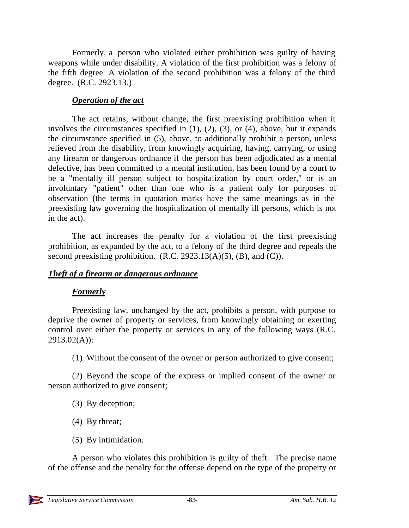Formerly, a person who violated either prohibition was guilty of having weapons while under disability. A violation of the first prohibition was a felony of the fifth degree. A violation of the second prohibition was a felony of the third degree. (R.C. 2923.13.)

### *Operation of the act*

The act retains, without change, the first preexisting prohibition when it involves the circumstances specified in (1), (2), (3), or (4), above, but it expands the circumstance specified in (5), above, to additionally prohibit a person, unless relieved from the disability, from knowingly acquiring, having, carrying, or using any firearm or dangerous ordnance if the person has been adjudicated as a mental defective, has been committed to a mental institution, has been found by a court to be a "mentally ill person subject to hospitalization by court order," or is an involuntary "patient" other than one who is a patient only for purposes of observation (the terms in quotation marks have the same meanings as in the preexisting law governing the hospitalization of mentally ill persons, which is not in the act).

The act increases the penalty for a violation of the first preexisting prohibition, as expanded by the act, to a felony of the third degree and repeals the second preexisting prohibition.  $(R.C. 2923.13(A)(5), (B), and (C)).$ 

### *Theft of a firearm or dangerous ordnance*

### *Formerly*

Preexisting law, unchanged by the act, prohibits a person, with purpose to deprive the owner of property or services, from knowingly obtaining or exerting control over either the property or services in any of the following ways (R.C.  $2913.02(A)$ :

(1) Without the consent of the owner or person authorized to give consent;

(2) Beyond the scope of the express or implied consent of the owner or person authorized to give consent;

- (3) By deception;
- (4) By threat;
- (5) By intimidation.

A person who violates this prohibition is guilty of theft. The precise name of the offense and the penalty for the offense depend on the type of the property or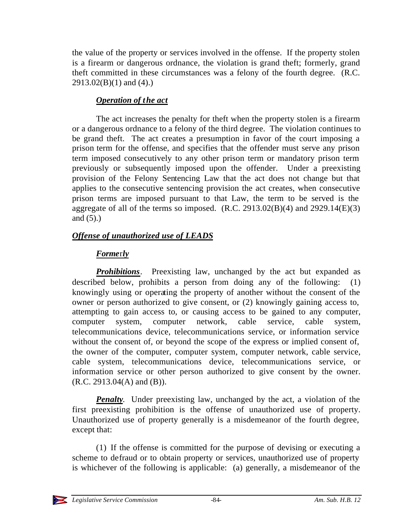the value of the property or services involved in the offense. If the property stolen is a firearm or dangerous ordnance, the violation is grand theft; formerly, grand theft committed in these circumstances was a felony of the fourth degree. (R.C.  $2913.02(B)(1)$  and  $(4)$ .)

## *Operation of the act*

The act increases the penalty for theft when the property stolen is a firearm or a dangerous ordnance to a felony of the third degree. The violation continues to be grand theft. The act creates a presumption in favor of the court imposing a prison term for the offense, and specifies that the offender must serve any prison term imposed consecutively to any other prison term or mandatory prison term previously or subsequently imposed upon the offender. Under a preexisting provision of the Felony Sentencing Law that the act does not change but that applies to the consecutive sentencing provision the act creates, when consecutive prison terms are imposed pursuant to that Law, the term to be served is the aggregate of all of the terms so imposed.  $(R.C. 2913.02(B)(4)$  and  $2929.14(E)(3)$ and  $(5)$ .)

### *Offense of unauthorized use of LEADS*

# *Forme*r*ly*

*Prohibitions*. Preexisting law, unchanged by the act but expanded as described below, prohibits a person from doing any of the following: (1) knowingly using or operating the property of another without the consent of the owner or person authorized to give consent, or (2) knowingly gaining access to, attempting to gain access to, or causing access to be gained to any computer, computer system, computer network, cable service, cable system, telecommunications device, telecommunications service, or information service without the consent of, or beyond the scope of the express or implied consent of, the owner of the computer, computer system, computer network, cable service, cable system, telecommunications device, telecommunications service, or information service or other person authorized to give consent by the owner.  $(R.C. 2913.04(A)$  and  $(B)$ ).

*Penalty*. Under preexisting law, unchanged by the act, a violation of the first preexisting prohibition is the offense of unauthorized use of property. Unauthorized use of property generally is a misdemeanor of the fourth degree, except that:

(1) If the offense is committed for the purpose of devising or executing a scheme to defraud or to obtain property or services, unauthorized use of property is whichever of the following is applicable: (a) generally, a misdemeanor of the

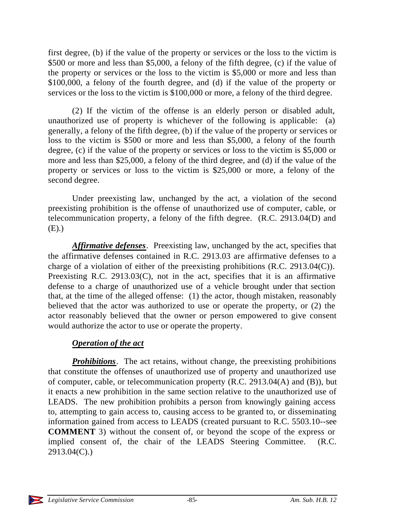first degree, (b) if the value of the property or services or the loss to the victim is \$500 or more and less than \$5,000, a felony of the fifth degree, (c) if the value of the property or services or the loss to the victim is \$5,000 or more and less than \$100,000, a felony of the fourth degree, and (d) if the value of the property or services or the loss to the victim is \$100,000 or more, a felony of the third degree.

(2) If the victim of the offense is an elderly person or disabled adult, unauthorized use of property is whichever of the following is applicable: (a) generally, a felony of the fifth degree, (b) if the value of the property or services or loss to the victim is \$500 or more and less than \$5,000, a felony of the fourth degree, (c) if the value of the property or services or loss to the victim is \$5,000 or more and less than \$25,000, a felony of the third degree, and (d) if the value of the property or services or loss to the victim is \$25,000 or more, a felony of the second degree.

Under preexisting law, unchanged by the act, a violation of the second preexisting prohibition is the offense of unauthorized use of computer, cable, or telecommunication property, a felony of the fifth degree. (R.C. 2913.04(D) and (E).)

*Affirmative defenses*. Preexisting law, unchanged by the act, specifies that the affirmative defenses contained in R.C. 2913.03 are affirmative defenses to a charge of a violation of either of the preexisting prohibitions (R.C. 2913.04(C)). Preexisting R.C. 2913.03(C), not in the act, specifies that it is an affirmative defense to a charge of unauthorized use of a vehicle brought under that section that, at the time of the alleged offense: (1) the actor, though mistaken, reasonably believed that the actor was authorized to use or operate the property, or (2) the actor reasonably believed that the owner or person empowered to give consent would authorize the actor to use or operate the property.

### *Operation of the act*

*Prohibitions*. The act retains, without change, the preexisting prohibitions that constitute the offenses of unauthorized use of property and unauthorized use of computer, cable, or telecommunication property (R.C. 2913.04(A) and (B)), but it enacts a new prohibition in the same section relative to the unauthorized use of LEADS. The new prohibition prohibits a person from knowingly gaining access to, attempting to gain access to, causing access to be granted to, or disseminating information gained from access to LEADS (created pursuant to R.C. 5503.10--see **COMMENT** 3) without the consent of, or beyond the scope of the express or implied consent of, the chair of the LEADS Steering Committee. (R.C. 2913.04(C).)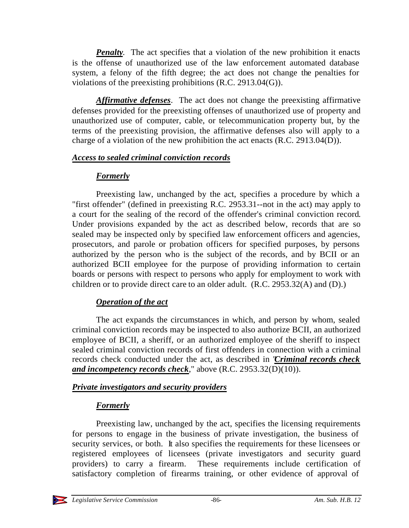*Penalty*. The act specifies that a violation of the new prohibition it enacts is the offense of unauthorized use of the law enforcement automated database system, a felony of the fifth degree; the act does not change the penalties for violations of the preexisting prohibitions (R.C. 2913.04(G)).

*Affirmative defenses*. The act does not change the preexisting affirmative defenses provided for the preexisting offenses of unauthorized use of property and unauthorized use of computer, cable, or telecommunication property but, by the terms of the preexisting provision, the affirmative defenses also will apply to a charge of a violation of the new prohibition the act enacts (R.C. 2913.04(D)).

#### *Access to sealed criminal conviction records*

### *Formerly*

Preexisting law, unchanged by the act, specifies a procedure by which a "first offender" (defined in preexisting R.C. 2953.31--not in the act) may apply to a court for the sealing of the record of the offender's criminal conviction record. Under provisions expanded by the act as described below, records that are so sealed may be inspected only by specified law enforcement officers and agencies, prosecutors, and parole or probation officers for specified purposes, by persons authorized by the person who is the subject of the records, and by BCII or an authorized BCII employee for the purpose of providing information to certain boards or persons with respect to persons who apply for employment to work with children or to provide direct care to an older adult. (R.C. 2953.32(A) and (D).)

# *Operation of the act*

The act expands the circumstances in which, and person by whom, sealed criminal conviction records may be inspected to also authorize BCII, an authorized employee of BCII, a sheriff, or an authorized employee of the sheriff to inspect sealed criminal conviction records of first offenders in connection with a criminal records check conducted under the act, as described in "*Criminal records check and incompetency records check*," above (R.C. 2953.32(D)(10)).

### *Private investigators and security providers*

# *Formerly*

Preexisting law, unchanged by the act, specifies the licensing requirements for persons to engage in the business of private investigation, the business of security services, or both. It also specifies the requirements for these licensees or registered employees of licensees (private investigators and security guard providers) to carry a firearm. These requirements include certification of satisfactory completion of firearms training, or other evidence of approval of

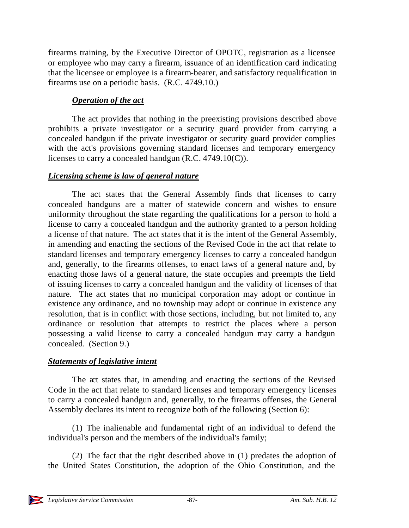firearms training, by the Executive Director of OPOTC, registration as a licensee or employee who may carry a firearm, issuance of an identification card indicating that the licensee or employee is a firearm-bearer, and satisfactory requalification in firearms use on a periodic basis. (R.C. 4749.10.)

### *Operation of the act*

The act provides that nothing in the preexisting provisions described above prohibits a private investigator or a security guard provider from carrying a concealed handgun if the private investigator or security guard provider complies with the act's provisions governing standard licenses and temporary emergency licenses to carry a concealed handgun (R.C. 4749.10(C)).

#### *Licensing scheme is law of general nature*

The act states that the General Assembly finds that licenses to carry concealed handguns are a matter of statewide concern and wishes to ensure uniformity throughout the state regarding the qualifications for a person to hold a license to carry a concealed handgun and the authority granted to a person holding a license of that nature. The act states that it is the intent of the General Assembly, in amending and enacting the sections of the Revised Code in the act that relate to standard licenses and temporary emergency licenses to carry a concealed handgun and, generally, to the firearms offenses, to enact laws of a general nature and, by enacting those laws of a general nature, the state occupies and preempts the field of issuing licenses to carry a concealed handgun and the validity of licenses of that nature. The act states that no municipal corporation may adopt or continue in existence any ordinance, and no township may adopt or continue in existence any resolution, that is in conflict with those sections, including, but not limited to, any ordinance or resolution that attempts to restrict the places where a person possessing a valid license to carry a concealed handgun may carry a handgun concealed. (Section 9.)

### *Statements of legislative intent*

The act states that, in amending and enacting the sections of the Revised Code in the act that relate to standard licenses and temporary emergency licenses to carry a concealed handgun and, generally, to the firearms offenses, the General Assembly declares its intent to recognize both of the following (Section 6):

(1) The inalienable and fundamental right of an individual to defend the individual's person and the members of the individual's family;

(2) The fact that the right described above in (1) predates the adoption of the United States Constitution, the adoption of the Ohio Constitution, and the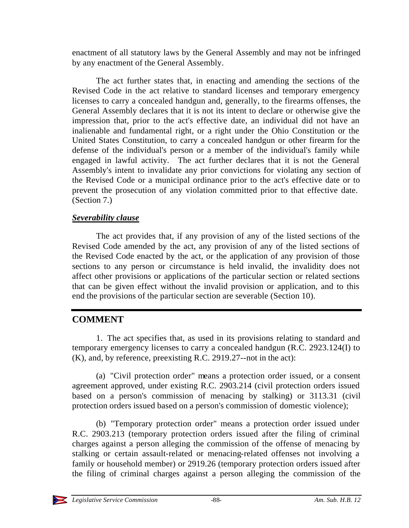enactment of all statutory laws by the General Assembly and may not be infringed by any enactment of the General Assembly.

The act further states that, in enacting and amending the sections of the Revised Code in the act relative to standard licenses and temporary emergency licenses to carry a concealed handgun and, generally, to the firearms offenses, the General Assembly declares that it is not its intent to declare or otherwise give the impression that, prior to the act's effective date, an individual did not have an inalienable and fundamental right, or a right under the Ohio Constitution or the United States Constitution, to carry a concealed handgun or other firearm for the defense of the individual's person or a member of the individual's family while engaged in lawful activity. The act further declares that it is not the General Assembly's intent to invalidate any prior convictions for violating any section of the Revised Code or a municipal ordinance prior to the act's effective date or to prevent the prosecution of any violation committed prior to that effective date. (Section 7.)

### *Severability clause*

The act provides that, if any provision of any of the listed sections of the Revised Code amended by the act, any provision of any of the listed sections of the Revised Code enacted by the act, or the application of any provision of those sections to any person or circumstance is held invalid, the invalidity does not affect other provisions or applications of the particular section or related sections that can be given effect without the invalid provision or application, and to this end the provisions of the particular section are severable (Section 10).

# **COMMENT**

1. The act specifies that, as used in its provisions relating to standard and temporary emergency licenses to carry a concealed handgun (R.C. 2923.124(I) to (K), and, by reference, preexisting R.C. 2919.27--not in the act):

(a) "Civil protection order" means a protection order issued, or a consent agreement approved, under existing R.C. 2903.214 (civil protection orders issued based on a person's commission of menacing by stalking) or 3113.31 (civil protection orders issued based on a person's commission of domestic violence);

(b) "Temporary protection order" means a protection order issued under R.C. 2903.213 (temporary protection orders issued after the filing of criminal charges against a person alleging the commission of the offense of menacing by stalking or certain assault-related or menacing-related offenses not involving a family or household member) or 2919.26 (temporary protection orders issued after the filing of criminal charges against a person alleging the commission of the

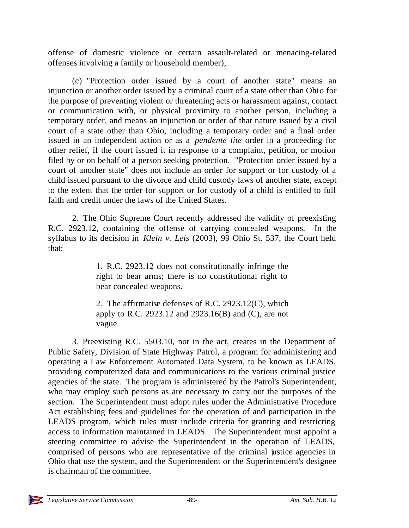offense of domestic violence or certain assault-related or menacing-related offenses involving a family or household member);

(c) "Protection order issued by a court of another state" means an injunction or another order issued by a criminal court of a state other than Ohio for the purpose of preventing violent or threatening acts or harassment against, contact or communication with, or physical proximity to another person, including a temporary order, and means an injunction or order of that nature issued by a civil court of a state other than Ohio, including a temporary order and a final order issued in an independent action or as a *pendente lite* order in a proceeding for other relief, if the court issued it in response to a complaint, petition, or motion filed by or on behalf of a person seeking protection. "Protection order issued by a court of another state" does not include an order for support or for custody of a child issued pursuant to the divorce and child custody laws of another state, except to the extent that the order for support or for custody of a child is entitled to full faith and credit under the laws of the United States.

2. The Ohio Supreme Court recently addressed the validity of preexisting R.C. 2923.12, containing the offense of carrying concealed weapons. In the syllabus to its decision in *Klein v. Leis* (2003), 99 Ohio St. 537, the Court held that:

> 1. R.C. 2923.12 does not constitutionally infringe the right to bear arms; there is no constitutional right to bear concealed weapons.

> 2. The affirmative defenses of R.C. 2923.12(C), which apply to R.C. 2923.12 and 2923.16(B) and (C), are not vague.

3. Preexisting R.C. 5503.10, not in the act, creates in the Department of Public Safety, Division of State Highway Patrol, a program for administering and operating a Law Enforcement Automated Data System, to be known as LEADS, providing computerized data and communications to the various criminal justice agencies of the state. The program is administered by the Patrol's Superintendent, who may employ such persons as are necessary to carry out the purposes of the section. The Superintendent must adopt rules under the Administrative Procedure Act establishing fees and guidelines for the operation of and participation in the LEADS program, which rules must include criteria for granting and restricting access to information maintained in LEADS. The Superintendent must appoint a steering committee to advise the Superintendent in the operation of LEADS, comprised of persons who are representative of the criminal justice agencies in Ohio that use the system, and the Superintendent or the Superintendent's designee is chairman of the committee.